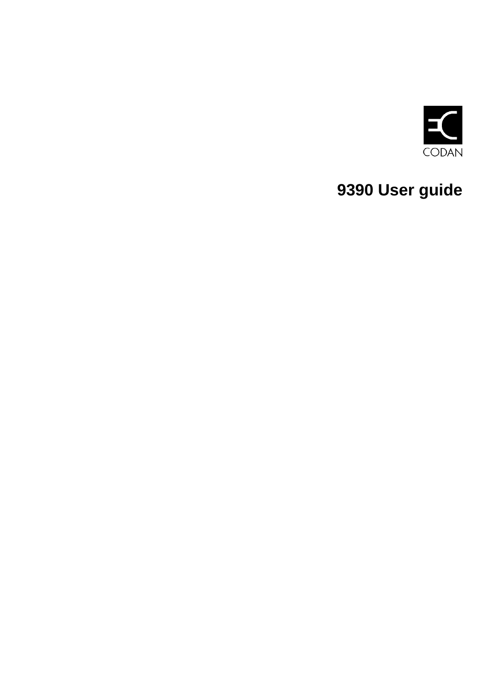

# **9390 User guide**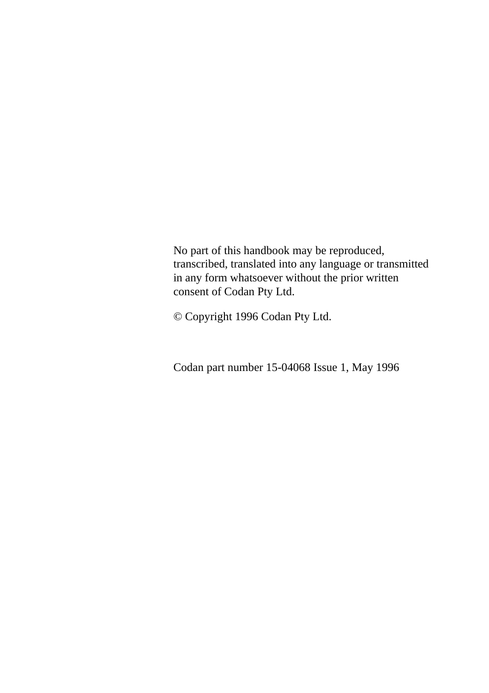No part of this handbook may be reproduced, transcribed, translated into any language or transmitted in any form whatsoever without the prior written consent of Codan Pty Ltd.

© Copyright 1996 Codan Pty Ltd.

Codan part number 15-04068 Issue 1, May 1996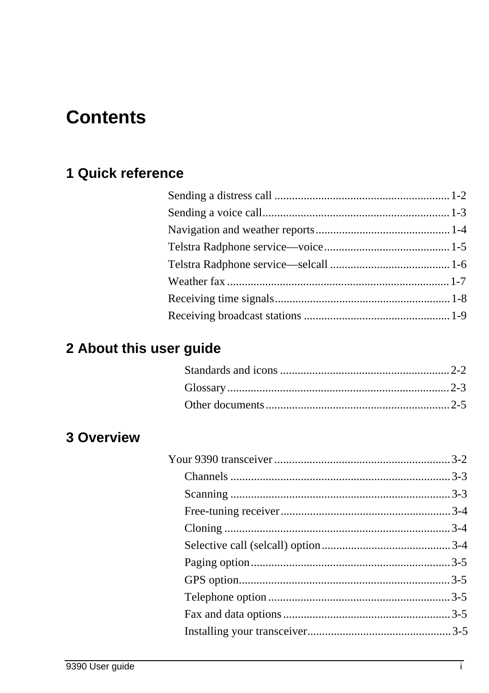# **Contents**

### 1 Quick reference

# 2 About this user guide

### 3 Overview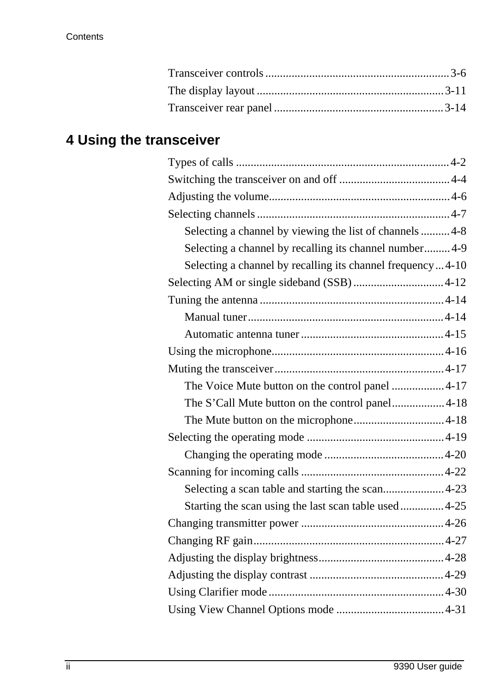## **4 Using the transceiver**

| Selecting a channel by viewing the list of channels 4-8    |  |
|------------------------------------------------------------|--|
| Selecting a channel by recalling its channel number4-9     |  |
| Selecting a channel by recalling its channel frequency4-10 |  |
|                                                            |  |
|                                                            |  |
|                                                            |  |
|                                                            |  |
|                                                            |  |
|                                                            |  |
| The Voice Mute button on the control panel 4-17            |  |
| The S'Call Mute button on the control panel4-18            |  |
|                                                            |  |
|                                                            |  |
|                                                            |  |
|                                                            |  |
| Selecting a scan table and starting the scan4-23           |  |
| Starting the scan using the last scan table used4-25       |  |
|                                                            |  |
|                                                            |  |
|                                                            |  |
|                                                            |  |
|                                                            |  |
|                                                            |  |
|                                                            |  |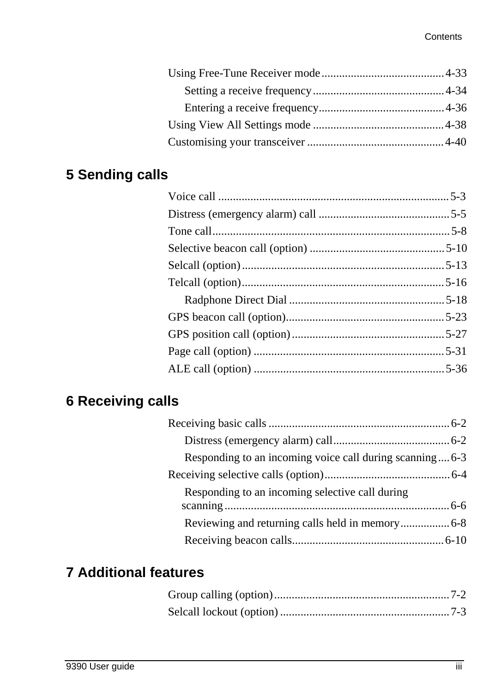### **5 Sending calls**

# **6 Receiving calls**

| Responding to an incoming voice call during scanning 6-3 |  |
|----------------------------------------------------------|--|
|                                                          |  |
| Responding to an incoming selective call during          |  |
|                                                          |  |
|                                                          |  |
|                                                          |  |

### **7 Additional features**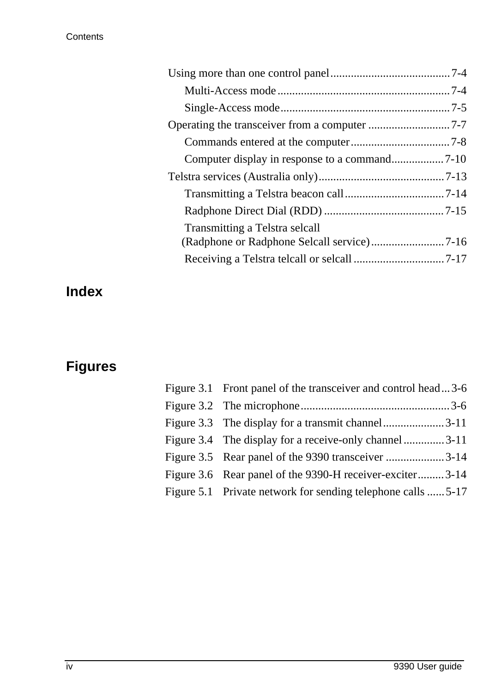| Transmitting a Telstra selcall |  |
|--------------------------------|--|
|                                |  |
|                                |  |
|                                |  |

#### **Index**

### **Figures**

| Figure 3.1 Front panel of the transceiver and control head3-6 |
|---------------------------------------------------------------|
|                                                               |
|                                                               |
| Figure 3.4 The display for a receive-only channel 3-11        |
|                                                               |
| Figure 3.6 Rear panel of the 9390-H receiver-exciter3-14      |
| Figure 5.1 Private network for sending telephone calls  5-17  |
|                                                               |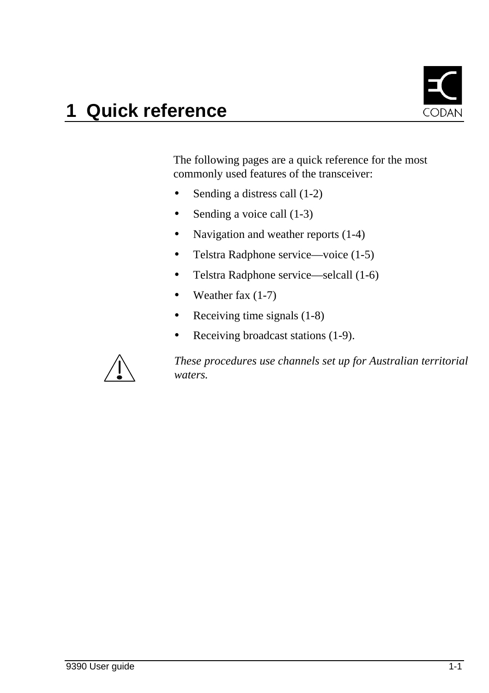

# **1 Quick reference**

The following pages are a quick reference for the most commonly used features of the transceiver:

- Sending a distress call  $(1-2)$
- Sending a voice call  $(1-3)$
- Navigation and weather reports (1-4)
- Telstra Radphone service—voice (1-5)
- Telstra Radphone service—selcall (1-6)
- Weather fax  $(1-7)$
- Receiving time signals (1-8)
- Receiving broadcast stations (1-9).



*These procedures use channels set up for Australian territorial waters.*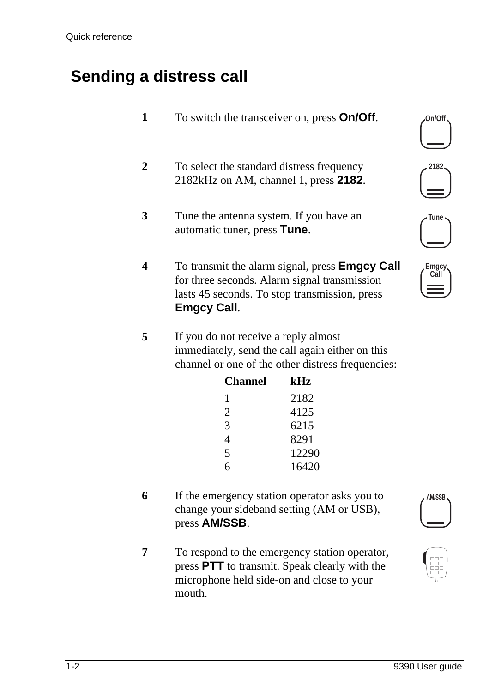# **Sending a distress call**

| $\mathbf{1}$            |                                                                                                                                                                              | To switch the transceiver on, press On/Off.                                                          | On/Off |
|-------------------------|------------------------------------------------------------------------------------------------------------------------------------------------------------------------------|------------------------------------------------------------------------------------------------------|--------|
| $\mathbf{2}$            | To select the standard distress frequency<br>2182kHz on AM, channel 1, press 2182.                                                                                           |                                                                                                      | 2182   |
| 3                       | Tune the antenna system. If you have an<br>automatic tuner, press Tune.                                                                                                      |                                                                                                      | Tune   |
| $\overline{\mathbf{4}}$ | To transmit the alarm signal, press <b>Emgcy Call</b><br>for three seconds. Alarm signal transmission<br>lasts 45 seconds. To stop transmission, press<br><b>Emgcy Call.</b> |                                                                                                      |        |
| 5                       | If you do not receive a reply almost                                                                                                                                         | immediately, send the call again either on this<br>channel or one of the other distress frequencies: |        |
|                         | <b>Channel</b>                                                                                                                                                               | kHz                                                                                                  |        |
|                         | 1                                                                                                                                                                            | 2182                                                                                                 |        |
|                         | $\overline{c}$                                                                                                                                                               | 4125                                                                                                 |        |
|                         | 3                                                                                                                                                                            | 6215                                                                                                 |        |
|                         | $\overline{4}$                                                                                                                                                               | 8291                                                                                                 |        |
|                         | 5                                                                                                                                                                            | 12290                                                                                                |        |
|                         | 6                                                                                                                                                                            | 16420                                                                                                |        |
| 6                       | If the emergency station operator asks you to<br>change your sideband setting (AM or USB),<br>press AM/SSB.                                                                  |                                                                                                      | AM/SSE |
| 7                       |                                                                                                                                                                              | To respond to the emergency station operator,<br>press PTT to transmit. Speak clearly with the       |        |

microphone held side-on and close to your

mouth.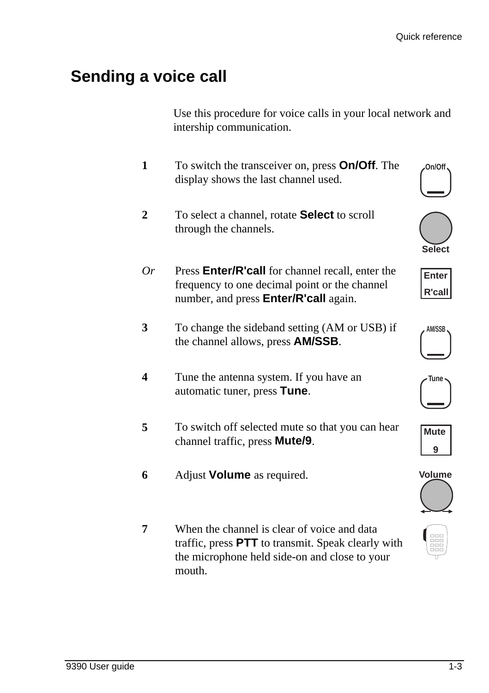### **Sending a voice call**

Use this procedure for voice calls in your local network and intership communication.

- **1** To switch the transceiver on, press **On/Off**. The display shows the last channel used.
- **2** To select a channel, rotate **Select** to scroll through the channels.
- *Or* Press **Enter/R'call** for channel recall, enter the frequency to one decimal point or the channel number, and press **Enter/R'call** again.
- **3** To change the sideband setting (AM or USB) if the channel allows, press **AM/SSB**.
- **4** Tune the antenna system. If you have an automatic tuner, press **Tune**.
- **5** To switch off selected mute so that you can hear channel traffic, press **Mute/9**. **Mute**
- **6** Adjust **Volume** as required. **Volume**
- **7** When the channel is clear of voice and data traffic, press **PTT** to transmit. Speak clearly with the microphone held side-on and close to your mouth.













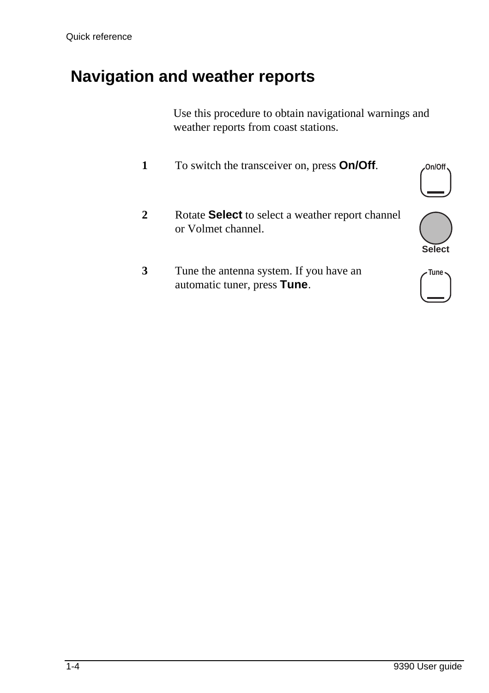## **Navigation and weather reports**

Use this procedure to obtain navigational warnings and weather reports from coast stations.

- **1** To switch the transceiver on, press **On/Off**.  $\rho_{0n}/\rho_{0f}$
- **2** Rotate **Select** to select a weather report channel or Volmet channel.
- **3** Tune the antenna system. If you have an automatic tuner, press **Tune**.





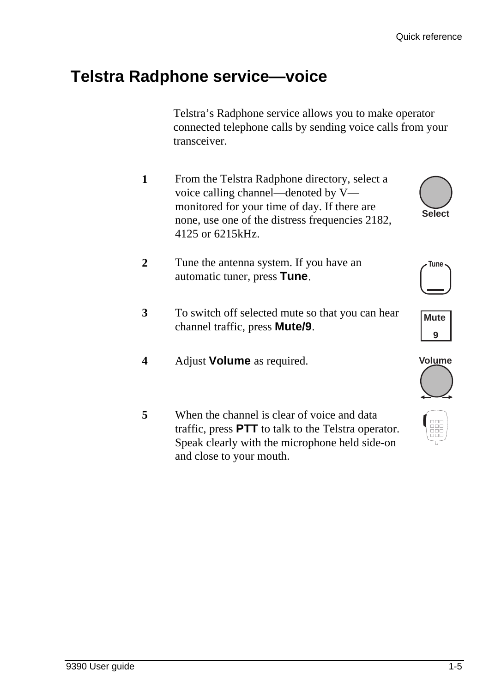## **Telstra Radphone service—voice**

Telstra's Radphone service allows you to make operator connected telephone calls by sending voice calls from your transceiver.

**1** From the Telstra Radphone directory, select a voice calling channel—denoted by V monitored for your time of day. If there are none, use one of the distress frequencies 2182, 4125 or 6215kHz.



- **2** Tune the antenna system. If you have an automatic tuner, press **Tune**.
- **3** To switch off selected mute so that you can hear 10 switch off selected mute so that you can hear **Mute**<br>channel traffic, press **Mute/9**.
- **4** Adjust **Volume** as required. **Volume**
- **5** When the channel is clear of voice and data traffic, press **PTT** to talk to the Telstra operator. Speak clearly with the microphone held side-on and close to your mouth.



**Tune**





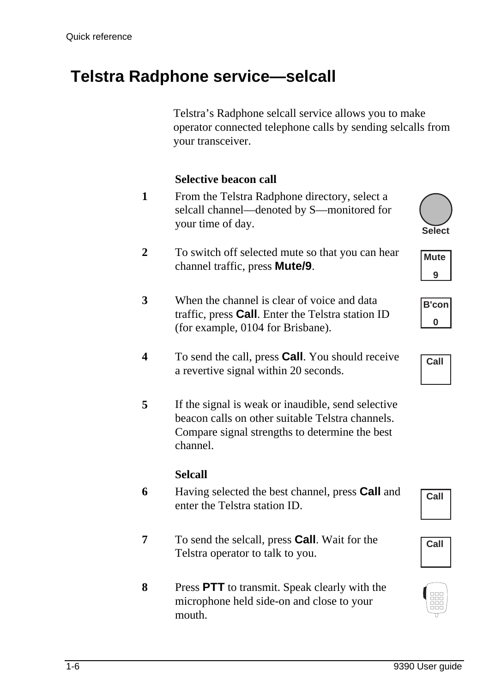## **Telstra Radphone service—selcall**

Telstra's Radphone selcall service allows you to make operator connected telephone calls by sending selcalls from your transceiver.

#### **Selective beacon call**

- **1** From the Telstra Radphone directory, select a selcall channel—denoted by S—monitored for your time of day.
- **2** To switch off selected mute so that you can hear 10 switch off selected mute so that you can hear **Mute**<br>channel traffic, press **Mute/9**.
- **3** When the channel is clear of voice and data traffic, press **Call**. Enter the Telstra station ID (for example, 0104 for Brisbane).
- **4** To send the call, press **Call**. You should receive a revertive signal within 20 seconds.
- **5** If the signal is weak or inaudible, send selective beacon calls on other suitable Telstra channels. Compare signal strengths to determine the best channel.

#### **Selcall**

- **6** Having selected the best channel, press **Call** and enter the Telstra station ID.
- **7** To send the selcall, press **Call**. Wait for the Telstra operator to talk to you.
- **8** Press **PTT** to transmit. Speak clearly with the microphone held side-on and close to your mouth.





| ٠<br>v<br>٠<br>۰.<br>×<br>$-$ |  |
|-------------------------------|--|
|                               |  |



| 1<br>ı<br>я |
|-------------|
|             |
|             |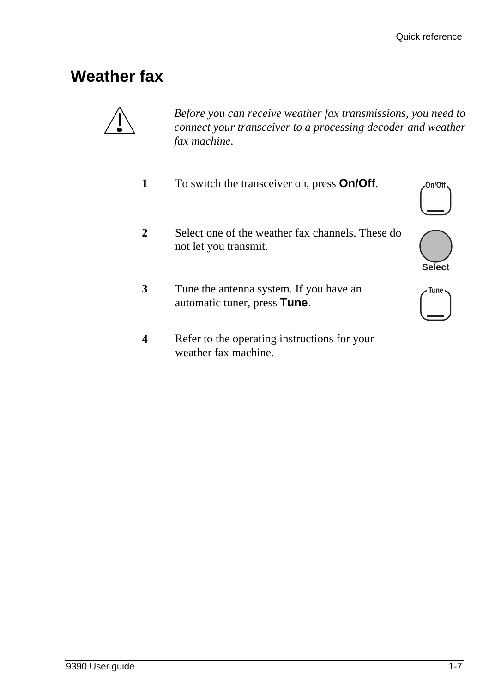### **Weather fax**



*Before you can receive weather fax transmissions, you need to connect your transceiver to a processing decoder and weather fax machine.*

- **1** To switch the transceiver on, press **On/Off**.  $\rho_{0}$
- **2** Select one of the weather fax channels. These do not let you transmit.
- **3** Tune the antenna system. If you have an automatic tuner, press **Tune**.
- **4** Refer to the operating instructions for your weather fax machine.



**Select**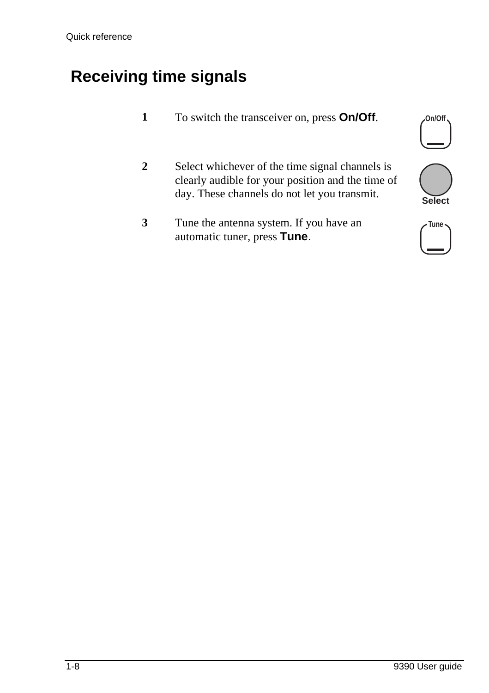## **Receiving time signals**

- **1** To switch the transceiver on, press **On/Off**.  $\qquad \qquad \text{On/Off}$
- **2** Select whichever of the time signal channels is clearly audible for your position and the time of day. These channels do not let you transmit. **Select**
- **3** Tune the antenna system. If you have an automatic tuner, press **Tune**.





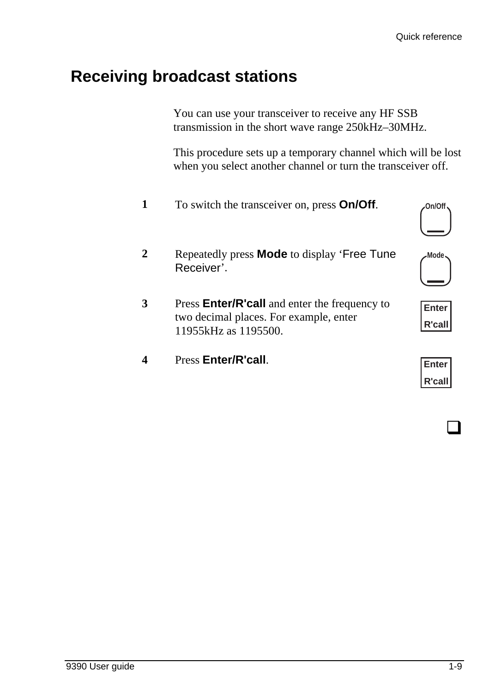### **Receiving broadcast stations**

You can use your transceiver to receive any HF SSB transmission in the short wave range 250kHz–30MHz.

This procedure sets up a temporary channel which will be lost when you select another channel or turn the transceiver off.

|   | To switch the transceiver on, press On/Off.                                                                            |       |
|---|------------------------------------------------------------------------------------------------------------------------|-------|
| 2 | Repeatedly press Mode to display 'Free Tune<br>Receiver'.                                                              | Mode  |
| 3 | Press <b>Enter/R'call</b> and enter the frequency to<br>two decimal places. For example, enter<br>11955kHz as 1195500. | Enter |
| 4 | Press Enter/R'call.                                                                                                    | Enter |
|   |                                                                                                                        |       |

 $\Box$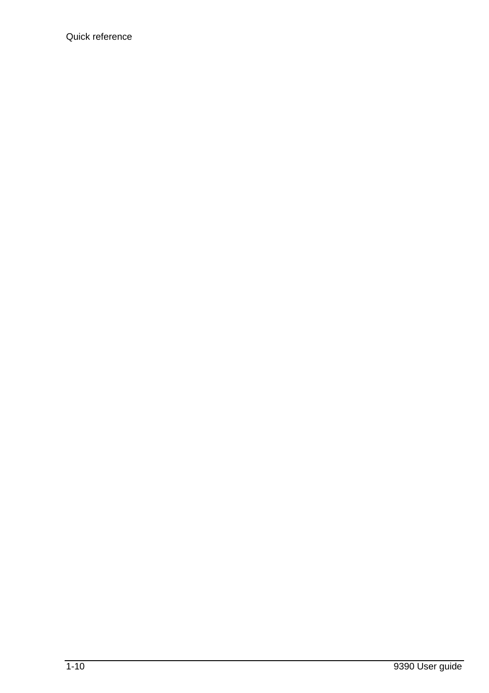Quick reference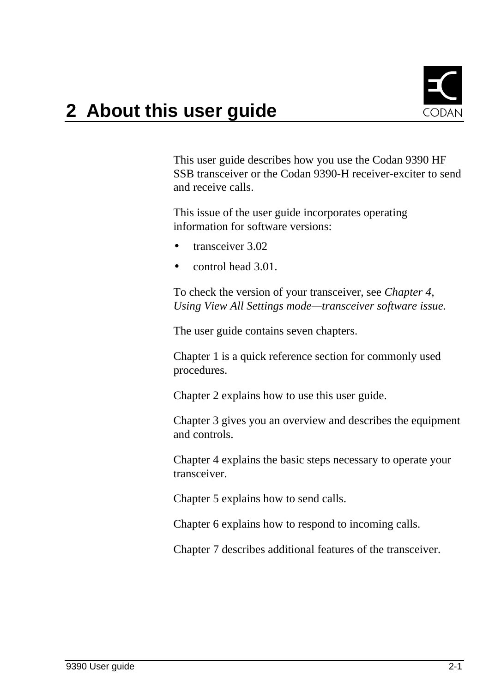

# **2 About this user guide**

This user guide describes how you use the Codan 9390 HF SSB transceiver or the Codan 9390-H receiver-exciter to send and receive calls.

This issue of the user guide incorporates operating information for software versions:

- transceiver 3.02
- control head 3.01.

To check the version of your transceiver, see *Chapter 4, Using View All Settings mode—transceiver software issue.*

The user guide contains seven chapters.

Chapter 1 is a quick reference section for commonly used procedures.

Chapter 2 explains how to use this user guide.

Chapter 3 gives you an overview and describes the equipment and controls.

Chapter 4 explains the basic steps necessary to operate your transceiver.

Chapter 5 explains how to send calls.

Chapter 6 explains how to respond to incoming calls.

Chapter 7 describes additional features of the transceiver.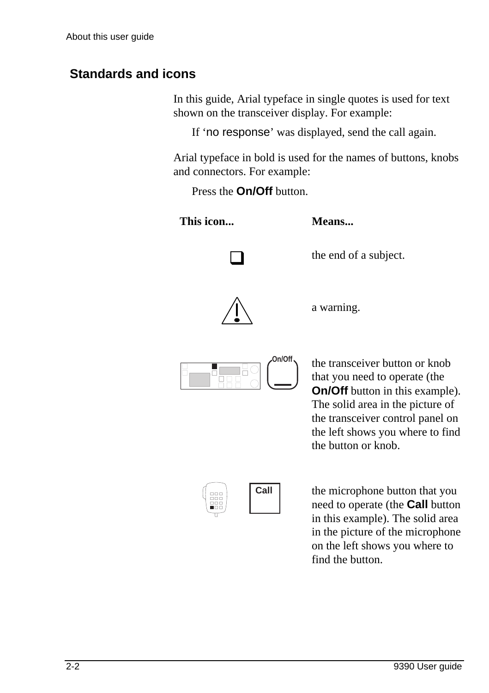#### **Standards and icons**

In this guide, Arial typeface in single quotes is used for text shown on the transceiver display. For example:

If 'no response' was displayed, send the call again.

Arial typeface in bold is used for the names of buttons, knobs and connectors. For example:

Press the **On/Off** button.

This icon... Means...



the end of a subject.



a warning.



**On/Off** the transceiver button or knob that you need to operate (the **On/Off** button in this example). The solid area in the picture of the transceiver control panel on the left shows you where to find the button or knob.

**Call** the microphone button that you need to operate (the **Call** button in this example). The solid area in the picture of the microphone on the left shows you where to find the button.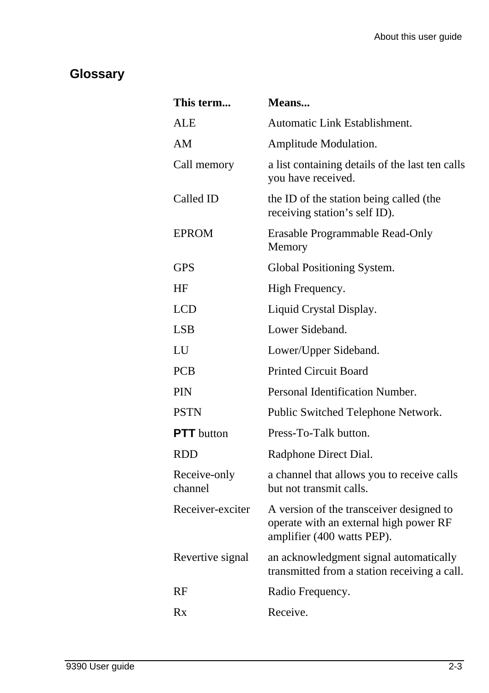#### **Glossary**

| This term               | Means                                                                                                            |
|-------------------------|------------------------------------------------------------------------------------------------------------------|
| ALE                     | Automatic Link Establishment.                                                                                    |
| AM                      | Amplitude Modulation.                                                                                            |
| Call memory             | a list containing details of the last ten calls<br>you have received.                                            |
| Called ID               | the ID of the station being called (the<br>receiving station's self ID).                                         |
| <b>EPROM</b>            | Erasable Programmable Read-Only<br>Memory                                                                        |
| GPS                     | Global Positioning System.                                                                                       |
| HF                      | High Frequency.                                                                                                  |
| <b>LCD</b>              | Liquid Crystal Display.                                                                                          |
| LSB                     | Lower Sideband.                                                                                                  |
| LU                      | Lower/Upper Sideband.                                                                                            |
| <b>PCB</b>              | <b>Printed Circuit Board</b>                                                                                     |
| <b>PIN</b>              | Personal Identification Number.                                                                                  |
| <b>PSTN</b>             | Public Switched Telephone Network.                                                                               |
| <b>PTT</b> button       | Press-To-Talk button.                                                                                            |
| <b>RDD</b>              | Radphone Direct Dial.                                                                                            |
| Receive-only<br>channel | a channel that allows you to receive calls<br>but not transmit calls.                                            |
| Receiver-exciter        | A version of the transceiver designed to<br>operate with an external high power RF<br>amplifier (400 watts PEP). |
| Revertive signal        | an acknowledgment signal automatically<br>transmitted from a station receiving a call.                           |
| RF                      | Radio Frequency.                                                                                                 |
| Rx                      | Receive.                                                                                                         |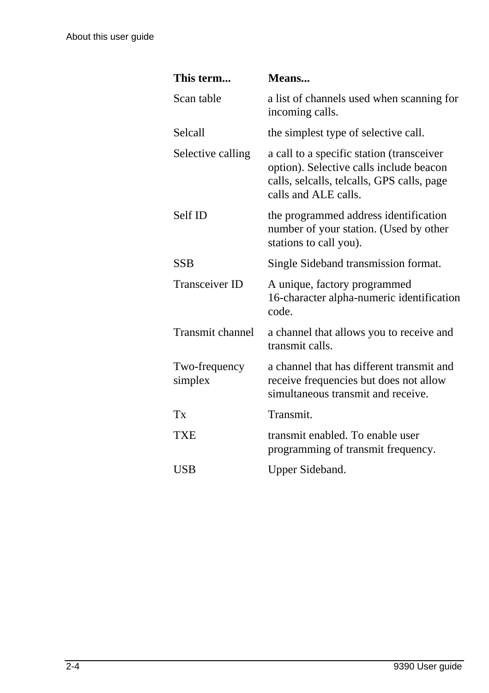| This term                | Means                                                                                                                                                      |
|--------------------------|------------------------------------------------------------------------------------------------------------------------------------------------------------|
| Scan table               | a list of channels used when scanning for<br>incoming calls.                                                                                               |
| Selcall                  | the simplest type of selective call.                                                                                                                       |
| Selective calling        | a call to a specific station (transceiver<br>option). Selective calls include beacon<br>calls, selcalls, telcalls, GPS calls, page<br>calls and ALE calls. |
| Self ID                  | the programmed address identification<br>number of your station. (Used by other<br>stations to call you).                                                  |
| SSB                      | Single Sideband transmission format.                                                                                                                       |
| Transceiver ID           | A unique, factory programmed<br>16-character alpha-numeric identification<br>code.                                                                         |
| Transmit channel         | a channel that allows you to receive and<br>transmit calls.                                                                                                |
| Two-frequency<br>simplex | a channel that has different transmit and<br>receive frequencies but does not allow<br>simultaneous transmit and receive.                                  |
| Tx                       | Transmit.                                                                                                                                                  |
| <b>TXE</b>               | transmit enabled. To enable user<br>programming of transmit frequency.                                                                                     |
| USB                      | Upper Sideband.                                                                                                                                            |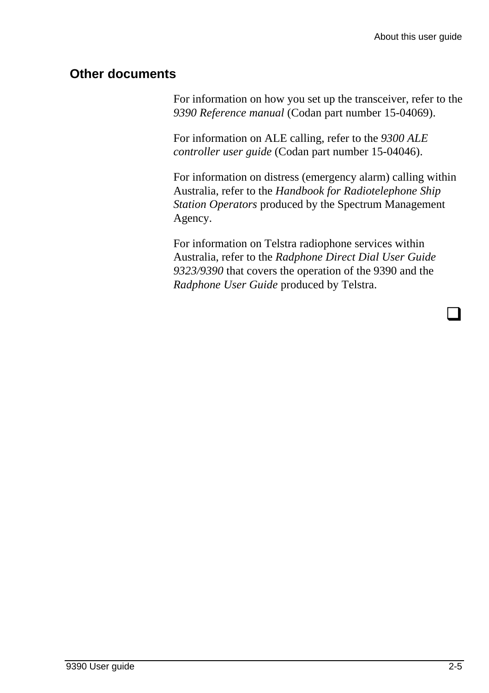#### **Other documents**

For information on how you set up the transceiver, refer to the *9390 Reference manual* (Codan part number 15-04069).

For information on ALE calling, refer to the *9300 ALE controller user guide* (Codan part number 15-04046).

For information on distress (emergency alarm) calling within Australia, refer to the *Handbook for Radiotelephone Ship Station Operators* produced by the Spectrum Management Agency.

For information on Telstra radiophone services within Australia, refer to the *Radphone Direct Dial User Guide 9323/9390* that covers the operation of the 9390 and the *Radphone User Guide* produced by Telstra.

 $\Box$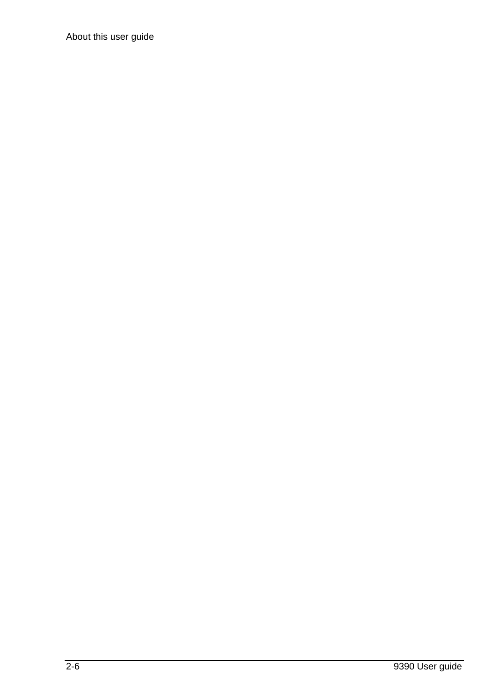About this user guide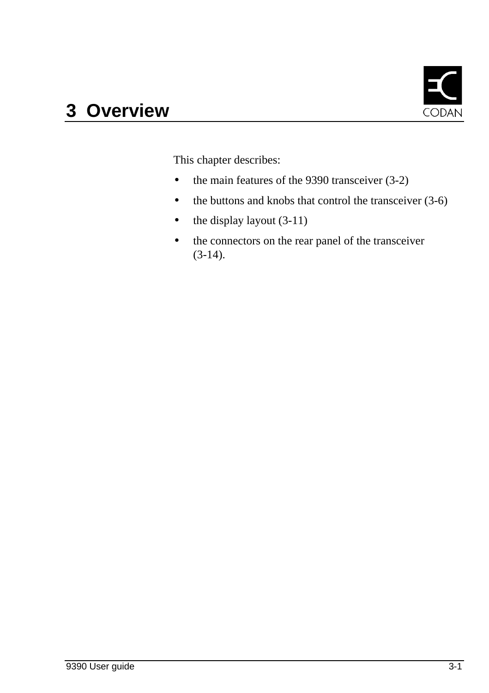

This chapter describes:

- the main features of the 9390 transceiver (3-2)
- $\bullet$  the buttons and knobs that control the transceiver (3-6)
- $\bullet$  the display layout (3-11)
- the connectors on the rear panel of the transceiver  $(3-14)$ .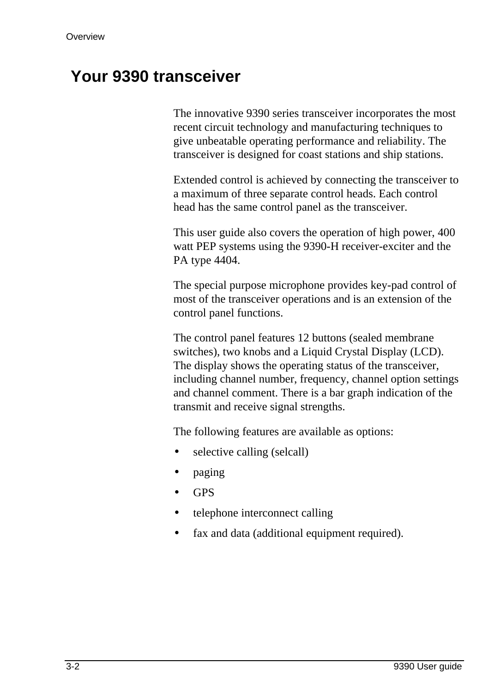## **Your 9390 transceiver**

The innovative 9390 series transceiver incorporates the most recent circuit technology and manufacturing techniques to give unbeatable operating performance and reliability. The transceiver is designed for coast stations and ship stations.

Extended control is achieved by connecting the transceiver to a maximum of three separate control heads. Each control head has the same control panel as the transceiver.

This user guide also covers the operation of high power, 400 watt PEP systems using the 9390-H receiver-exciter and the PA type 4404.

The special purpose microphone provides key-pad control of most of the transceiver operations and is an extension of the control panel functions.

The control panel features 12 buttons (sealed membrane switches), two knobs and a Liquid Crystal Display (LCD). The display shows the operating status of the transceiver, including channel number, frequency, channel option settings and channel comment. There is a bar graph indication of the transmit and receive signal strengths.

The following features are available as options:

- selective calling (selcall)
- paging
- GPS
- telephone interconnect calling
- fax and data (additional equipment required).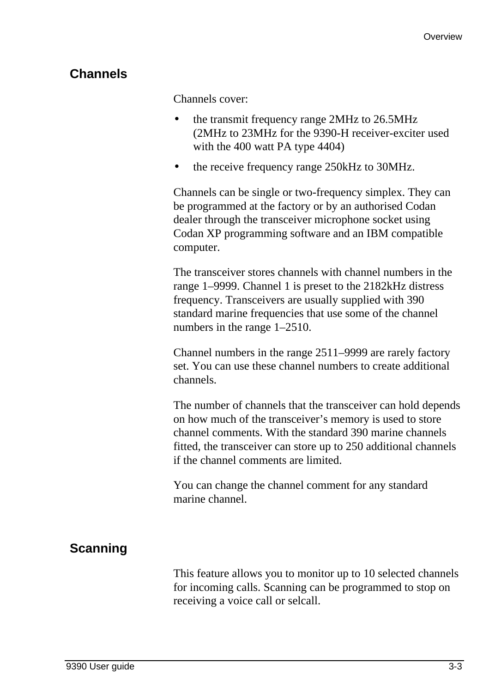#### **Channels**

Channels cover:

- the transmit frequency range 2MHz to 26.5MHz (2MHz to 23MHz for the 9390-H receiver-exciter used with the 400 watt PA type 4404)
- the receive frequency range 250kHz to 30MHz.

Channels can be single or two-frequency simplex. They can be programmed at the factory or by an authorised Codan dealer through the transceiver microphone socket using Codan XP programming software and an IBM compatible computer.

The transceiver stores channels with channel numbers in the range 1–9999. Channel 1 is preset to the 2182kHz distress frequency. Transceivers are usually supplied with 390 standard marine frequencies that use some of the channel numbers in the range 1–2510.

Channel numbers in the range 2511–9999 are rarely factory set. You can use these channel numbers to create additional channels.

The number of channels that the transceiver can hold depends on how much of the transceiver's memory is used to store channel comments. With the standard 390 marine channels fitted, the transceiver can store up to 250 additional channels if the channel comments are limited.

You can change the channel comment for any standard marine channel.

#### **Scanning**

This feature allows you to monitor up to 10 selected channels for incoming calls. Scanning can be programmed to stop on receiving a voice call or selcall.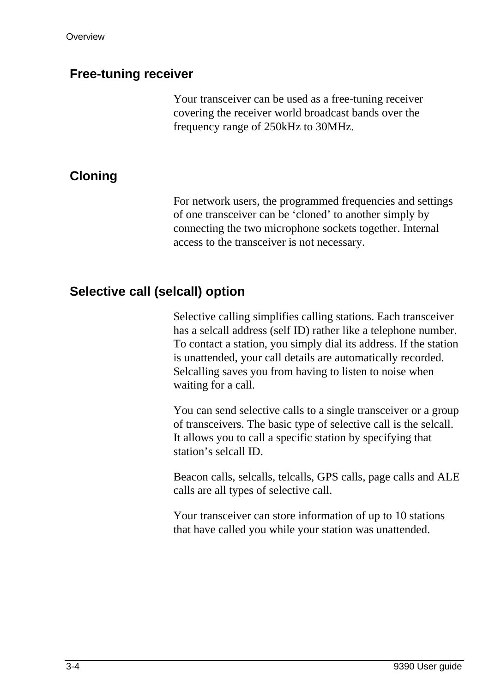#### **Free-tuning receiver**

Your transceiver can be used as a free-tuning receiver covering the receiver world broadcast bands over the frequency range of 250kHz to 30MHz.

#### **Cloning**

For network users, the programmed frequencies and settings of one transceiver can be 'cloned' to another simply by connecting the two microphone sockets together. Internal access to the transceiver is not necessary.

#### **Selective call (selcall) option**

Selective calling simplifies calling stations. Each transceiver has a selcall address (self ID) rather like a telephone number. To contact a station, you simply dial its address. If the station is unattended, your call details are automatically recorded. Selcalling saves you from having to listen to noise when waiting for a call.

You can send selective calls to a single transceiver or a group of transceivers. The basic type of selective call is the selcall. It allows you to call a specific station by specifying that station's selcall ID.

Beacon calls, selcalls, telcalls, GPS calls, page calls and ALE calls are all types of selective call.

Your transceiver can store information of up to 10 stations that have called you while your station was unattended.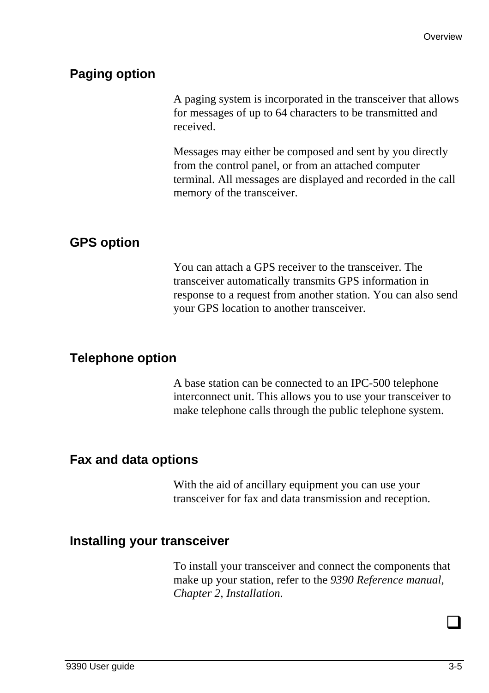#### **Paging option**

A paging system is incorporated in the transceiver that allows for messages of up to 64 characters to be transmitted and received.

Messages may either be composed and sent by you directly from the control panel, or from an attached computer terminal. All messages are displayed and recorded in the call memory of the transceiver.

#### **GPS option**

You can attach a GPS receiver to the transceiver. The transceiver automatically transmits GPS information in response to a request from another station. You can also send your GPS location to another transceiver.

#### **Telephone option**

A base station can be connected to an IPC-500 telephone interconnect unit. This allows you to use your transceiver to make telephone calls through the public telephone system.

#### **Fax and data options**

With the aid of ancillary equipment you can use your transceiver for fax and data transmission and reception.

#### **Installing your transceiver**

To install your transceiver and connect the components that make up your station, refer to the *9390 Reference manual, Chapter 2, Installation*.

 $\Box$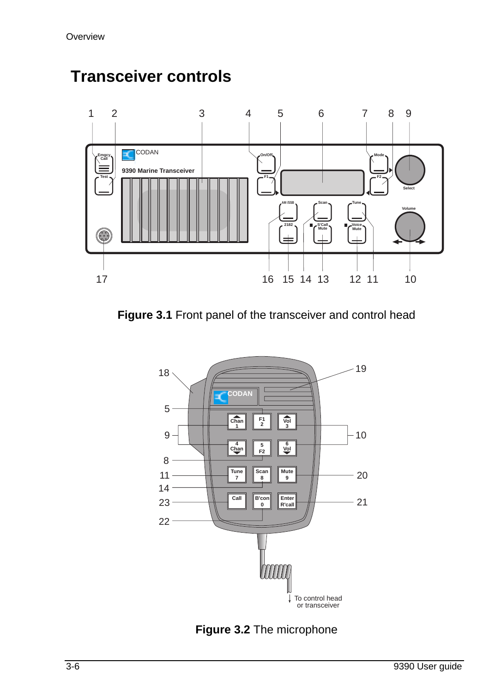

# **Transceiver controls**





**Figure 3.2** The microphone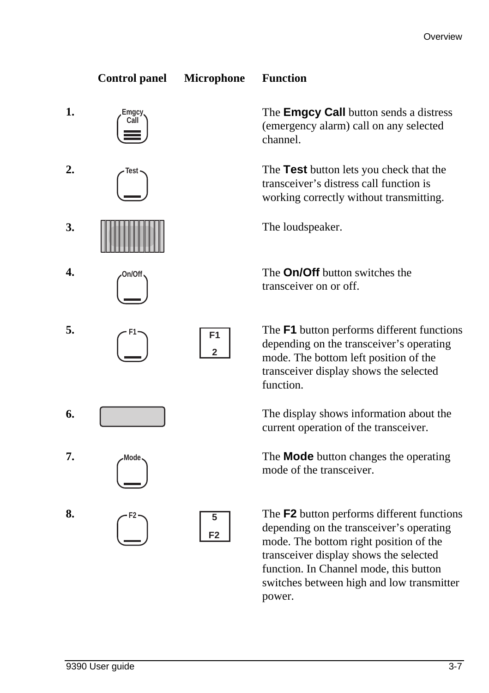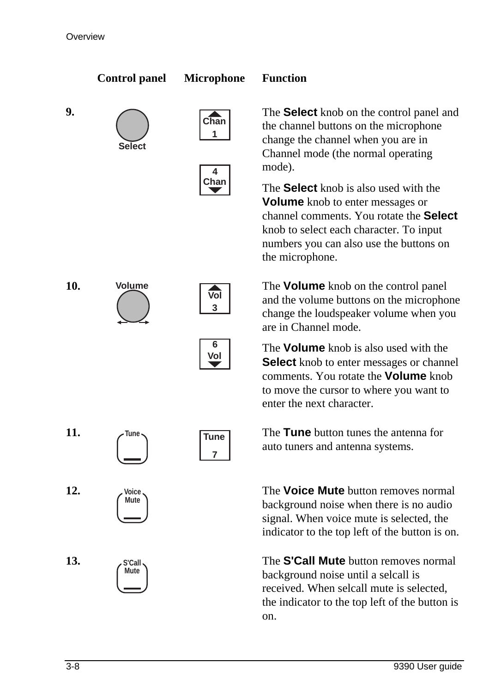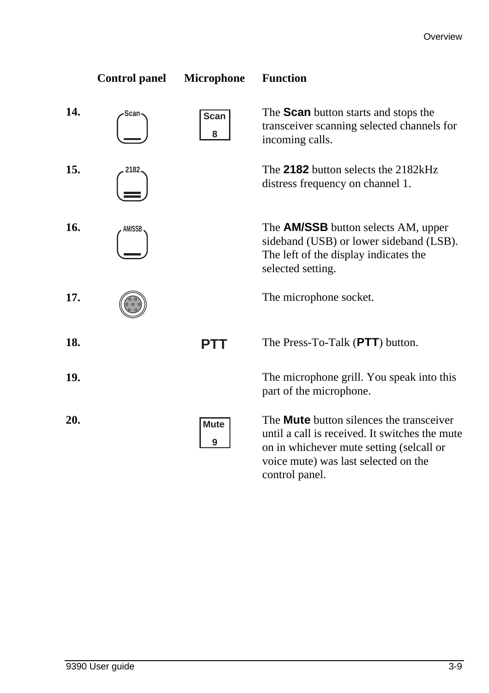|     | <b>Control panel</b> | <b>Microphone</b> | <b>Function</b>                                                                                                                                                                                         |
|-----|----------------------|-------------------|---------------------------------------------------------------------------------------------------------------------------------------------------------------------------------------------------------|
| 14. | Scan                 | Scan<br>8         | The <b>Scan</b> button starts and stops the<br>transceiver scanning selected channels for<br>incoming calls.                                                                                            |
| 15. | 2182                 |                   | The 2182 button selects the 2182kHz<br>distress frequency on channel 1.                                                                                                                                 |
| 16. | AM/SSB               |                   | The <b>AM/SSB</b> button selects AM, upper<br>sideband (USB) or lower sideband (LSB).<br>The left of the display indicates the<br>selected setting.                                                     |
| 17. |                      |                   | The microphone socket.                                                                                                                                                                                  |
| 18. |                      | PTT               | The Press-To-Talk (PTT) button.                                                                                                                                                                         |
| 19. |                      |                   | The microphone grill. You speak into this<br>part of the microphone.                                                                                                                                    |
| 20. |                      | <b>Mute</b><br>9  | The <b>Mute</b> button silences the transceiver<br>until a call is received. It switches the mute<br>on in whichever mute setting (selcall or<br>voice mute) was last selected on the<br>control panel. |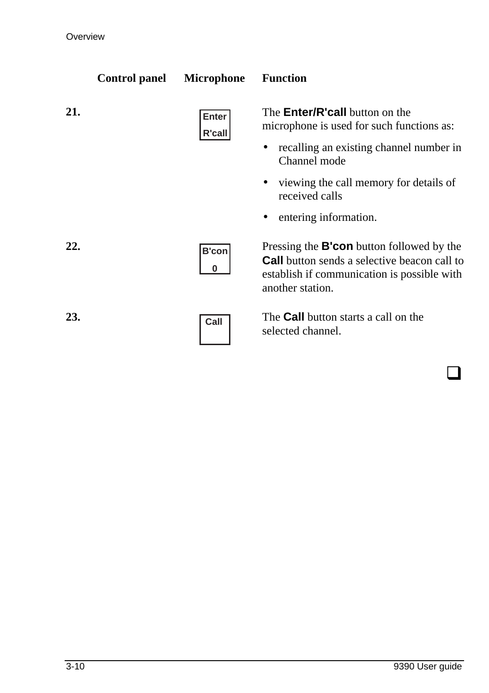|     | Control panel | <b>Microphone</b> | <b>Function</b>                                                                                                                                                            |
|-----|---------------|-------------------|----------------------------------------------------------------------------------------------------------------------------------------------------------------------------|
| 21. |               | Enter<br>R'call   | The <b>Enter/R'call</b> button on the<br>microphone is used for such functions as:                                                                                         |
|     |               |                   | recalling an existing channel number in<br>Channel mode                                                                                                                    |
|     |               |                   | viewing the call memory for details of<br>received calls                                                                                                                   |
|     |               |                   | entering information.                                                                                                                                                      |
| 22. |               | <b>B'con</b><br>U | Pressing the <b>B'con</b> button followed by the<br><b>Call</b> button sends a selective beacon call to<br>establish if communication is possible with<br>another station. |
| 23. |               | Call              | The <b>Call</b> button starts a call on the<br>selected channel.                                                                                                           |

 $\Box$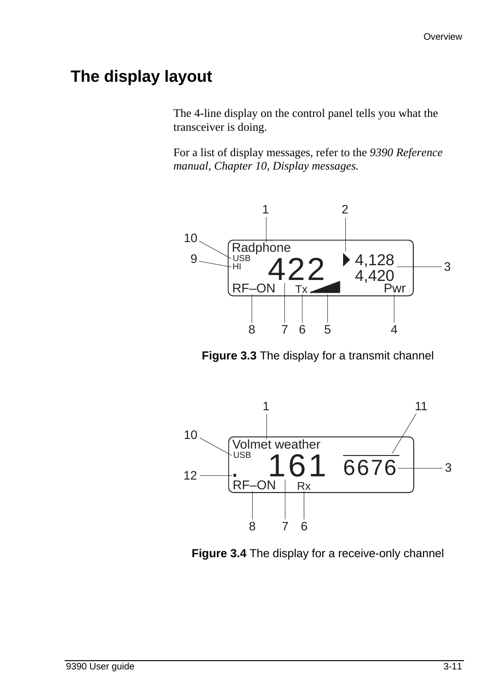## **The display layout**

The 4-line display on the control panel tells you what the transceiver is doing.

For a list of display messages, refer to the *9390 Reference manual, Chapter 10, Display messages.*



**Figure 3.3** The display for a transmit channel



**Figure 3.4** The display for a receive-only channel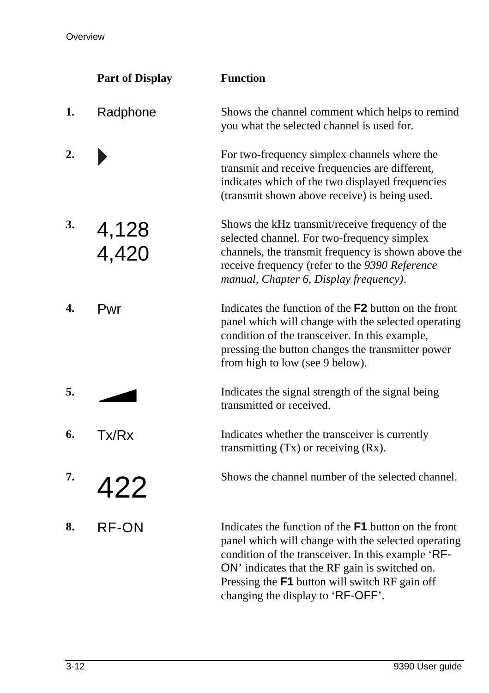|    | <b>Part of Display</b> | <b>Function</b>                                                                                                                                                                                                                                                                                            |
|----|------------------------|------------------------------------------------------------------------------------------------------------------------------------------------------------------------------------------------------------------------------------------------------------------------------------------------------------|
| 1. | Radphone               | Shows the channel comment which helps to remind<br>you what the selected channel is used for.                                                                                                                                                                                                              |
| 2. |                        | For two-frequency simplex channels where the<br>transmit and receive frequencies are different,<br>indicates which of the two displayed frequencies<br>(transmit shown above receive) is being used.                                                                                                       |
| 3. | 4,128<br>4,420         | Shows the kHz transmit/receive frequency of the<br>selected channel. For two-frequency simplex<br>channels, the transmit frequency is shown above the<br>receive frequency (refer to the 9390 Reference<br>manual, Chapter 6, Display frequency).                                                          |
| 4. | Pwr                    | Indicates the function of the <b>F2</b> button on the front<br>panel which will change with the selected operating<br>condition of the transceiver. In this example,<br>pressing the button changes the transmitter power<br>from high to low (see 9 below).                                               |
| 5. |                        | Indicates the signal strength of the signal being<br>transmitted or received.                                                                                                                                                                                                                              |
| 6. | Tx/Rx                  | Indicates whether the transceiver is currently<br>transmitting $(Tx)$ or receiving $(Rx)$ .                                                                                                                                                                                                                |
| 7. | 422                    | Shows the channel number of the selected channel.                                                                                                                                                                                                                                                          |
| 8. | <b>RF-ON</b>           | Indicates the function of the F1 button on the front<br>panel which will change with the selected operating<br>condition of the transceiver. In this example 'RF-<br>ON' indicates that the RF gain is switched on.<br>Pressing the F1 button will switch RF gain off<br>changing the display to 'RF-OFF'. |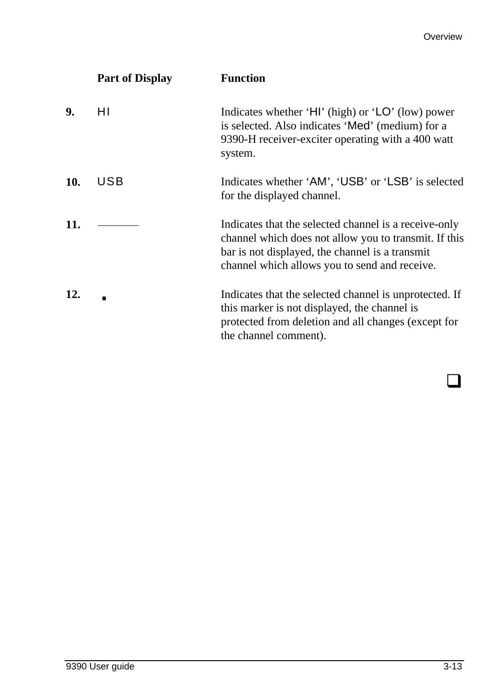|     | <b>Part of Display</b> | <b>Function</b>                                                                                                                                                                                                    |
|-----|------------------------|--------------------------------------------------------------------------------------------------------------------------------------------------------------------------------------------------------------------|
| 9.  | нı                     | Indicates whether 'HI' (high) or 'LO' (low) power<br>is selected. Also indicates 'Med' (medium) for a<br>9390-H receiver-exciter operating with a 400 watt<br>system.                                              |
| 10. | USB                    | Indicates whether 'AM', 'USB' or 'LSB' is selected<br>for the displayed channel.                                                                                                                                   |
| 11. |                        | Indicates that the selected channel is a receive-only<br>channel which does not allow you to transmit. If this<br>bar is not displayed, the channel is a transmit<br>channel which allows you to send and receive. |
| 12. | п                      | Indicates that the selected channel is unprotected. If<br>this marker is not displayed, the channel is<br>protected from deletion and all changes (except for<br>the channel comment).                             |

 $\Box$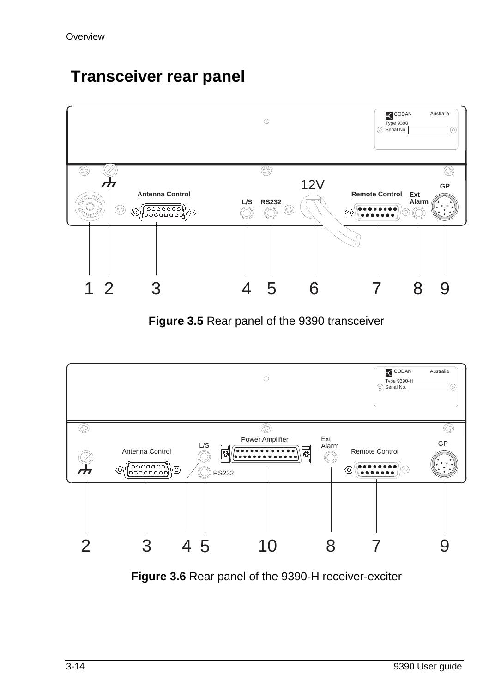## **Transceiver rear panel**



**Figure 3.5** Rear panel of the 9390 transceiver



**Figure 3.6** Rear panel of the 9390-H receiver-exciter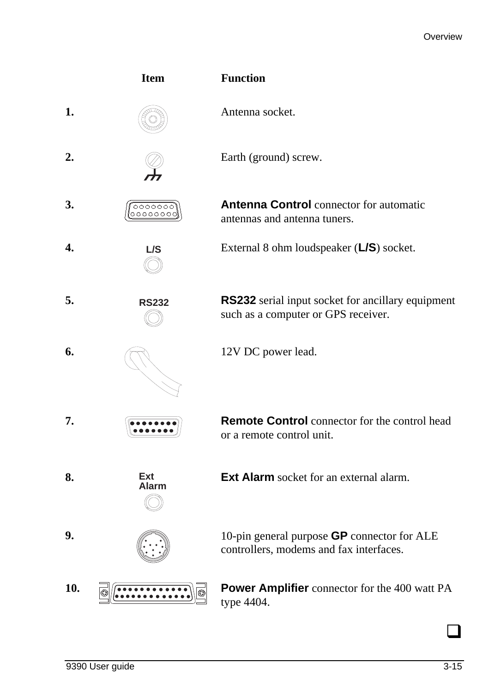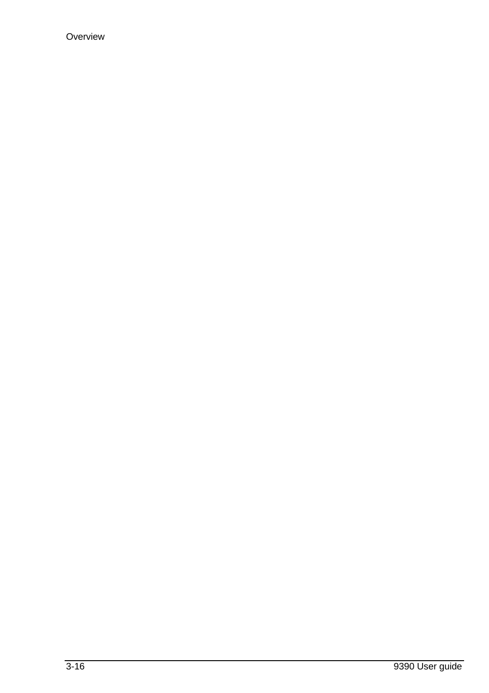Overview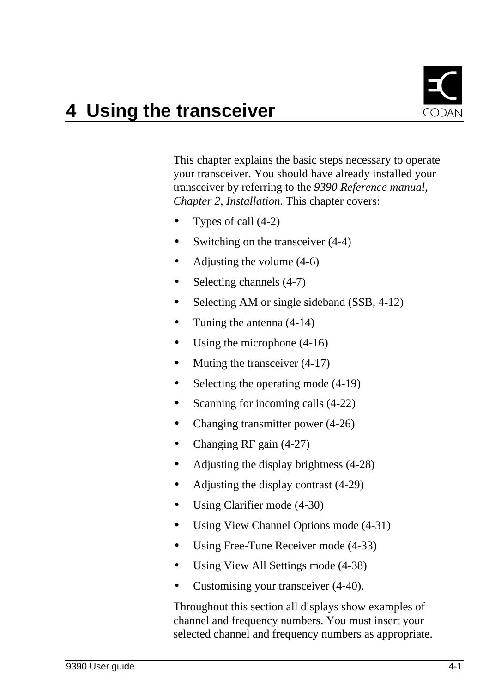

# **4 Using the transceiver**

This chapter explains the basic steps necessary to operate your transceiver. You should have already installed your transceiver by referring to the *9390 Reference manual, Chapter 2, Installation*. This chapter covers:

- Types of call (4-2)
- Switching on the transceiver  $(4-4)$
- Adjusting the volume (4-6)
- Selecting channels  $(4-7)$
- Selecting AM or single sideband (SSB, 4-12)
- Tuning the antenna  $(4-14)$
- Using the microphone  $(4-16)$
- Muting the transceiver  $(4-17)$
- Selecting the operating mode  $(4-19)$
- Scanning for incoming calls  $(4-22)$
- Changing transmitter power  $(4-26)$
- Changing RF gain (4-27)
- Adjusting the display brightness (4-28)
- Adjusting the display contrast (4-29)
- Using Clarifier mode (4-30)
- Using View Channel Options mode (4-31)
- Using Free-Tune Receiver mode (4-33)
- Using View All Settings mode (4-38)
- Customising your transceiver  $(4-40)$ .

Throughout this section all displays show examples of channel and frequency numbers. You must insert your selected channel and frequency numbers as appropriate.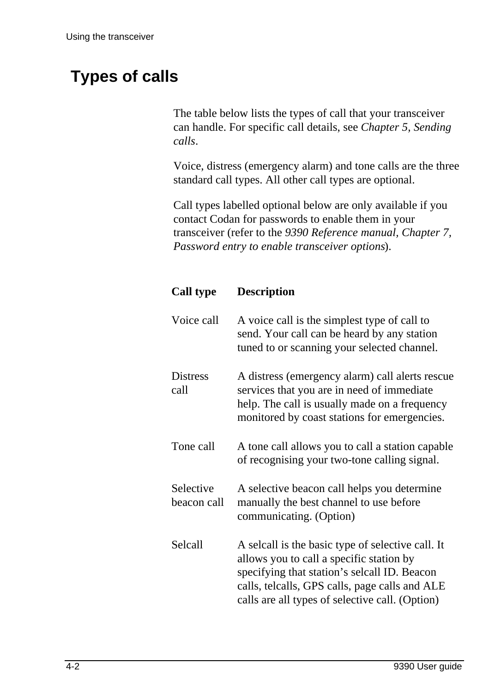# **Types of calls**

The table below lists the types of call that your transceiver can handle. For specific call details, see *Chapter 5, Sending calls*.

Voice, distress (emergency alarm) and tone calls are the three standard call types. All other call types are optional.

Call types labelled optional below are only available if you contact Codan for passwords to enable them in your transceiver (refer to the *9390 Reference manual, Chapter 7, Password entry to enable transceiver options*).

#### **Call type Description**

| Voice call               | A voice call is the simplest type of call to<br>send. Your call can be heard by any station<br>tuned to or scanning your selected channel.                                                                                                         |
|--------------------------|----------------------------------------------------------------------------------------------------------------------------------------------------------------------------------------------------------------------------------------------------|
| <b>Distress</b><br>call  | A distress (emergency alarm) call alerts rescue<br>services that you are in need of immediate<br>help. The call is usually made on a frequency<br>monitored by coast stations for emergencies.                                                     |
| Tone call                | A tone call allows you to call a station capable<br>of recognising your two-tone calling signal.                                                                                                                                                   |
| Selective<br>beacon call | A selective beacon call helps you determine<br>manually the best channel to use before<br>communicating. (Option)                                                                                                                                  |
| Selcall                  | A selcall is the basic type of selective call. It<br>allows you to call a specific station by<br>specifying that station's selcall ID. Beacon<br>calls, telcalls, GPS calls, page calls and ALE<br>calls are all types of selective call. (Option) |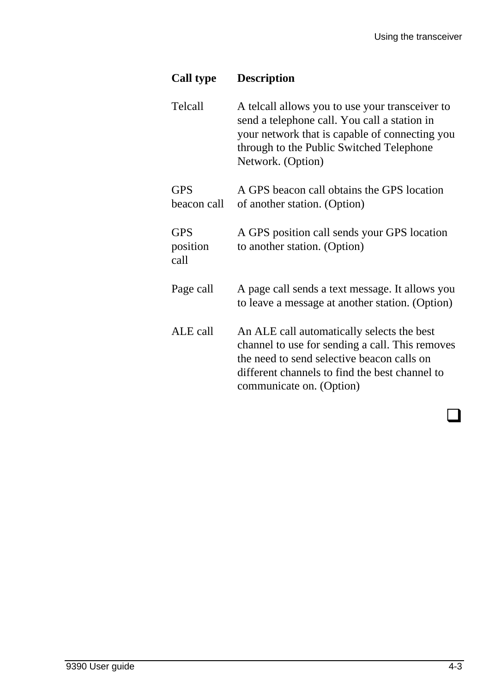| <b>Call type</b>               | <b>Description</b>                                                                                                                                                                                                        |
|--------------------------------|---------------------------------------------------------------------------------------------------------------------------------------------------------------------------------------------------------------------------|
| Telcall                        | A telcall allows you to use your transceiver to<br>send a telephone call. You call a station in<br>your network that is capable of connecting you<br>through to the Public Switched Telephone<br>Network. (Option)        |
| <b>GPS</b><br>beacon call      | A GPS beacon call obtains the GPS location<br>of another station. (Option)                                                                                                                                                |
| <b>GPS</b><br>position<br>call | A GPS position call sends your GPS location<br>to another station. (Option)                                                                                                                                               |
| Page call                      | A page call sends a text message. It allows you<br>to leave a message at another station. (Option)                                                                                                                        |
| $ALE$ call                     | An ALE call automatically selects the best<br>channel to use for sending a call. This removes<br>the need to send selective beacon calls on<br>different channels to find the best channel to<br>communicate on. (Option) |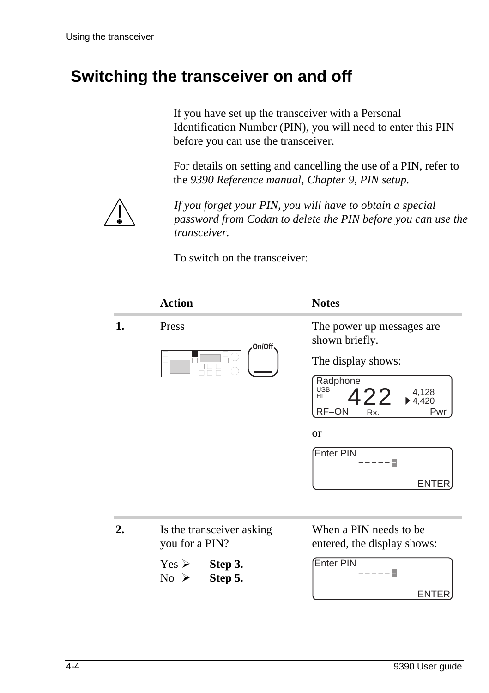## **Switching the transceiver on and off**

If you have set up the transceiver with a Personal Identification Number (PIN), you will need to enter this PIN before you can use the transceiver.

For details on setting and cancelling the use of a PIN, refer to the *9390 Reference manual*, *Chapter 9, PIN setup.*



*If you forget your PIN, you will have to obtain a special password from Codan to delete the PIN before you can use the transceiver.*

To switch on the transceiver:

|                  | <b>Action</b>                                       | <b>Notes</b>                                                                                                                      |
|------------------|-----------------------------------------------------|-----------------------------------------------------------------------------------------------------------------------------------|
| 1.               | Press<br>On/Off                                     | The power up messages are.<br>shown briefly.                                                                                      |
|                  |                                                     | The display shows:<br>Radphone<br><b>USB</b><br>422 +4,420<br>HI<br>Rx.<br>RF-ON<br>Pwr<br><b>or</b><br>Enter PIN<br><b>ENTER</b> |
| $\overline{2}$ . | Is the transceiver asking<br>you for a PIN?         | When a PIN needs to be.<br>entered, the display shows:                                                                            |
|                  | Yes ><br>Step 3.<br>Step 5.<br>$\mathrm{No}$ $\geq$ | Enter PIN<br><b>ENTER</b>                                                                                                         |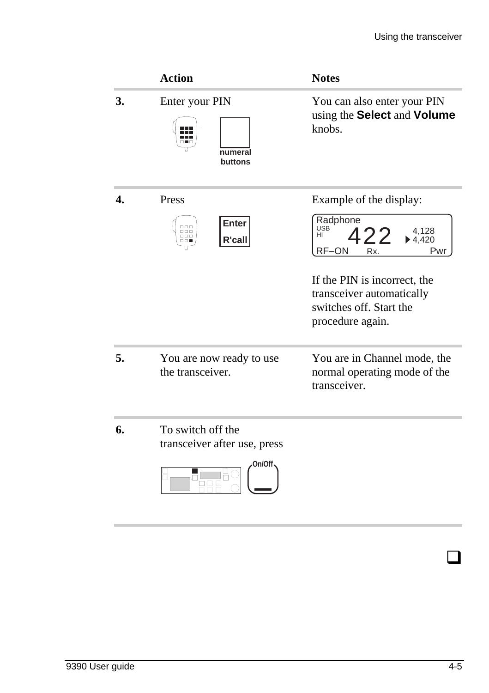| You can also enter your PIN<br>using the Select and Volume<br>knobs.<br>numeral<br>buttons                                                                                                                      |
|-----------------------------------------------------------------------------------------------------------------------------------------------------------------------------------------------------------------|
|                                                                                                                                                                                                                 |
| Example of the display:<br>Radphone<br><b>USB</b><br>422 +4,428<br>HI.<br>RF-ON<br>Pwr<br><b>Rx</b><br>If the PIN is incorrect, the<br>transceiver automatically<br>switches off. Start the<br>procedure again. |
| You are now ready to use<br>You are in Channel mode, the<br>normal operating mode of the<br>transceiver.                                                                                                        |
| transceiver after use, press<br>On/Off                                                                                                                                                                          |
|                                                                                                                                                                                                                 |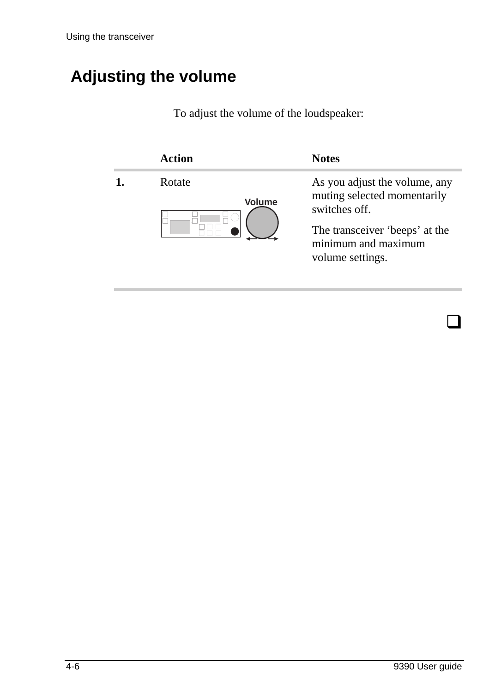# **Adjusting the volume**

To adjust the volume of the loudspeaker:

| Action                  | <b>Notes</b>                                                                                                                                               |
|-------------------------|------------------------------------------------------------------------------------------------------------------------------------------------------------|
| Rotate<br><b>Volume</b> | As you adjust the volume, any<br>muting selected momentarily<br>switches off.<br>The transceiver 'beeps' at the<br>minimum and maximum<br>volume settings. |

ר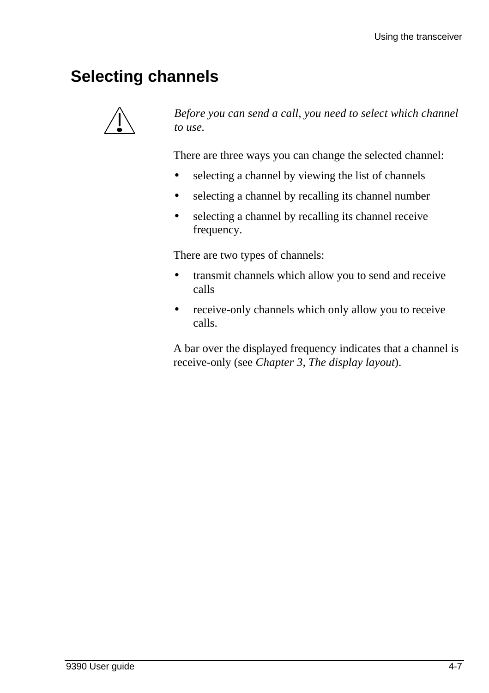## **Selecting channels**



*Before you can send a call, you need to select which channel to use.*

There are three ways you can change the selected channel:

- selecting a channel by viewing the list of channels
- selecting a channel by recalling its channel number
- selecting a channel by recalling its channel receive frequency.

There are two types of channels:

- transmit channels which allow you to send and receive calls
- receive-only channels which only allow you to receive calls.

A bar over the displayed frequency indicates that a channel is receive-only (see *Chapter 3, The display layout*).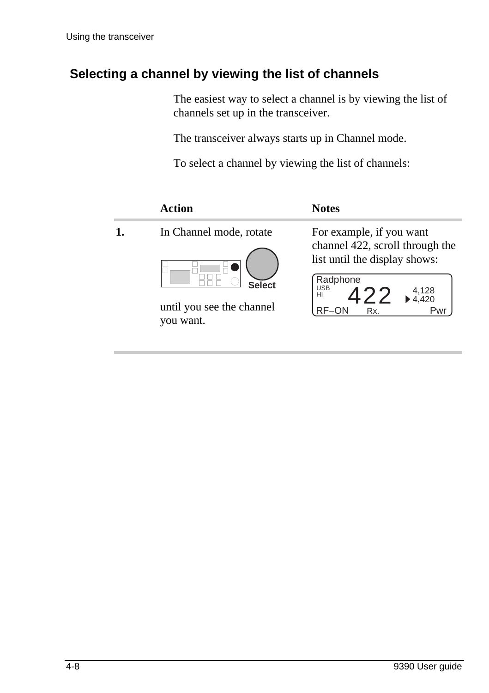### **Selecting a channel by viewing the list of channels**

The easiest way to select a channel is by viewing the list of channels set up in the transceiver.

The transceiver always starts up in Channel mode.

To select a channel by viewing the list of channels:

| Action                                                                             | <b>Notes</b>                                                                                                                                     |
|------------------------------------------------------------------------------------|--------------------------------------------------------------------------------------------------------------------------------------------------|
| In Channel mode, rotate<br><b>Select</b><br>until you see the channel<br>you want. | For example, if you want<br>channel 422, scroll through the<br>list until the display shows:<br>Radphone<br>4,128<br>4,420 ء<br>HI<br>Rx.<br>Pwr |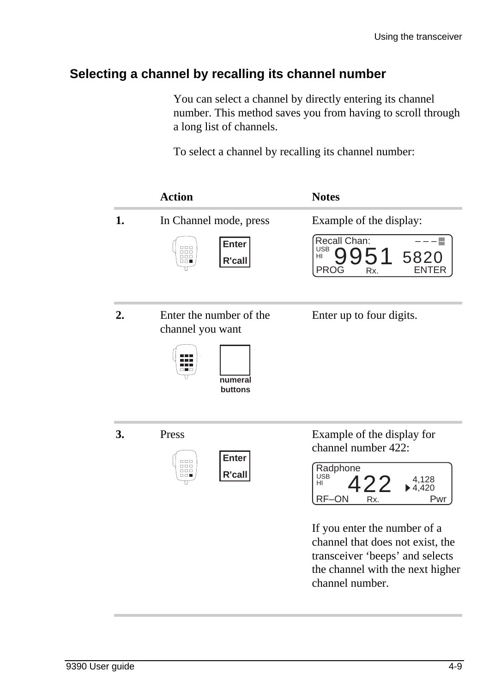#### **Selecting a channel by recalling its channel number**

You can select a channel by directly entering its channel number. This method saves you from having to scroll through a long list of channels.

To select a channel by recalling its channel number:

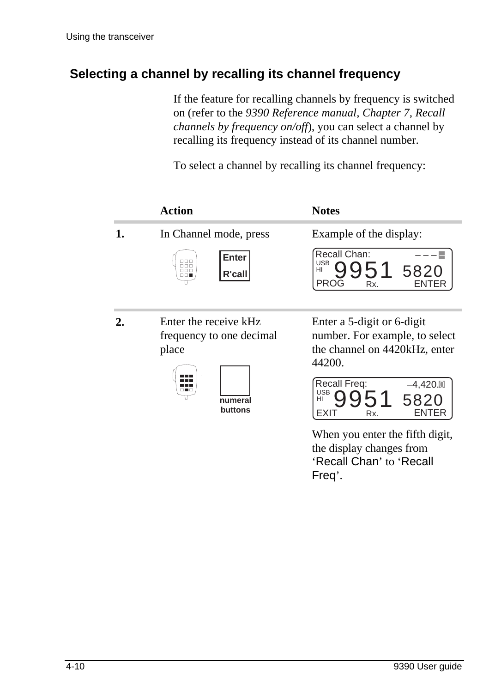### **Selecting a channel by recalling its channel frequency**

If the feature for recalling channels by frequency is switched on (refer to the *9390 Reference manual, Chapter 7, Recall channels by frequency on/off*), you can select a channel by recalling its frequency instead of its channel number.

To select a channel by recalling its channel frequency:

|    | Action                                                                           | <b>Notes</b>                                                                                                                                              |
|----|----------------------------------------------------------------------------------|-----------------------------------------------------------------------------------------------------------------------------------------------------------|
| 1. | In Channel mode, press                                                           | Example of the display:                                                                                                                                   |
|    | Enter<br>88<br>000<br>R'call<br>□□■                                              | Recall Chan:<br><b>USB</b><br>-582<br>HI<br>ENTER<br>PRO<br>Rx.                                                                                           |
| 2. | Enter the receive kHz<br>frequency to one decimal<br>place<br>numeral<br>buttons | Enter a 5-digit or 6-digit<br>number. For example, to select<br>the channel on 4420 kHz, enter<br>44200.<br>Recall Freq:<br>$-4,420.$<br><b>USB</b><br>HI |
|    |                                                                                  | ENTER<br>Rx.<br>EXIT<br>When you enter the fifth digit,<br>the display changes from                                                                       |

'Recall Chan' to 'Recall

Freq'.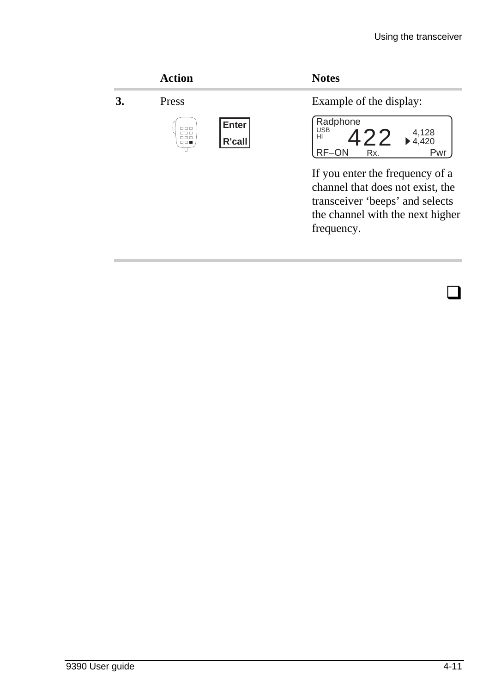| Action |                | <b>Notes</b>                                                                                                                                             |
|--------|----------------|----------------------------------------------------------------------------------------------------------------------------------------------------------|
| Press  |                | Example of the display:                                                                                                                                  |
| 885    | Enter<br>R'cal | Radphone<br><b>USB</b><br>$422$ $\rightarrow$ $4,420$<br>HI.<br>RF-ON<br>Pwr                                                                             |
|        |                | If you enter the frequency of a<br>channel that does not exist, the<br>transceiver 'beeps' and selects<br>the channel with the next higher<br>frequency. |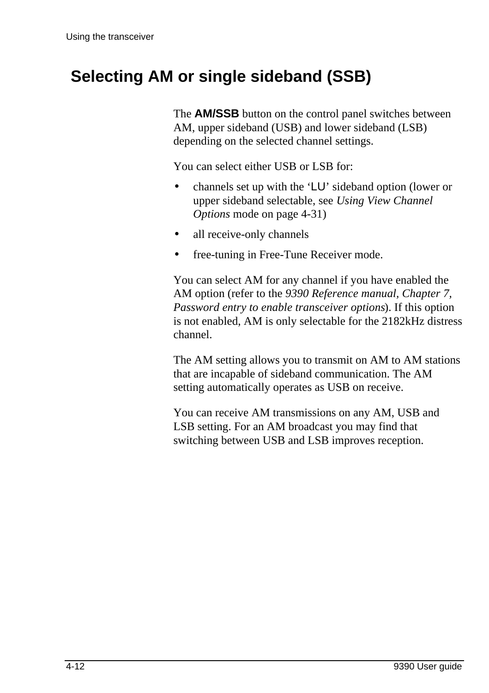# **Selecting AM or single sideband (SSB)**

The **AM/SSB** button on the control panel switches between AM, upper sideband (USB) and lower sideband (LSB) depending on the selected channel settings.

You can select either USB or LSB for:

- channels set up with the 'LU' sideband option (lower or upper sideband selectable, see *Using View Channel Options* mode on page 4-31)
- all receive-only channels
- free-tuning in Free-Tune Receiver mode.

You can select AM for any channel if you have enabled the AM option (refer to the *9390 Reference manual, Chapter 7, Password entry to enable transceiver options*). If this option is not enabled, AM is only selectable for the 2182kHz distress channel.

The AM setting allows you to transmit on AM to AM stations that are incapable of sideband communication. The AM setting automatically operates as USB on receive.

You can receive AM transmissions on any AM, USB and LSB setting. For an AM broadcast you may find that switching between USB and LSB improves reception.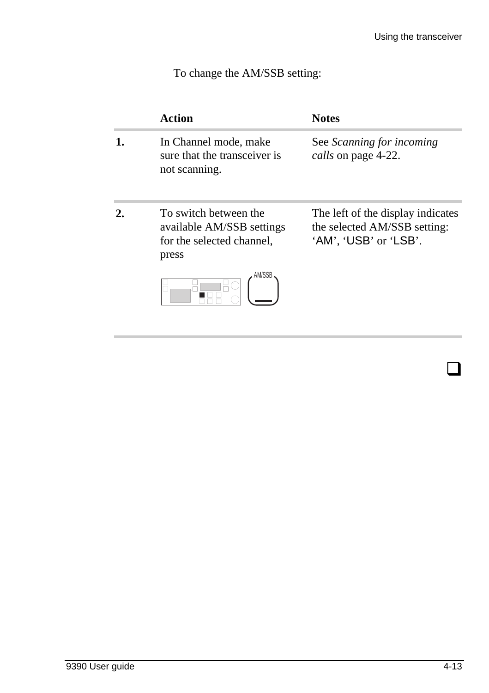To change the AM/SSB setting:

| Action                                                                                   | <b>Notes</b>                                                                               |
|------------------------------------------------------------------------------------------|--------------------------------------------------------------------------------------------|
| In Channel mode, make<br>sure that the transceiver is<br>not scanning.                   | See Scanning for incoming<br>calls on page 4-22.                                           |
| To switch between the<br>available AM/SSB settings<br>for the selected channel,<br>press | The left of the display indicates<br>the selected AM/SSB setting:<br>'AM', 'USB' or 'LSB'. |
| AM/SSB                                                                                   |                                                                                            |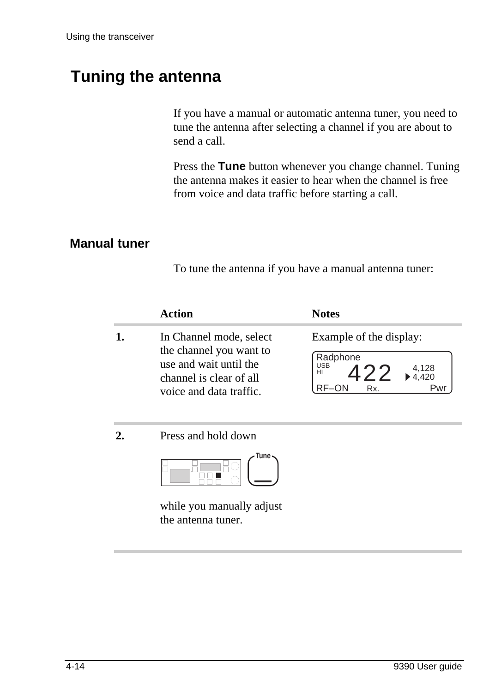# **Tuning the antenna**

If you have a manual or automatic antenna tuner, you need to tune the antenna after selecting a channel if you are about to send a call.

Press the **Tune** button whenever you change channel. Tuning the antenna makes it easier to hear when the channel is free from voice and data traffic before starting a call.

#### **Manual tuner**

To tune the antenna if you have a manual antenna tuner:

| Action                                                                                                                             | <b>Notes</b>                                                                |
|------------------------------------------------------------------------------------------------------------------------------------|-----------------------------------------------------------------------------|
| In Channel mode, select<br>the channel you want to<br>use and wait until the<br>channel is clear of all<br>voice and data traffic. | Example of the display:<br>Radphone<br>$4,128$<br>4,420<br>Ĥľ<br>Rx.<br>Pwr |

**2.** Press and hold down



while you manually adjust the antenna tuner.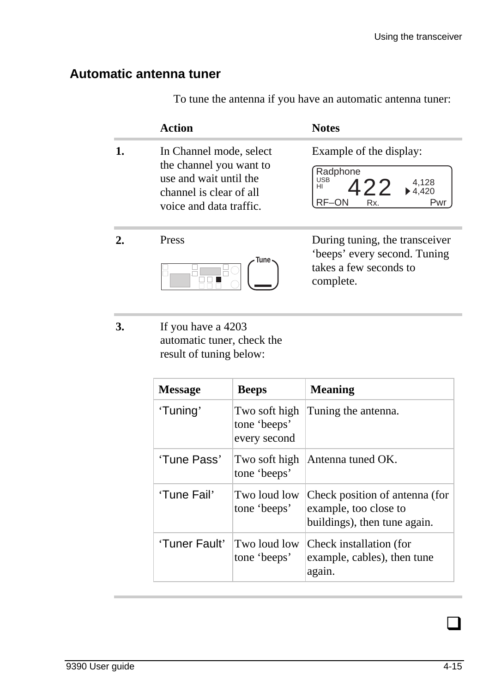### **Automatic antenna tuner**

| Action                                                                                                                             | <b>Notes</b>                                                                                                |
|------------------------------------------------------------------------------------------------------------------------------------|-------------------------------------------------------------------------------------------------------------|
| In Channel mode, select<br>the channel you want to<br>use and wait until the<br>channel is clear of all<br>voice and data traffic. | Example of the display:<br>Radphone<br><b>USB</b><br>$422$ $\rightarrow$ 4,128<br>HI<br>Rx.<br>RF-ON<br>Pwr |
| Press<br>Tune                                                                                                                      | During tuning, the transceiver<br>'beeps' every second. Tuning<br>takes a few seconds to<br>complete.       |

To tune the antenna if you have an automatic antenna tuner:

**3.** If you have a 4203 automatic tuner, check the result of tuning below:

| <b>Message</b> | <b>Beeps</b>                                  | <b>Meaning</b>                                                                          |
|----------------|-----------------------------------------------|-----------------------------------------------------------------------------------------|
| 'Tuning'       | Two soft high<br>tone 'beeps'<br>every second | Tuning the antenna.                                                                     |
| 'Tune Pass'    | Two soft high<br>tone 'beeps'                 | Antenna tuned OK.                                                                       |
| 'Tune Fail'    | Two loud low<br>tone 'beeps'                  | Check position of antenna (for<br>example, too close to<br>buildings), then tune again. |
| 'Tuner Fault'⊹ | Two loud low<br>tone 'beeps'                  | Check installation (for<br>example, cables), then tune<br>again.                        |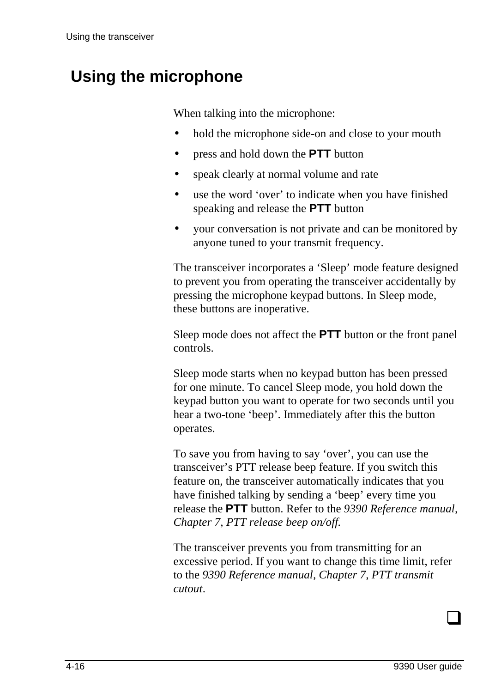# **Using the microphone**

When talking into the microphone:

- hold the microphone side-on and close to your mouth
- press and hold down the **PTT** button
- speak clearly at normal volume and rate
- use the word 'over' to indicate when you have finished speaking and release the **PTT** button
- your conversation is not private and can be monitored by anyone tuned to your transmit frequency.

The transceiver incorporates a 'Sleep' mode feature designed to prevent you from operating the transceiver accidentally by pressing the microphone keypad buttons. In Sleep mode, these buttons are inoperative.

Sleep mode does not affect the **PTT** button or the front panel controls.

Sleep mode starts when no keypad button has been pressed for one minute. To cancel Sleep mode, you hold down the keypad button you want to operate for two seconds until you hear a two-tone 'beep'. Immediately after this the button operates.

To save you from having to say 'over', you can use the transceiver's PTT release beep feature. If you switch this feature on, the transceiver automatically indicates that you have finished talking by sending a 'beep' every time you release the **PTT** button. Refer to the *9390 Reference manual, Chapter 7, PTT release beep on/off*.

The transceiver prevents you from transmitting for an excessive period. If you want to change this time limit, refer to the *9390 Reference manual, Chapter 7, PTT transmit cutout*.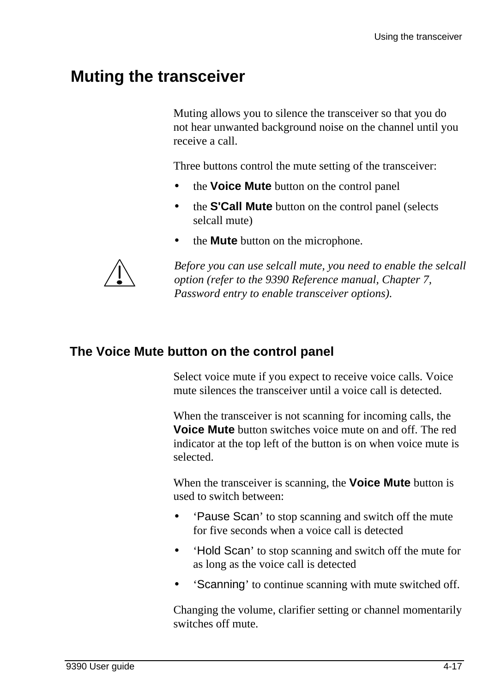### **Muting the transceiver**

Muting allows you to silence the transceiver so that you do not hear unwanted background noise on the channel until you receive a call.

Three buttons control the mute setting of the transceiver:

- the **Voice Mute** button on the control panel
- the **S'Call Mute** button on the control panel (selects selcall mute)
- the **Mute** button on the microphone.



*Before you can use selcall mute, you need to enable the selcall option (refer to the 9390 Reference manual, Chapter 7, Password entry to enable transceiver options).*

#### **The Voice Mute button on the control panel**

Select voice mute if you expect to receive voice calls. Voice mute silences the transceiver until a voice call is detected.

When the transceiver is not scanning for incoming calls, the **Voice Mute** button switches voice mute on and off. The red indicator at the top left of the button is on when voice mute is selected.

When the transceiver is scanning, the **Voice Mute** button is used to switch between:

- 'Pause Scan' to stop scanning and switch off the mute for five seconds when a voice call is detected
- 'Hold Scan' to stop scanning and switch off the mute for as long as the voice call is detected
- 'Scanning' to continue scanning with mute switched off.

Changing the volume, clarifier setting or channel momentarily switches off mute.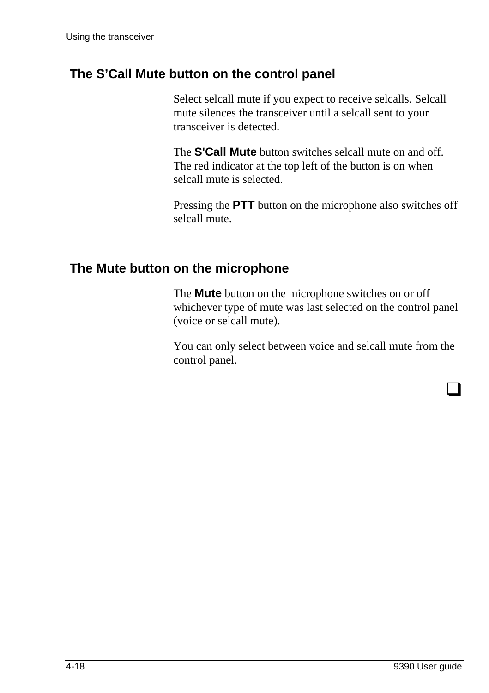#### **The S'Call Mute button on the control panel**

Select selcall mute if you expect to receive selcalls. Selcall mute silences the transceiver until a selcall sent to your transceiver is detected.

The **S'Call Mute** button switches selcall mute on and off. The red indicator at the top left of the button is on when selcall mute is selected.

Pressing the **PTT** button on the microphone also switches off selcall mute.

#### **The Mute button on the microphone**

The **Mute** button on the microphone switches on or off whichever type of mute was last selected on the control panel (voice or selcall mute).

You can only select between voice and selcall mute from the control panel.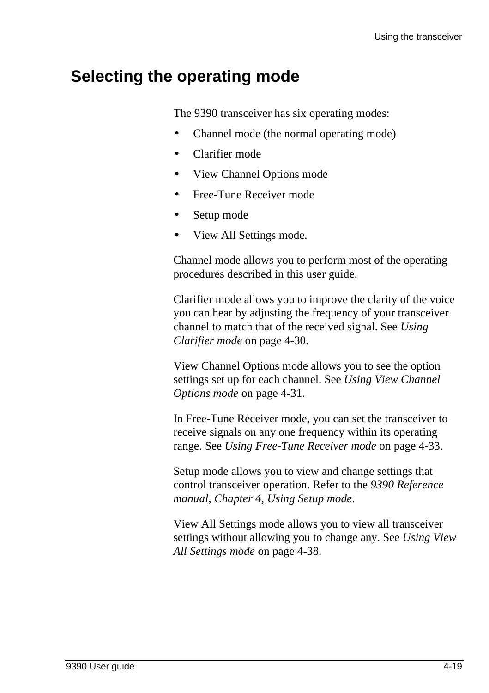### **Selecting the operating mode**

The 9390 transceiver has six operating modes:

- Channel mode (the normal operating mode)
- Clarifier mode
- View Channel Options mode
- Free-Tune Receiver mode
- Setup mode
- View All Settings mode.

Channel mode allows you to perform most of the operating procedures described in this user guide.

Clarifier mode allows you to improve the clarity of the voice you can hear by adjusting the frequency of your transceiver channel to match that of the received signal. See *Using Clarifier mode* on page 4-30.

View Channel Options mode allows you to see the option settings set up for each channel. See *Using View Channel Options mode* on page 4-31.

In Free-Tune Receiver mode, you can set the transceiver to receive signals on any one frequency within its operating range. See *Using Free-Tune Receiver mode* on page 4-33.

Setup mode allows you to view and change settings that control transceiver operation. Refer to the *9390 Reference manual, Chapter 4, Using Setup mode*.

View All Settings mode allows you to view all transceiver settings without allowing you to change any. See *Using View All Settings mode* on page 4-38.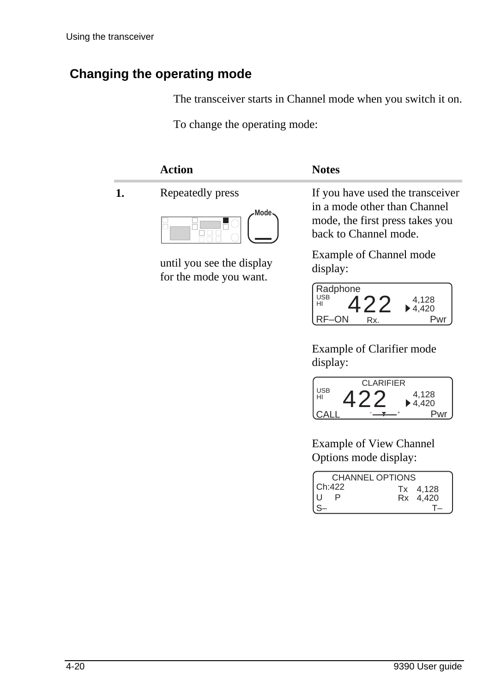### **Changing the operating mode**

The transceiver starts in Channel mode when you switch it on.

To change the operating mode:

**Action Notes** 

**1.** Repeatedly press



until you see the display for the mode you want.

If you have used the transceiver in a mode other than Channel mode, the first press takes you back to Channel mode.

Example of Channel mode display:



Example of Clarifier mode display:



Example of View Channel Options mode display:

| <b>CHANNEL OPTIONS</b> |  |          |
|------------------------|--|----------|
| Ch:422                 |  | Tx 4,128 |
| Ιu                     |  | Rx 4,420 |
|                        |  |          |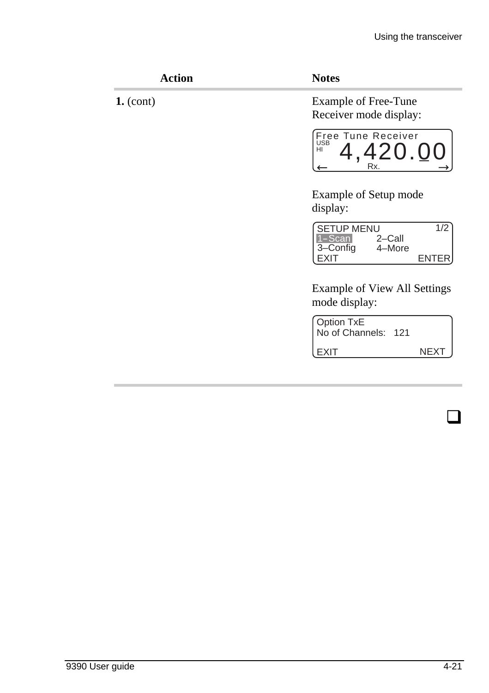| <b>Action</b> | <b>Notes</b>                                                                                                 |
|---------------|--------------------------------------------------------------------------------------------------------------|
| 1. (cont)     | <b>Example of Free-Tune</b><br>Receiver mode display:                                                        |
|               | Free Tune Receiver<br><b>USB</b><br>0.00<br>HI<br>Rx                                                         |
|               | Example of Setup mode<br>display:                                                                            |
|               | 1/2<br><b>SETUP MENU</b><br>$1 - \text{Scan}$<br>2-Call<br>3–Config<br>4-More<br><b>EXIT</b><br><b>ENTER</b> |
|               | Example of View All Settings<br>mode display:                                                                |
|               | Option TxE<br>No of Channels: 121                                                                            |
|               | <b>EXIT</b><br><b>NEXT</b>                                                                                   |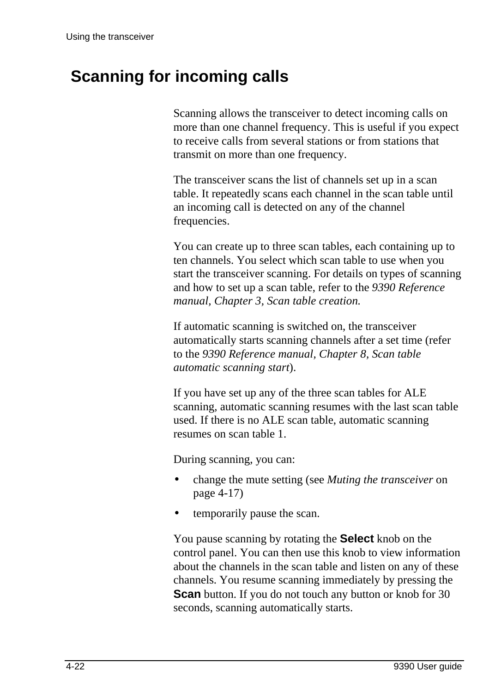# **Scanning for incoming calls**

Scanning allows the transceiver to detect incoming calls on more than one channel frequency. This is useful if you expect to receive calls from several stations or from stations that transmit on more than one frequency.

The transceiver scans the list of channels set up in a scan table. It repeatedly scans each channel in the scan table until an incoming call is detected on any of the channel frequencies.

You can create up to three scan tables, each containing up to ten channels. You select which scan table to use when you start the transceiver scanning. For details on types of scanning and how to set up a scan table, refer to the *9390 Reference manual, Chapter 3, Scan table creation.*

If automatic scanning is switched on, the transceiver automatically starts scanning channels after a set time (refer to the *9390 Reference manual, Chapter 8, Scan table automatic scanning start*).

If you have set up any of the three scan tables for ALE scanning, automatic scanning resumes with the last scan table used. If there is no ALE scan table, automatic scanning resumes on scan table 1.

During scanning, you can:

- change the mute setting (see *Muting the transceiver* on page 4-17)
- temporarily pause the scan.

You pause scanning by rotating the **Select** knob on the control panel. You can then use this knob to view information about the channels in the scan table and listen on any of these channels. You resume scanning immediately by pressing the **Scan** button. If you do not touch any button or knob for 30 seconds, scanning automatically starts.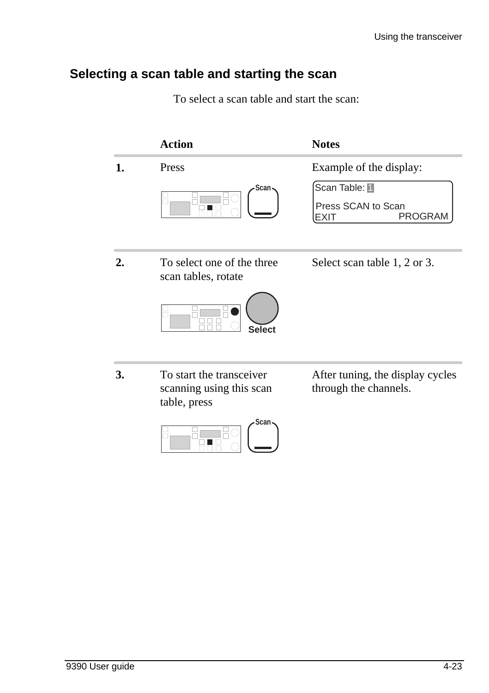#### **Selecting a scan table and starting the scan**

To select a scan table and start the scan:

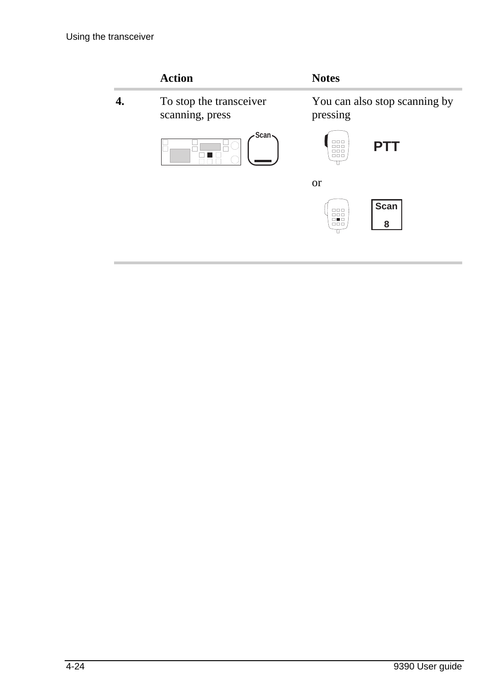| <b>Action</b>                              | <b>Notes</b>                              |
|--------------------------------------------|-------------------------------------------|
| To stop the transceiver<br>scanning, press | You can also stop scanning by<br>pressing |
| Scan -                                     | <b>PTT</b>                                |
|                                            | <b>or</b>                                 |
|                                            | <b>Scan</b><br>00<br>8<br>000             |
|                                            |                                           |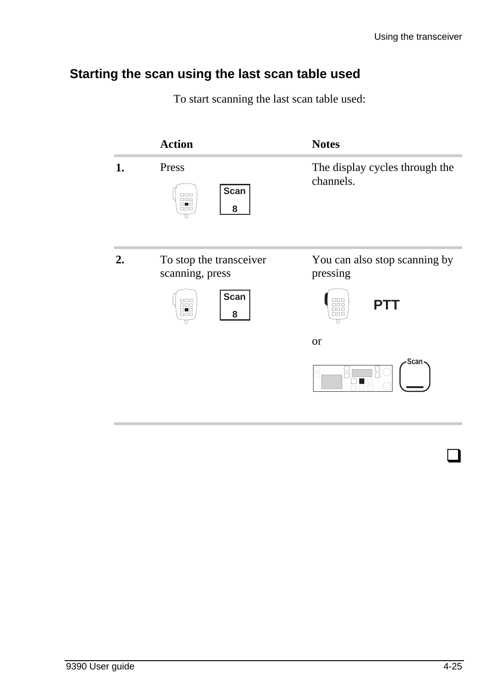### **Starting the scan using the last scan table used**

To start scanning the last scan table used:

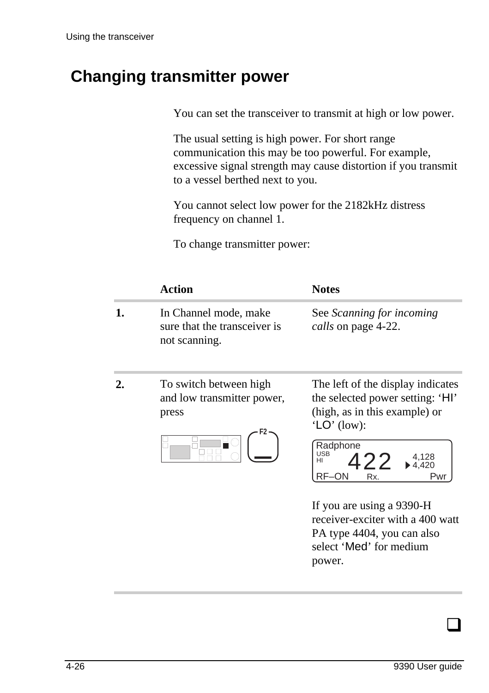# **Changing transmitter power**

You can set the transceiver to transmit at high or low power.

The usual setting is high power. For short range communication this may be too powerful. For example, excessive signal strength may cause distortion if you transmit to a vessel berthed next to you.

You cannot select low power for the 2182kHz distress frequency on channel 1.

To change transmitter power:

| Action                                                                 | <b>Notes</b>                                     |
|------------------------------------------------------------------------|--------------------------------------------------|
| In Channel mode, make<br>sure that the transceiver is<br>not scanning. | See Scanning for incoming<br>calls on page 4-22. |

**2.** To switch between high and low transmitter power, press



The left of the display indicates the selected power setting: 'HI' (high, as in this example) or  $`LO'$  (low):



If you are using a 9390-H receiver-exciter with a 400 watt PA type 4404, you can also select 'Med' for medium power.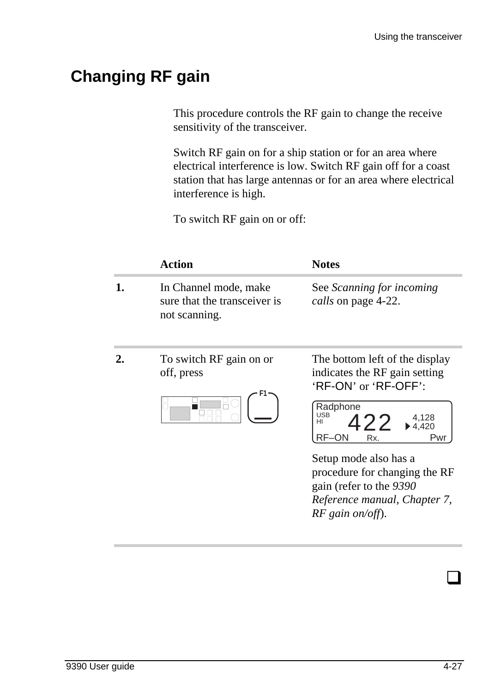## **Changing RF gain**

This procedure controls the RF gain to change the receive sensitivity of the transceiver.

Switch RF gain on for a ship station or for an area where electrical interference is low. Switch RF gain off for a coast station that has large antennas or for an area where electrical interference is high.

To switch RF gain on or off:

|                  | Action                                                                 | <b>Notes</b>                                                                                        |
|------------------|------------------------------------------------------------------------|-----------------------------------------------------------------------------------------------------|
|                  | In Channel mode, make<br>sure that the transceiver is<br>not scanning. | See Scanning for incoming<br>calls on page 4-22.                                                    |
| $\overline{2}$ . | To switch RF gain on or<br>off, press                                  | The bottom left of the display<br>indicates the RF gain setting<br>'RF-ON' or 'RF-OFF':<br>Radphone |
|                  |                                                                        | <b>USB</b><br>4.128                                                                                 |



Setup mode also has a procedure for changing the RF gain (refer to the *9390 Reference manual, Chapter 7, RF gain on/off*).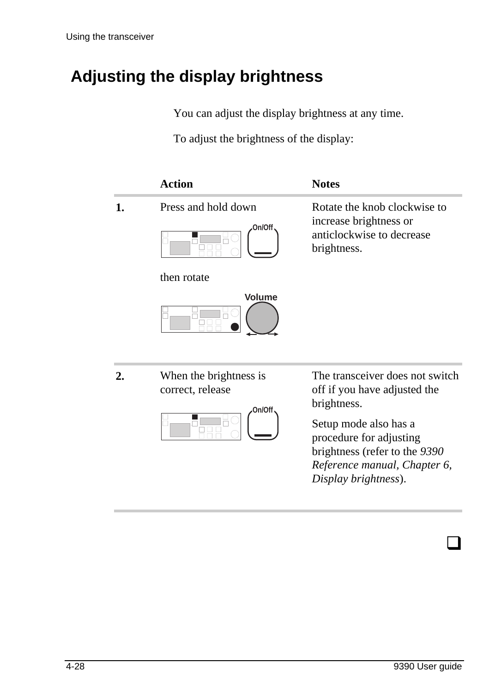# **Adjusting the display brightness**

You can adjust the display brightness at any time.

To adjust the brightness of the display:



*Display brightness*).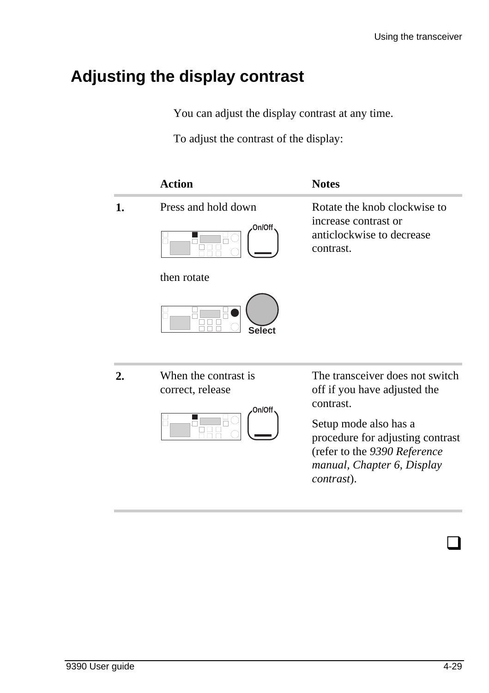## **Adjusting the display contrast**

You can adjust the display contrast at any time.

To adjust the contrast of the display:



*contrast*).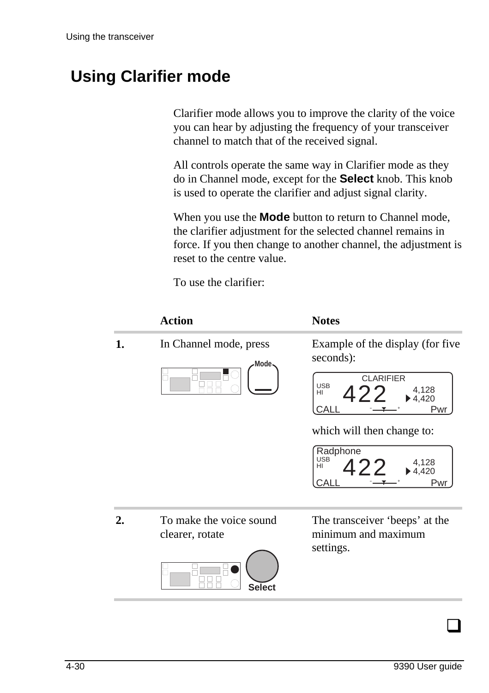# **Using Clarifier mode**

Clarifier mode allows you to improve the clarity of the voice you can hear by adjusting the frequency of your transceiver channel to match that of the received signal.

All controls operate the same way in Clarifier mode as they do in Channel mode, except for the **Select** knob. This knob is used to operate the clarifier and adjust signal clarity.

When you use the **Mode** button to return to Channel mode, the clarifier adjustment for the selected channel remains in force. If you then change to another channel, the adjustment is reset to the centre value.

To use the clarifier:

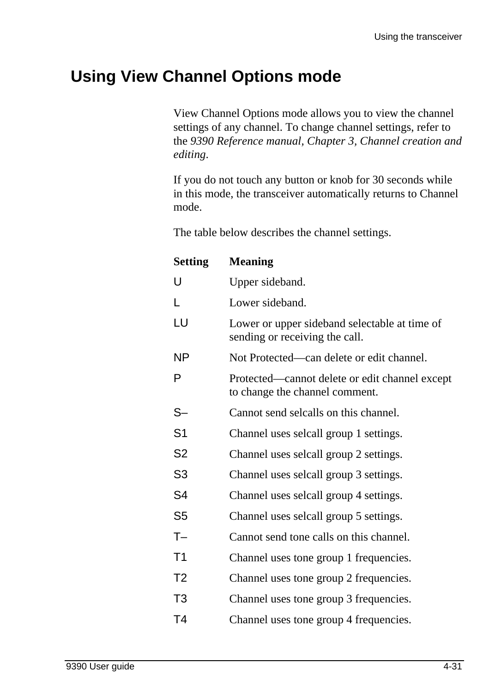## **Using View Channel Options mode**

View Channel Options mode allows you to view the channel settings of any channel. To change channel settings, refer to the *9390 Reference manual, Chapter 3, Channel creation and editing*.

If you do not touch any button or knob for 30 seconds while in this mode, the transceiver automatically returns to Channel mode.

The table below describes the channel settings.

| <b>Setting</b> | <b>Meaning</b>                                                                   |
|----------------|----------------------------------------------------------------------------------|
| U              | Upper sideband.                                                                  |
| L              | Lower sideband.                                                                  |
| LU             | Lower or upper sideband selectable at time of<br>sending or receiving the call.  |
| ΝP             | Not Protected—can delete or edit channel.                                        |
| P              | Protected-cannot delete or edit channel except<br>to change the channel comment. |
| S–             | Cannot send selcalls on this channel.                                            |
| S <sub>1</sub> | Channel uses selcall group 1 settings.                                           |
| S <sub>2</sub> | Channel uses selcall group 2 settings.                                           |
| S <sub>3</sub> | Channel uses selcall group 3 settings.                                           |
| S <sub>4</sub> | Channel uses selcall group 4 settings.                                           |
| S <sub>5</sub> | Channel uses selcall group 5 settings.                                           |
| $T -$          | Cannot send tone calls on this channel.                                          |
| T <sub>1</sub> | Channel uses tone group 1 frequencies.                                           |
| T <sub>2</sub> | Channel uses tone group 2 frequencies.                                           |
| T <sub>3</sub> | Channel uses tone group 3 frequencies.                                           |
| T <sub>4</sub> | Channel uses tone group 4 frequencies.                                           |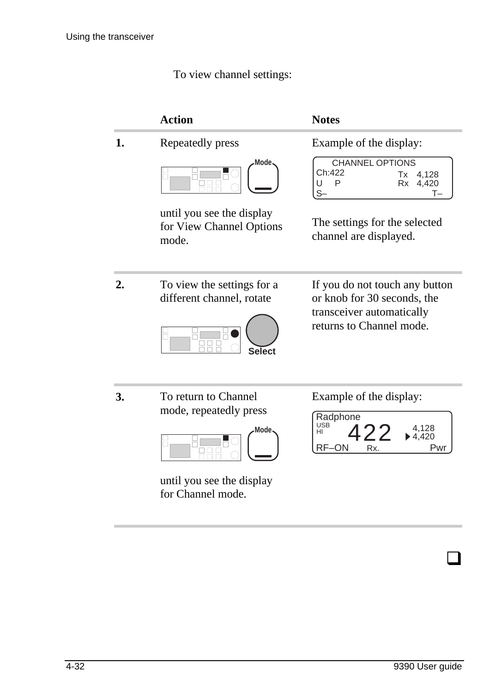To view channel settings:

|                  | <b>Action</b>                                                                                            | <b>Notes</b>                                                                                                           |
|------------------|----------------------------------------------------------------------------------------------------------|------------------------------------------------------------------------------------------------------------------------|
| 1.               | Repeatedly press                                                                                         | Example of the display:                                                                                                |
|                  | Mode                                                                                                     | <b>CHANNEL OPTIONS</b><br>Ch:422<br>Тx<br>4,128<br>U<br>P<br>4,420<br>Rx<br>S.                                         |
|                  | until you see the display<br>for View Channel Options<br>mode.                                           | The settings for the selected<br>channel are displayed.                                                                |
| $\overline{2}$ . | To view the settings for a<br>different channel, rotate<br><b>Select</b>                                 | If you do not touch any button<br>or knob for 30 seconds, the<br>transceiver automatically<br>returns to Channel mode. |
| 3.               | To return to Channel<br>mode, repeatedly press<br>Mode<br>until you see the display<br>for Channel mode. | Example of the display:<br>Radphone<br><b>USB</b><br>4,128<br><b>422</b><br>HI<br>4.420<br>RF-ON<br>Pwr                |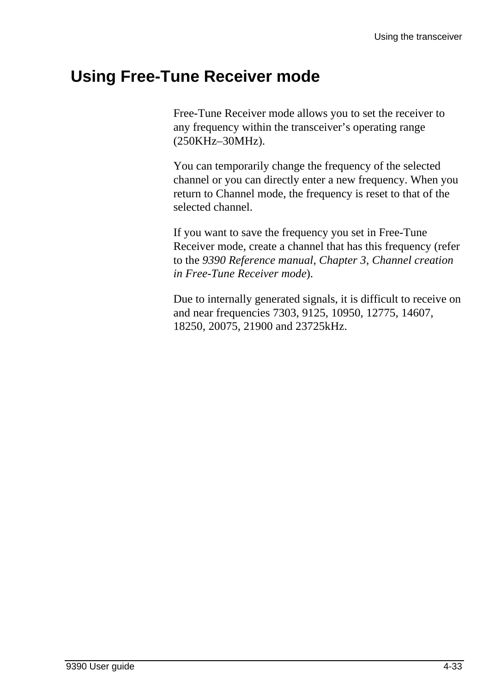### **Using Free-Tune Receiver mode**

Free-Tune Receiver mode allows you to set the receiver to any frequency within the transceiver's operating range (250KHz–30MHz).

You can temporarily change the frequency of the selected channel or you can directly enter a new frequency. When you return to Channel mode, the frequency is reset to that of the selected channel.

If you want to save the frequency you set in Free-Tune Receiver mode, create a channel that has this frequency (refer to the *9390 Reference manual, Chapter 3, Channel creation in Free-Tune Receiver mode*).

Due to internally generated signals, it is difficult to receive on and near frequencies 7303, 9125, 10950, 12775, 14607, 18250, 20075, 21900 and 23725kHz.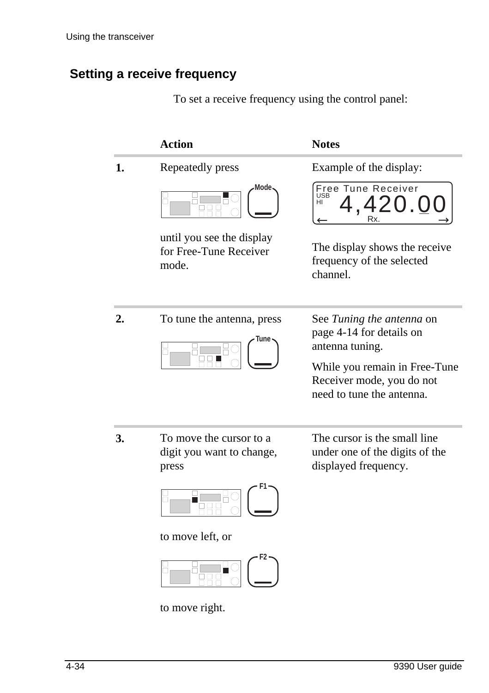### **Setting a receive frequency**

To set a receive frequency using the control panel:

|    | <b>Action</b>                                                                                       | <b>Notes</b>                                                                                                                                                        |
|----|-----------------------------------------------------------------------------------------------------|---------------------------------------------------------------------------------------------------------------------------------------------------------------------|
| 1. | Repeatedly press<br>Mode<br>until you see the display<br>for Free-Tune Receiver<br>mode.            | Example of the display:<br>Free Tune Receiver<br><b>USB</b><br>HI<br>The display shows the receive<br>frequency of the selected<br>channel.                         |
| 2. | To tune the antenna, press<br>Tune                                                                  | See Tuning the antenna on<br>page 4-14 for details on<br>antenna tuning.<br>While you remain in Free-Tune<br>Receiver mode, you do not<br>need to tune the antenna. |
| 3. | To move the cursor to a<br>digit you want to change,<br>press<br>to move left, or<br>to move right. | The cursor is the small line<br>under one of the digits of the<br>displayed frequency.                                                                              |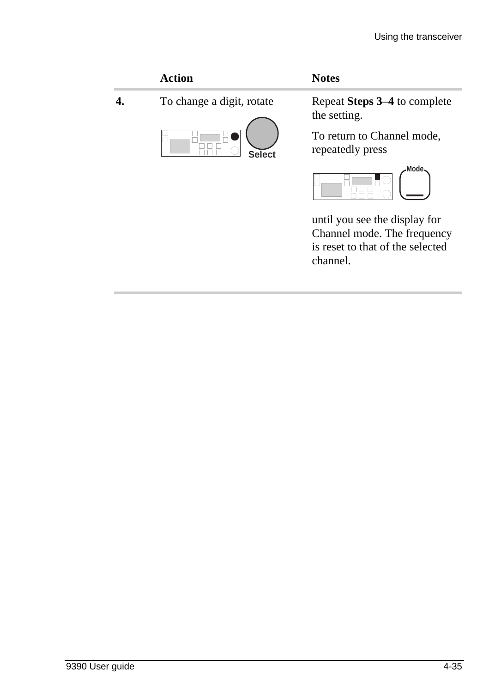| <b>Action</b>             | <b>Notes</b>                                                                                                 |
|---------------------------|--------------------------------------------------------------------------------------------------------------|
| To change a digit, rotate | Repeat Steps 3–4 to complete<br>the setting.                                                                 |
| <b>Select</b>             | To return to Channel mode,<br>repeatedly press                                                               |
|                           | Mode-                                                                                                        |
|                           | until you see the display for<br>Channel mode. The frequency<br>is reset to that of the selected<br>channel. |
|                           |                                                                                                              |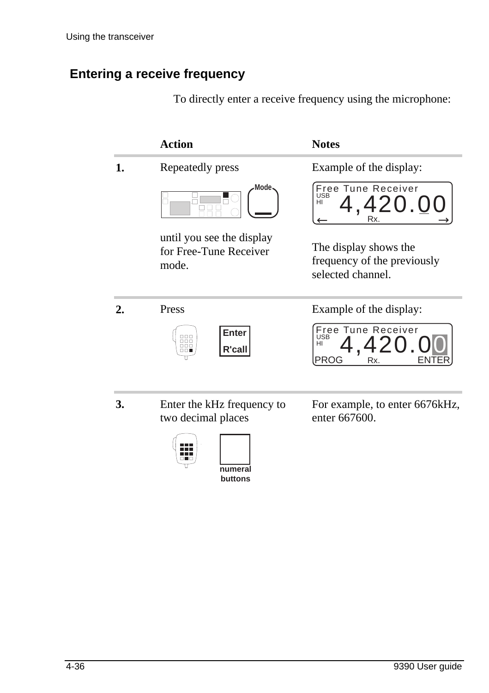### **Entering a receive frequency**

To directly enter a receive frequency using the microphone:

|              | <b>Action</b>                                                | <b>Notes</b>                                                              |
|--------------|--------------------------------------------------------------|---------------------------------------------------------------------------|
| 1.           | Repeatedly press                                             | Example of the display:                                                   |
|              | Mode                                                         | Free Tune Receiver<br><b>USB</b><br>20.0<br>HI                            |
|              | until you see the display<br>for Free-Tune Receiver<br>mode. | The display shows the<br>frequency of the previously<br>selected channel. |
| $\mathbf{2}$ | Press                                                        | Example of the display:                                                   |
|              | Enter<br>888<br>000<br>R'call                                | <b>Free Tune Receiver</b><br><b>USB</b><br>HI<br><b>PROG</b><br>Rx        |
| 3.           | Enter the kHz frequency to<br>two decimal places             | For example, to enter 6676kHz,<br>enter 667600.                           |
|              | numera                                                       |                                                                           |

**buttons**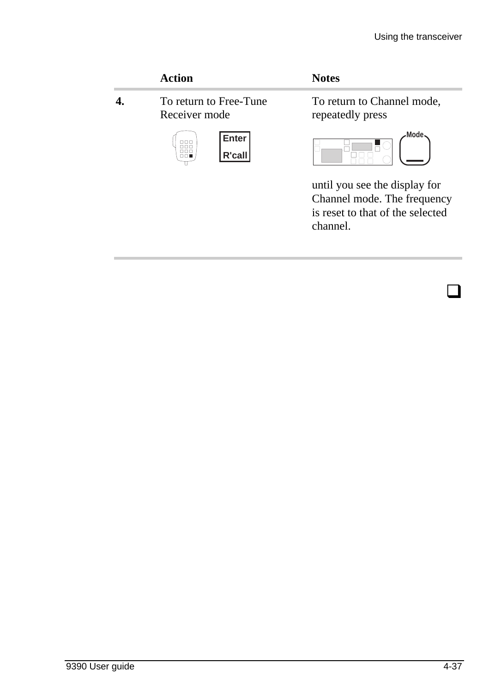| Action                                  | <b>Notes</b>                                                                                                 |
|-----------------------------------------|--------------------------------------------------------------------------------------------------------------|
| To return to Free-Tune<br>Receiver mode | To return to Channel mode,<br>repeatedly press                                                               |
| Enter<br>00C<br>R'cal                   | Mode                                                                                                         |
|                                         | until you see the display for<br>Channel mode. The frequency<br>is reset to that of the selected<br>channel. |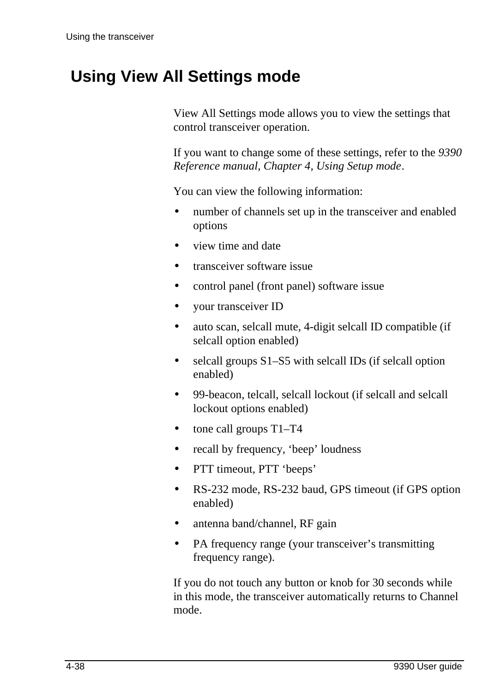### **Using View All Settings mode**

View All Settings mode allows you to view the settings that control transceiver operation.

If you want to change some of these settings, refer to the *9390 Reference manual, Chapter 4, Using Setup mode*.

You can view the following information:

- number of channels set up in the transceiver and enabled options
- view time and date
- transceiver software issue
- control panel (front panel) software issue
- your transceiver ID
- auto scan, selcall mute, 4-digit selcall ID compatible (if selcall option enabled)
- selcall groups S1–S5 with selcall IDs (if selcall option enabled)
- 99-beacon, telcall, selcall lockout (if selcall and selcall lockout options enabled)
- tone call groups T1–T4
- recall by frequency, 'beep' loudness
- PTT timeout, PTT 'beeps'
- RS-232 mode, RS-232 baud, GPS timeout (if GPS option enabled)
- antenna band/channel, RF gain
- PA frequency range (your transceiver's transmitting frequency range).

If you do not touch any button or knob for 30 seconds while in this mode, the transceiver automatically returns to Channel mode.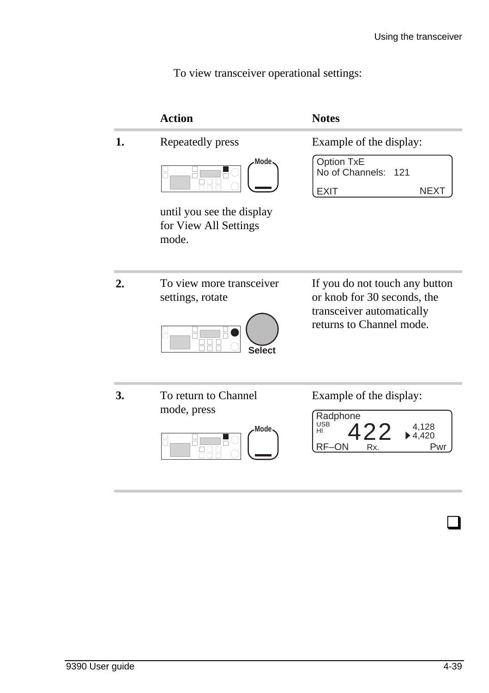To view transceiver operational settings:

|                  | <b>Action</b>                                                        | <b>Notes</b>                                                                                                           |
|------------------|----------------------------------------------------------------------|------------------------------------------------------------------------------------------------------------------------|
| $\mathbf{1}$ .   | Repeatedly press                                                     | Example of the display:                                                                                                |
|                  | Mode.<br>until you see the display<br>for View All Settings<br>mode. | Option TxE<br>No of Channels:<br>121<br><b>EXIT</b><br><b>NEXT</b>                                                     |
| $\overline{2}$ . | To view more transceiver<br>settings, rotate<br><b>Select</b>        | If you do not touch any button<br>or knob for 30 seconds, the<br>transceiver automatically<br>returns to Channel mode. |
| 3.               | To return to Channel<br>mode, press<br>Mode                          | Example of the display:<br>Radphone<br><b>USB</b><br>$4,128$<br>4,420<br>422<br>HI<br>RF-ON<br>Pwr<br>Rx.              |

∩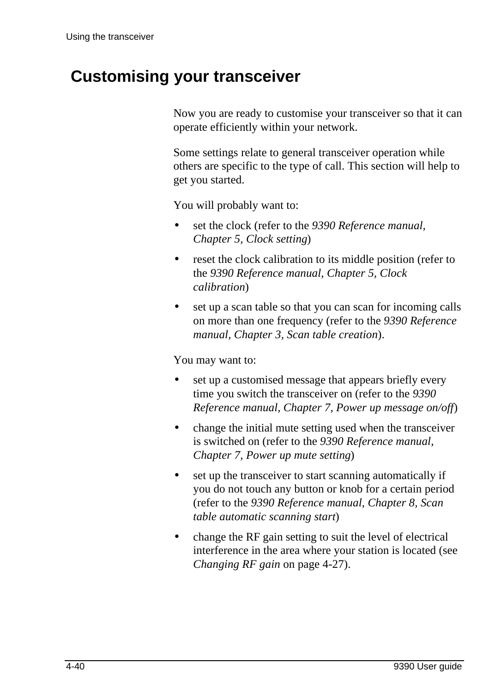### **Customising your transceiver**

Now you are ready to customise your transceiver so that it can operate efficiently within your network.

Some settings relate to general transceiver operation while others are specific to the type of call. This section will help to get you started.

You will probably want to:

- set the clock (refer to the *9390 Reference manual, Chapter 5, Clock setting*)
- reset the clock calibration to its middle position (refer to the *9390 Reference manual, Chapter 5, Clock calibration*)
- set up a scan table so that you can scan for incoming calls on more than one frequency (refer to the *9390 Reference manual, Chapter 3, Scan table creation*).

You may want to:

- set up a customised message that appears briefly every time you switch the transceiver on (refer to the *9390 Reference manual, Chapter 7, Power up message on/off*)
- change the initial mute setting used when the transceiver is switched on (refer to the *9390 Reference manual, Chapter 7, Power up mute setting*)
- set up the transceiver to start scanning automatically if you do not touch any button or knob for a certain period (refer to the *9390 Reference manual, Chapter 8, Scan table automatic scanning start*)
- change the RF gain setting to suit the level of electrical interference in the area where your station is located (see *Changing RF gain* on page 4-27).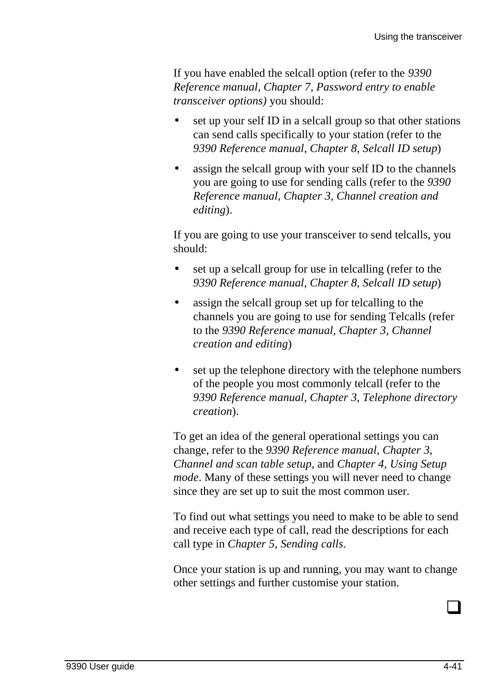If you have enabled the selcall option (refer to the *9390 Reference manual, Chapter 7, Password entry to enable transceiver options)* you should:

- set up your self ID in a selcall group so that other stations can send calls specifically to your station (refer to the *9390 Reference manual, Chapter 8, Selcall ID setup*)
- assign the selcall group with your self ID to the channels you are going to use for sending calls (refer to the *9390 Reference manual, Chapter 3, Channel creation and editing*).

If you are going to use your transceiver to send telcalls, you should:

- set up a selcall group for use in telcalling (refer to the *9390 Reference manual, Chapter 8, Selcall ID setup*)
- assign the selcall group set up for telcalling to the channels you are going to use for sending Telcalls (refer to the *9390 Reference manual, Chapter 3, Channel creation and editing*)
- set up the telephone directory with the telephone numbers of the people you most commonly telcall (refer to the *9390 Reference manual, Chapter 3, Telephone directory creation*).

To get an idea of the general operational settings you can change, refer to the *9390 Reference manual, Chapter 3, Channel and scan table setup,* and *Chapter 4, Using Setup mode*. Many of these settings you will never need to change since they are set up to suit the most common user.

To find out what settings you need to make to be able to send and receive each type of call, read the descriptions for each call type in *Chapter 5, Sending calls*.

Once your station is up and running, you may want to change other settings and further customise your station.

- 1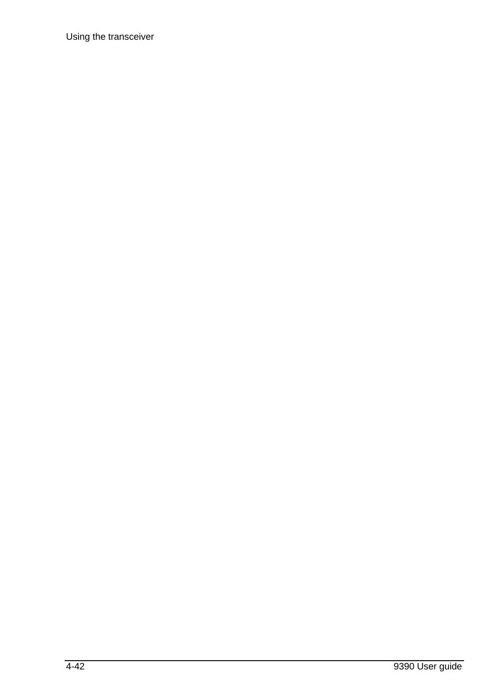Using the transceiver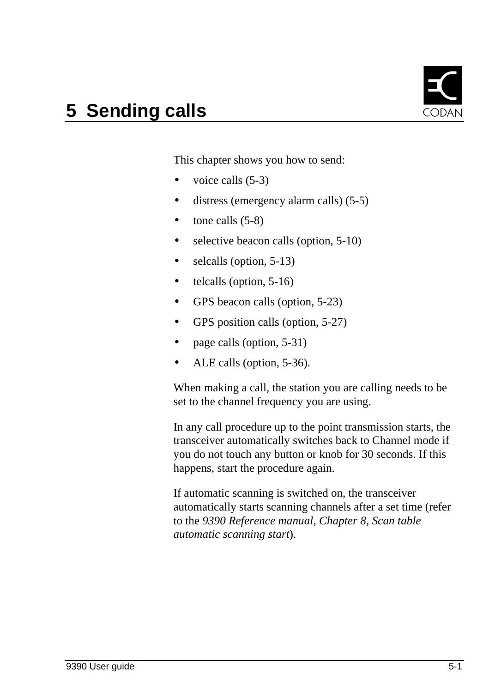

# **5 Sending calls**

This chapter shows you how to send:

- voice calls  $(5-3)$
- distress (emergency alarm calls) (5-5)
- tone calls  $(5-8)$
- selective beacon calls (option, 5-10)
- selcalls (option, 5-13)
- $\bullet$  telcalls (option, 5-16)
- GPS beacon calls (option, 5-23)
- GPS position calls (option, 5-27)
- page calls (option, 5-31)
- ALE calls (option, 5-36).

When making a call, the station you are calling needs to be set to the channel frequency you are using.

In any call procedure up to the point transmission starts, the transceiver automatically switches back to Channel mode if you do not touch any button or knob for 30 seconds. If this happens, start the procedure again.

If automatic scanning is switched on, the transceiver automatically starts scanning channels after a set time (refer to the *9390 Reference manual, Chapter 8, Scan table automatic scanning start*).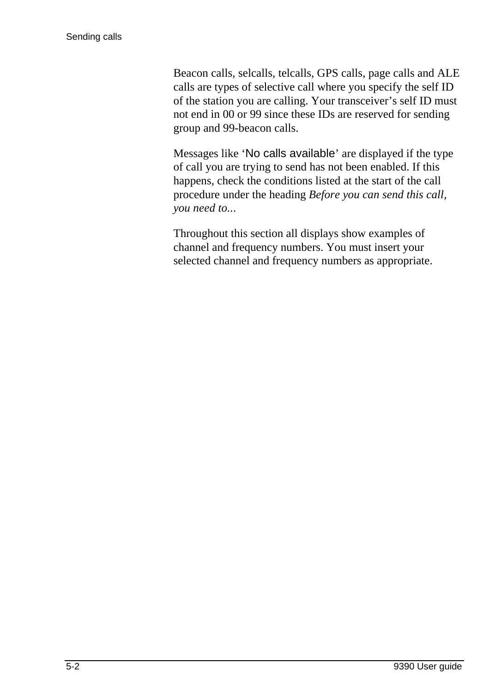Beacon calls, selcalls, telcalls, GPS calls, page calls and ALE calls are types of selective call where you specify the self ID of the station you are calling. Your transceiver's self ID must not end in 00 or 99 since these IDs are reserved for sending group and 99-beacon calls.

Messages like 'No calls available' are displayed if the type of call you are trying to send has not been enabled. If this happens, check the conditions listed at the start of the call procedure under the heading *Before you can send this call, you need to..*.

Throughout this section all displays show examples of channel and frequency numbers. You must insert your selected channel and frequency numbers as appropriate.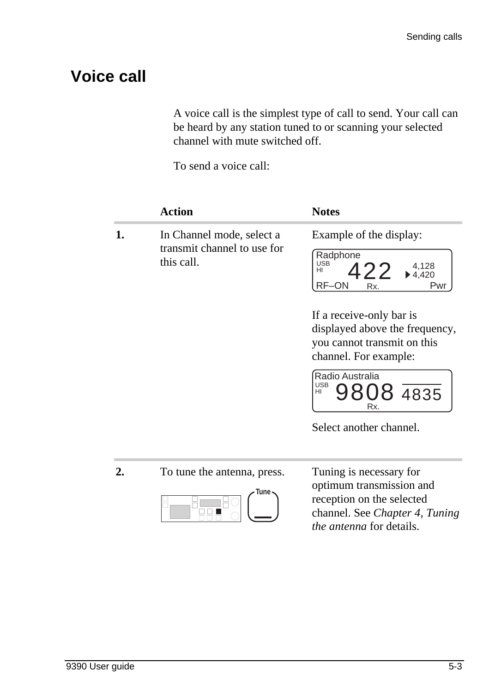### **Voice call**

A voice call is the simplest type of call to send. Your call can be heard by any station tuned to or scanning your selected channel with mute switched off.

To send a voice call:

|    | Action                                                                 | <b>Notes</b>                                                                                                       |
|----|------------------------------------------------------------------------|--------------------------------------------------------------------------------------------------------------------|
| 1. | In Channel mode, select a<br>transmit channel to use for<br>this call. | Example of the display:<br>Radphone<br><b>USB</b><br>$4,128$<br>4,420<br>422<br>HI<br><b>RF-ON</b><br>Pwr          |
|    |                                                                        | If a receive-only bar is<br>displayed above the frequency,<br>you cannot transmit on this<br>channel. For example: |
|    |                                                                        | Radio Australia<br><b>USB</b><br>08 4835<br>HI<br>Select another channel.                                          |
|    |                                                                        |                                                                                                                    |
|    | To tune the antenna, press.                                            | Tuning is necessary for                                                                                            |



optimum transmission and reception on the selected channel. See *Chapter 4, Tuning the antenna* for details.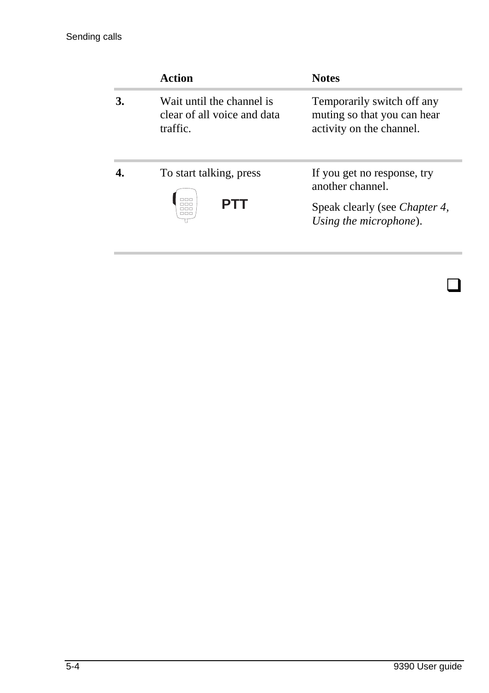| Action                                                               | <b>Notes</b>                                                                          |
|----------------------------------------------------------------------|---------------------------------------------------------------------------------------|
| Wait until the channel is<br>clear of all voice and data<br>traffic. | Temporarily switch off any<br>muting so that you can hear<br>activity on the channel. |
| To start talking, press<br>888<br>888<br>888<br>PTT                  | If you get no response, try<br>another channel.                                       |
|                                                                      | Speak clearly (see <i>Chapter 4</i> ,<br>Using the microphone).                       |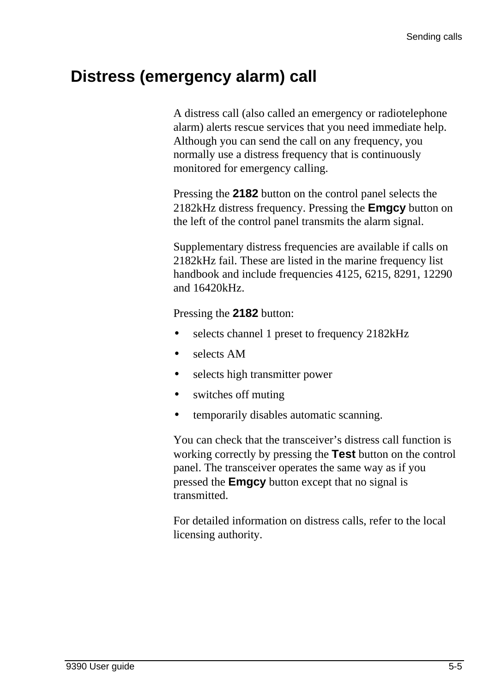### **Distress (emergency alarm) call**

A distress call (also called an emergency or radiotelephone alarm) alerts rescue services that you need immediate help. Although you can send the call on any frequency, you normally use a distress frequency that is continuously monitored for emergency calling.

Pressing the **2182** button on the control panel selects the 2182kHz distress frequency. Pressing the **Emgcy** button on the left of the control panel transmits the alarm signal.

Supplementary distress frequencies are available if calls on 2182kHz fail. These are listed in the marine frequency list handbook and include frequencies 4125, 6215, 8291, 12290 and 16420kHz.

Pressing the **2182** button:

- selects channel 1 preset to frequency 2182kHz
- selects AM
- selects high transmitter power
- switches off muting
- temporarily disables automatic scanning.

You can check that the transceiver's distress call function is working correctly by pressing the **Test** button on the control panel. The transceiver operates the same way as if you pressed the **Emgcy** button except that no signal is transmitted.

For detailed information on distress calls, refer to the local licensing authority.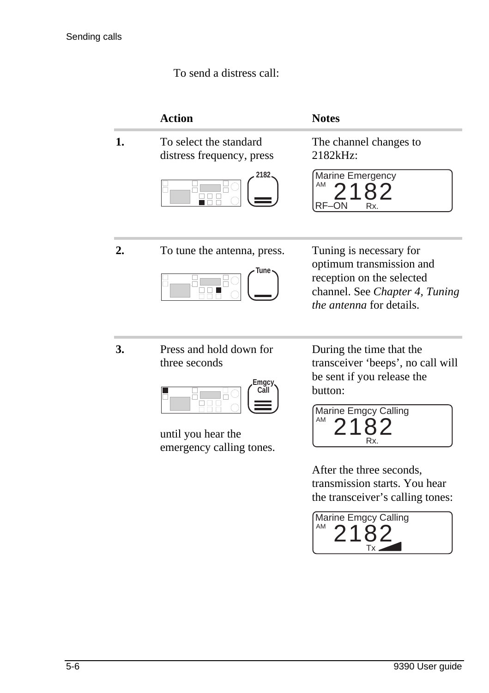#### To send a distress call:

| Action                                              | <b>Notes</b>                          |
|-----------------------------------------------------|---------------------------------------|
| To select the standard<br>distress frequency, press | The channel changes to<br>$2182kHz$ : |
| 2182.                                               | Marine Emergency<br>AM<br>Rx.         |

**2.** To tune the antenna, press.



Tuning is necessary for optimum transmission and reception on the selected channel. See *Chapter 4, Tuning the antenna* for details.

**3.** Press and hold down for three seconds



until you hear the emergency calling tones. During the time that the transceiver 'beeps', no call will be sent if you release the button:



After the three seconds, transmission starts. You hear the transceiver's calling tones:

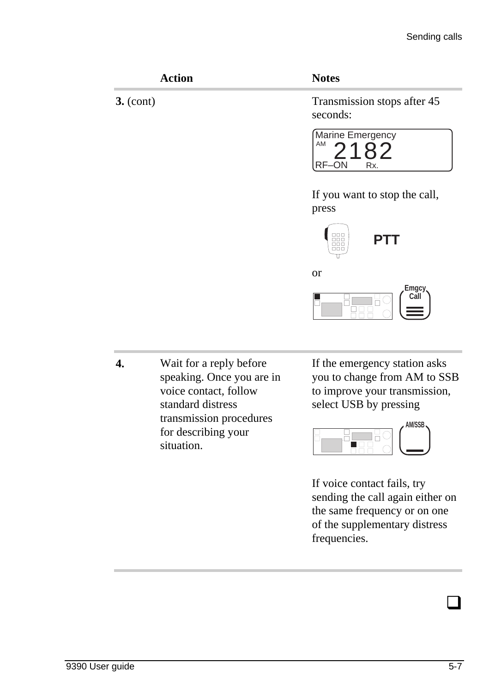| <b>Action</b> | <b>Notes</b>                                                        |
|---------------|---------------------------------------------------------------------|
| 3. (cont)     | Transmission stops after 45<br>seconds:                             |
|               | Marine Emergency<br>AM<br>182<br>RF-OM                              |
|               | If you want to stop the call,<br>press                              |
|               | $\Box \Box \Box$<br><b>PTT</b><br>000<br>$\Box$<br>$\Box \Box \Box$ |
|               | or                                                                  |
|               | Emgcy<br>Call                                                       |

**4.** Wait for a reply before speaking. Once you are in voice contact, follow standard distress transmission procedures for describing your situation.

If the emergency station asks you to change from AM to SSB to improve your transmission, select USB by pressing



If voice contact fails, try sending the call again either on the same frequency or on one of the supplementary distress frequencies.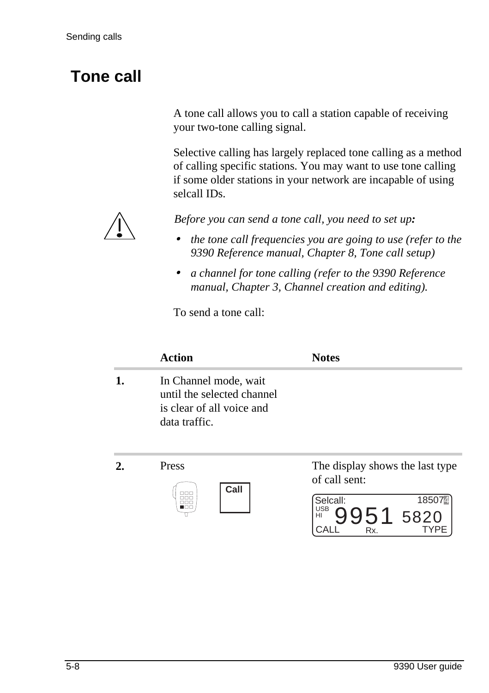## **Tone call**

A tone call allows you to call a station capable of receiving your two-tone calling signal.

Selective calling has largely replaced tone calling as a method of calling specific stations. You may want to use tone calling if some older stations in your network are incapable of using selcall IDs.



*Before you can send a tone call, you need to set up:*

- *the tone call frequencies you are going to use (refer to the 9390 Reference manual, Chapter 8, Tone call setup)*
- *a channel for tone calling (refer to the 9390 Reference manual, Chapter 3, Channel creation and editing).*

To send a tone call:

|    | Action                                                                                            | <b>Notes</b> |
|----|---------------------------------------------------------------------------------------------------|--------------|
| 1. | In Channel mode, wait<br>until the selected channel<br>is clear of all voice and<br>data traffic. |              |

**2.** Press



The display shows the last type of call sent:

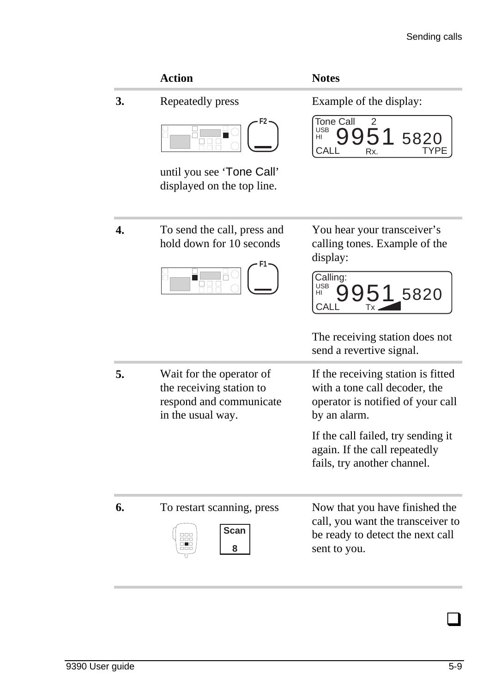|    | <b>Action</b>                                                                                        | <b>Notes</b>                                                                                                             |
|----|------------------------------------------------------------------------------------------------------|--------------------------------------------------------------------------------------------------------------------------|
| 3. | Repeatedly press                                                                                     | Example of the display:                                                                                                  |
|    |                                                                                                      | Tone Call<br>2<br><b>USB</b><br>9951 5820<br>HI<br><b>TYPE</b><br>CALL                                                   |
|    | until you see 'Tone Call'<br>displayed on the top line.                                              |                                                                                                                          |
| 4. | To send the call, press and<br>hold down for 10 seconds                                              | You hear your transceiver's<br>calling tones. Example of the<br>display:<br>Calling:<br>USB<br>5820<br>HI<br>CALL        |
|    |                                                                                                      | The receiving station does not<br>send a revertive signal.                                                               |
| 5. | Wait for the operator of<br>the receiving station to<br>respond and communicate<br>in the usual way. | If the receiving station is fitted<br>with a tone call decoder, the<br>operator is notified of your call<br>by an alarm. |
|    |                                                                                                      | If the call failed, try sending it<br>again. If the call repeatedly<br>fails, try another channel.                       |
| 6. | To restart scanning, press<br>Scan<br>8                                                              | Now that you have finished the<br>call, you want the transceiver to<br>be ready to detect the next call<br>sent to you.  |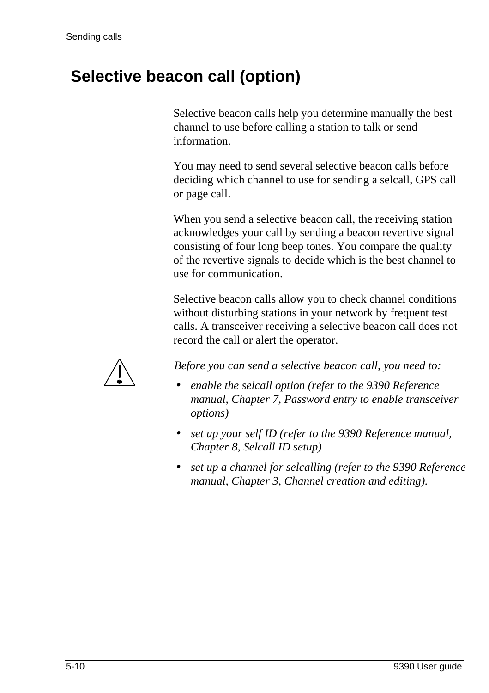### **Selective beacon call (option)**

Selective beacon calls help you determine manually the best channel to use before calling a station to talk or send information.

You may need to send several selective beacon calls before deciding which channel to use for sending a selcall, GPS call or page call.

When you send a selective beacon call, the receiving station acknowledges your call by sending a beacon revertive signal consisting of four long beep tones. You compare the quality of the revertive signals to decide which is the best channel to use for communication.

Selective beacon calls allow you to check channel conditions without disturbing stations in your network by frequent test calls. A transceiver receiving a selective beacon call does not record the call or alert the operator.



*Before you can send a selective beacon call, you need to:*

- *enable the selcall option (refer to the 9390 Reference manual, Chapter 7, Password entry to enable transceiver options)*
- *set up your self ID (refer to the 9390 Reference manual, Chapter 8, Selcall ID setup)*
- *set up a channel for selcalling (refer to the 9390 Reference manual, Chapter 3, Channel creation and editing).*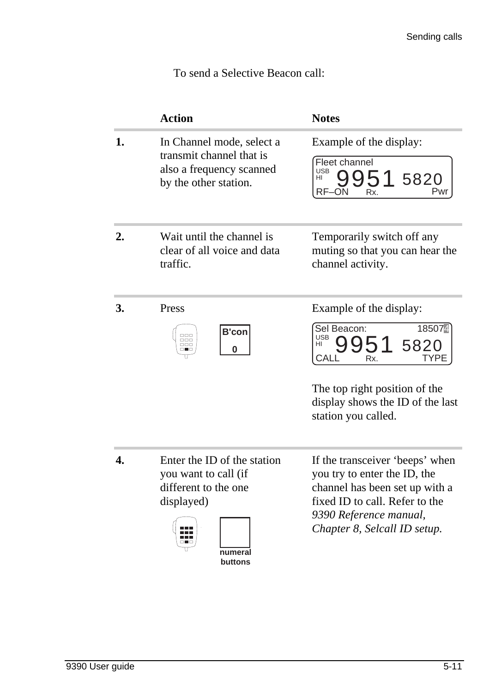#### To send a Selective Beacon call:

|                  | <b>Action</b>                                                                                                  | <b>Notes</b>                                                                                                                                                                                   |
|------------------|----------------------------------------------------------------------------------------------------------------|------------------------------------------------------------------------------------------------------------------------------------------------------------------------------------------------|
| 1.               | In Channel mode, select a<br>transmit channel that is<br>also a frequency scanned<br>by the other station.     | Example of the display:<br>Fleet channel<br><b>USB</b><br>5820<br>HI<br>Pwr<br>RF-<br>Rx                                                                                                       |
| $\overline{2}$ . | Wait until the channel is<br>clear of all voice and data<br>traffic.                                           | Temporarily switch off any<br>muting so that you can hear the<br>channel activity.                                                                                                             |
| 3.               | Press<br><b>B'con</b><br>100<br>0                                                                              | Example of the display:<br>185074<br>Sel Beacon:<br><b>USB</b><br>51<br>5820<br>TYPF<br>CALL<br>Rx<br>The top right position of the<br>display shows the ID of the last<br>station you called. |
| 4                | Enter the ID of the station<br>you want to call (if<br>different to the one<br>displayed)<br>numera<br>buttons | If the transceiver 'beeps' when<br>you try to enter the ID, the<br>channel has been set up with a<br>fixed ID to call. Refer to the<br>9390 Reference manual,<br>Chapter 8, Selcall ID setup.  |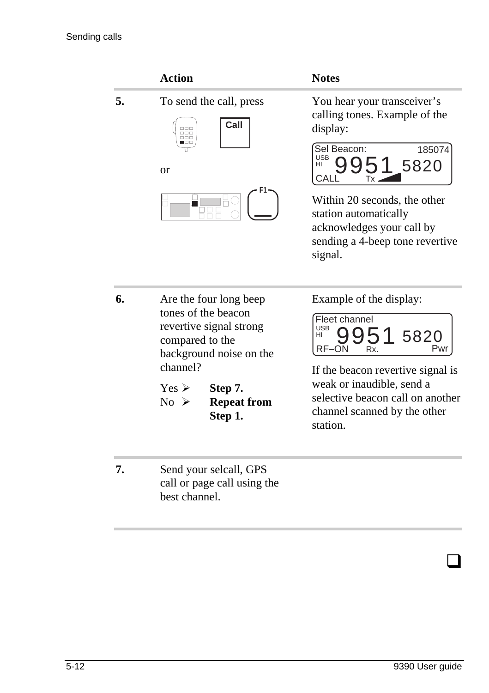|    | Action                                                                                                                                                                                              | <b>Notes</b>                                                                                                                                                                                                                                                      |
|----|-----------------------------------------------------------------------------------------------------------------------------------------------------------------------------------------------------|-------------------------------------------------------------------------------------------------------------------------------------------------------------------------------------------------------------------------------------------------------------------|
| 5. | To send the call, press<br>Call<br>88 B B<br>88 88<br><sub>or</sub>                                                                                                                                 | You hear your transceiver's<br>calling tones. Example of the<br>display:<br>Sel Beacon:<br>185074<br><b>USB</b><br>5820<br>HI<br>Within 20 seconds, the other<br>station automatically<br>acknowledges your call by<br>sending a 4-beep tone revertive<br>signal. |
| 6. | Are the four long beep<br>tones of the beacon<br>revertive signal strong<br>compared to the<br>background noise on the<br>channel?<br>Yes ><br>Step 7.<br>$No \ge$<br><b>Repeat from</b><br>Step 1. | Example of the display:<br>Fleet channel<br><b>USB</b><br>5820<br>HI<br><b>RF-ON</b><br>Rx<br>If the beacon revertive signal is<br>weak or inaudible, send a<br>selective beacon call on another<br>channel scanned by the other<br>station.                      |

**7.** Send your selcall, GPS call or page call using the best channel.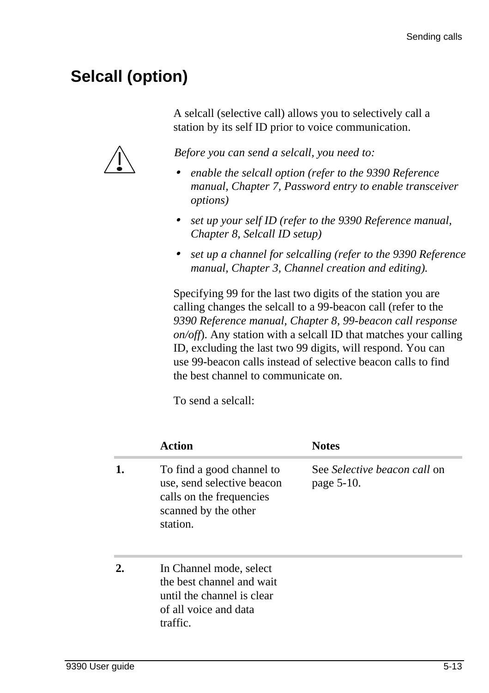## **Selcall (option)**

A selcall (selective call) allows you to selectively call a station by its self ID prior to voice communication.



*Before you can send a selcall, you need to:*

- *enable the selcall option (refer to the 9390 Reference manual, Chapter 7, Password entry to enable transceiver options)*
- *set up your self ID (refer to the 9390 Reference manual, Chapter 8, Selcall ID setup)*
- *set up a channel for selcalling (refer to the 9390 Reference manual, Chapter 3, Channel creation and editing).*

Specifying 99 for the last two digits of the station you are calling changes the selcall to a 99-beacon call (refer to the *9390 Reference manual, Chapter 8, 99-beacon call response on/off*). Any station with a selcall ID that matches your calling ID, excluding the last two 99 digits, will respond. You can use 99-beacon calls instead of selective beacon calls to find the best channel to communicate on.

To send a selcall:

| Action                                                                                                                  | <b>Notes</b>                               |
|-------------------------------------------------------------------------------------------------------------------------|--------------------------------------------|
| To find a good channel to<br>use, send selective beacon<br>calls on the frequencies<br>scanned by the other<br>station. | See Selective beacon call on<br>page 5-10. |
| In Channel mode, select<br>the best channel and wait<br>until the channel is clear<br>of all voice and data<br>traffic. |                                            |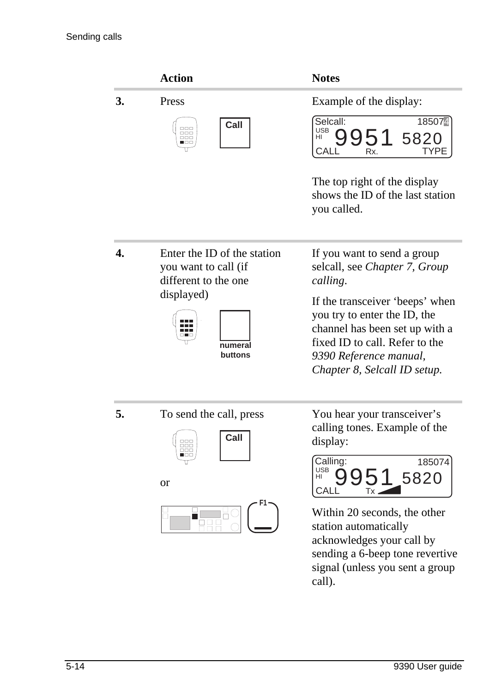|    | <b>Action</b>                                                                                                   | <b>Notes</b>                                                                                                                                                                                                                                                                            |
|----|-----------------------------------------------------------------------------------------------------------------|-----------------------------------------------------------------------------------------------------------------------------------------------------------------------------------------------------------------------------------------------------------------------------------------|
| 3. | Press<br>Call<br>88 B B<br>300<br>100                                                                           | Example of the display:<br>185074<br>Selcall:<br><b>USB</b><br>5820<br>HI<br>TYPE<br>Rx<br>CAL<br>The top right of the display<br>shows the ID of the last station<br>you called.                                                                                                       |
| 4. | Enter the ID of the station<br>you want to call (if<br>different to the one<br>displayed)<br>numeral<br>buttons | If you want to send a group<br>selcall, see Chapter 7, Group<br>calling.<br>If the transceiver 'beeps' when<br>you try to enter the ID, the<br>channel has been set up with a<br>fixed ID to call. Refer to the<br>9390 Reference manual,<br>Chapter 8, Selcall ID setup.               |
| 5. | To send the call, press<br>Call<br>88 B G<br>100<br><sub>or</sub>                                               | You hear your transceiver's<br>calling tones. Example of the<br>display:<br>Calling:<br>185074<br>USB<br>5820<br>HI<br>CALL<br>Within 20 seconds, the other<br>station automatically<br>acknowledges your call by<br>sending a 6-beep tone revertive<br>signal (unless you sent a group |

call).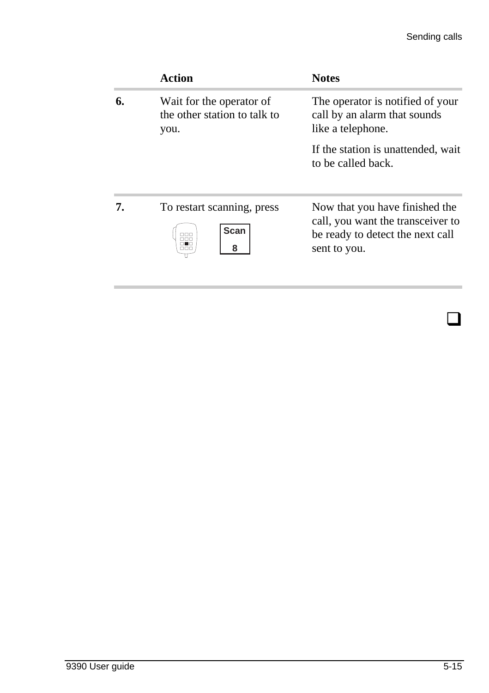|    | Action                                                           | <b>Notes</b>                                                                                                            |
|----|------------------------------------------------------------------|-------------------------------------------------------------------------------------------------------------------------|
| 6. | Wait for the operator of<br>the other station to talk to<br>you. | The operator is notified of your<br>call by an alarm that sounds<br>like a telephone.                                   |
|    |                                                                  | If the station is unattended, wait<br>to be called back.                                                                |
|    | To restart scanning, press<br>Scan<br>ឧ                          | Now that you have finished the<br>call, you want the transceiver to<br>be ready to detect the next call<br>sent to you. |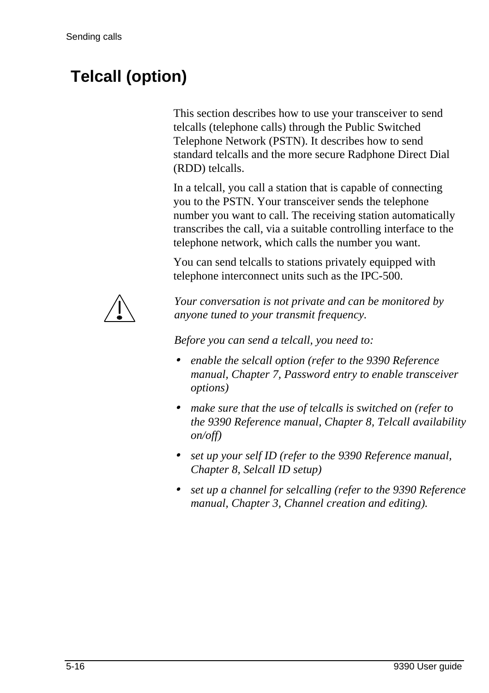# **Telcall (option)**

This section describes how to use your transceiver to send telcalls (telephone calls) through the Public Switched Telephone Network (PSTN). It describes how to send standard telcalls and the more secure Radphone Direct Dial (RDD) telcalls.

In a telcall, you call a station that is capable of connecting you to the PSTN. Your transceiver sends the telephone number you want to call. The receiving station automatically transcribes the call, via a suitable controlling interface to the telephone network, which calls the number you want.

You can send telcalls to stations privately equipped with telephone interconnect units such as the IPC-500.



*Your conversation is not private and can be monitored by anyone tuned to your transmit frequency.*

*Before you can send a telcall, you need to:*

- *enable the selcall option (refer to the 9390 Reference manual, Chapter 7, Password entry to enable transceiver options)*
- *make sure that the use of telcalls is switched on (refer to the 9390 Reference manual, Chapter 8, Telcall availability on/off)*
- *set up your self ID (refer to the 9390 Reference manual, Chapter 8, Selcall ID setup)*
- *set up a channel for selcalling (refer to the 9390 Reference manual, Chapter 3, Channel creation and editing).*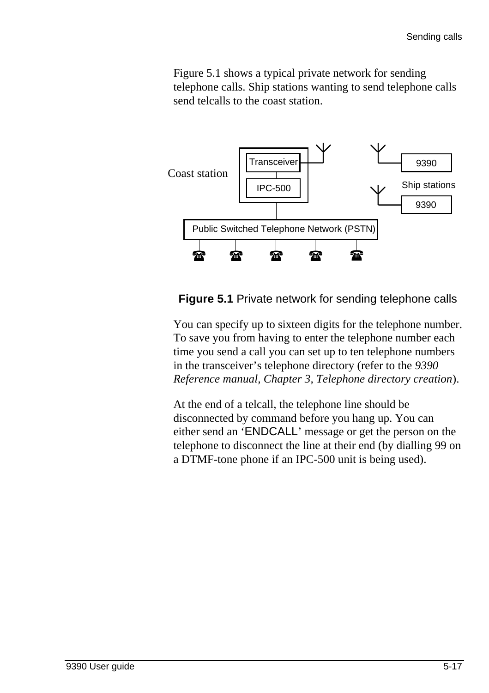Figure 5.1 shows a typical private network for sending telephone calls. Ship stations wanting to send telephone calls send telcalls to the coast station.



**Figure 5.1** Private network for sending telephone calls

You can specify up to sixteen digits for the telephone number. To save you from having to enter the telephone number each time you send a call you can set up to ten telephone numbers in the transceiver's telephone directory (refer to the *9390 Reference manual, Chapter 3, Telephone directory creation*).

At the end of a telcall, the telephone line should be disconnected by command before you hang up. You can either send an 'ENDCALL' message or get the person on the telephone to disconnect the line at their end (by dialling 99 on a DTMF-tone phone if an IPC-500 unit is being used).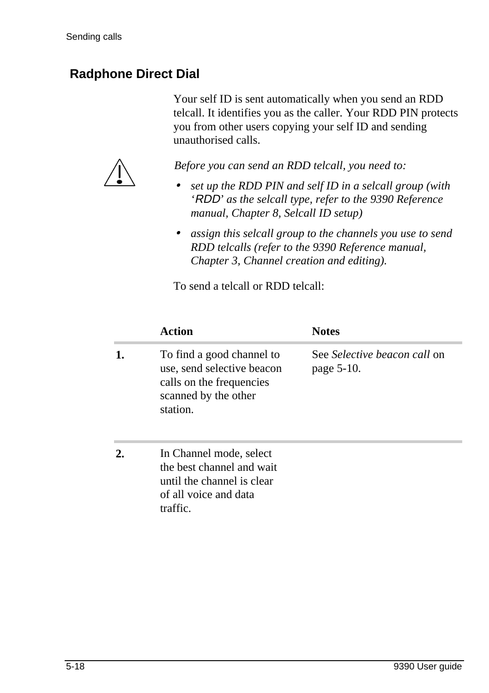### **Radphone Direct Dial**

Your self ID is sent automatically when you send an RDD telcall. It identifies you as the caller. Your RDD PIN protects you from other users copying your self ID and sending unauthorised calls.



*Before you can send an RDD telcall, you need to:*

- *set up the RDD PIN and self ID in a selcall group (with '*RDD*' as the selcall type, refer to the 9390 Reference manual, Chapter 8, Selcall ID setup)*
- *assign this selcall group to the channels you use to send RDD telcalls (refer to the 9390 Reference manual, Chapter 3, Channel creation and editing).*

To send a telcall or RDD telcall:

| Action                                                                                                                  | <b>Notes</b>                                      |
|-------------------------------------------------------------------------------------------------------------------------|---------------------------------------------------|
| To find a good channel to<br>use, send selective beacon<br>calls on the frequencies<br>scanned by the other<br>station. | See <i>Selective beacon call</i> on<br>page 5-10. |
| In Channel mode, select<br>the best channel and wait<br>until the channel is clear<br>of all voice and data<br>traffic. |                                                   |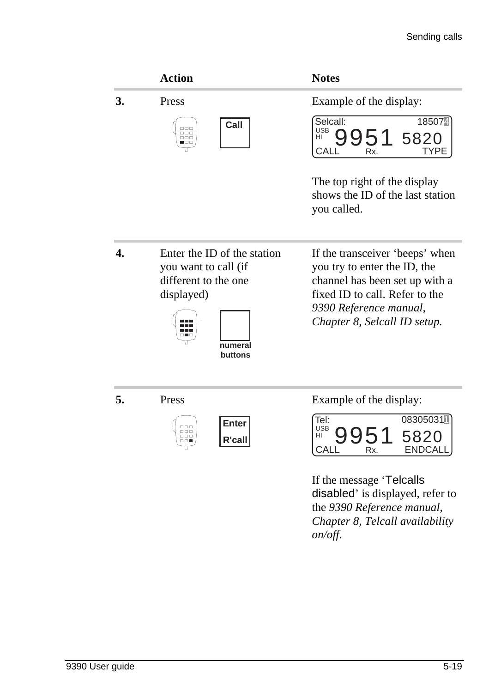|    | <b>Action</b>                                                                                                   | <b>Notes</b>                                                                                                                                                                                  |
|----|-----------------------------------------------------------------------------------------------------------------|-----------------------------------------------------------------------------------------------------------------------------------------------------------------------------------------------|
| 3. | Press<br>Call<br>000<br>$\Box$<br>100<br><b>IDE</b>                                                             | Example of the display:<br>185074<br>Selcall:<br><b>USB</b><br>5820<br>HI<br><b>TYPE</b><br>CALL<br>Rx<br>The top right of the display<br>shows the ID of the last station<br>you called.     |
| 4. | Enter the ID of the station<br>you want to call (if<br>different to the one<br>displayed)<br>numeral<br>buttons | If the transceiver 'beeps' when<br>you try to enter the ID, the<br>channel has been set up with a<br>fixed ID to call. Refer to the<br>9390 Reference manual,<br>Chapter 8, Selcall ID setup. |
| 5. | Press<br>Enter<br>000<br>000<br>000<br>R'call<br>3 O M                                                          | Example of the display:<br>Tel:<br>083050311<br><b>USB</b><br>5820<br>HI<br><b>ENDCAL</b><br>CALI<br>Rx<br>If the message 'Telcalls<br>disabled' is displayed, refer to                       |

the *9390 Reference manual, Chapter 8, Telcall availability*

*on/off*.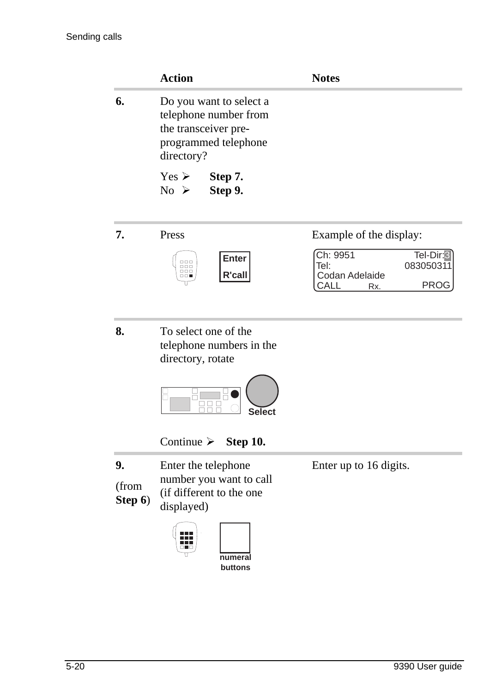|                        | <b>Action</b>                                                                                                  | <b>Notes</b>                                                                       |
|------------------------|----------------------------------------------------------------------------------------------------------------|------------------------------------------------------------------------------------|
| 6.                     | Do you want to select a<br>telephone number from<br>the transceiver pre-<br>programmed telephone<br>directory? |                                                                                    |
|                        | Yes $\triangleright$<br>Step 7.<br>No ><br>Step 9.                                                             |                                                                                    |
| 7.                     | Press                                                                                                          | Example of the display:                                                            |
|                        | Enter<br>888<br>300<br>R'call<br>וחד                                                                           | Ch: 9951<br>Tel-Dir:<br>083050311<br>Tel:<br>Codan Adelaide<br>PROG<br>CALL<br>Rx. |
| 8.                     | To select one of the<br>telephone numbers in the<br>directory, rotate                                          |                                                                                    |
|                        | Select                                                                                                         |                                                                                    |
|                        | Continue $\triangleright$<br>Step 10.                                                                          |                                                                                    |
| 9.<br>(from<br>Step 6) | Enter the telephone<br>number you want to call<br>(if different to the one<br>displayed)                       | Enter up to 16 digits.                                                             |
|                        | numeral<br>buttons                                                                                             |                                                                                    |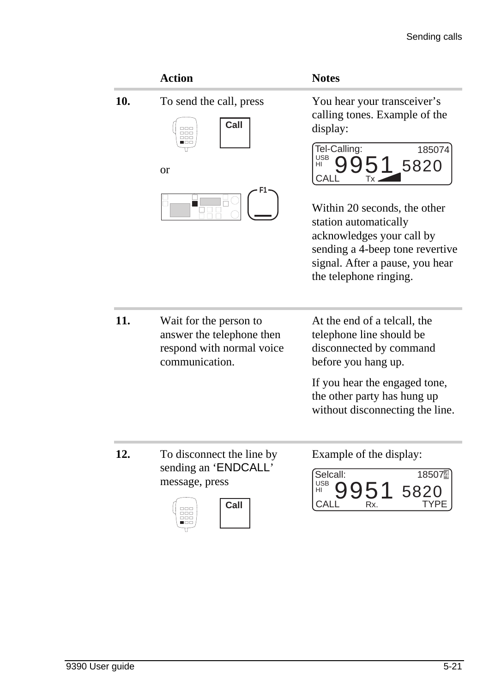|     | <b>Action</b>                                                                                      | <b>Notes</b>                                                                                                                                                                                                                                                                                                                  |
|-----|----------------------------------------------------------------------------------------------------|-------------------------------------------------------------------------------------------------------------------------------------------------------------------------------------------------------------------------------------------------------------------------------------------------------------------------------|
| 10. | To send the call, press<br>Call<br>88 8<br>IOE<br>or                                               | You hear your transceiver's<br>calling tones. Example of the<br>display:<br>Tel-Calling:<br>185074<br><b>USB</b><br>1 5820<br>HI<br>CAL<br>Within 20 seconds, the other<br>station automatically<br>acknowledges your call by<br>sending a 4-beep tone revertive<br>signal. After a pause, you hear<br>the telephone ringing. |
| 11. | Wait for the person to<br>answer the telephone then<br>respond with normal voice<br>communication. | At the end of a telcall, the<br>telephone line should be<br>disconnected by command<br>before you hang up.<br>If you hear the engaged tone,<br>the other party has hung up<br>without disconnecting the line.                                                                                                                 |
| 12. | To disconnect the line by<br>sending an 'ENDCALL'                                                  | Example of the display:<br>Selcall:<br>185074                                                                                                                                                                                                                                                                                 |

message, press



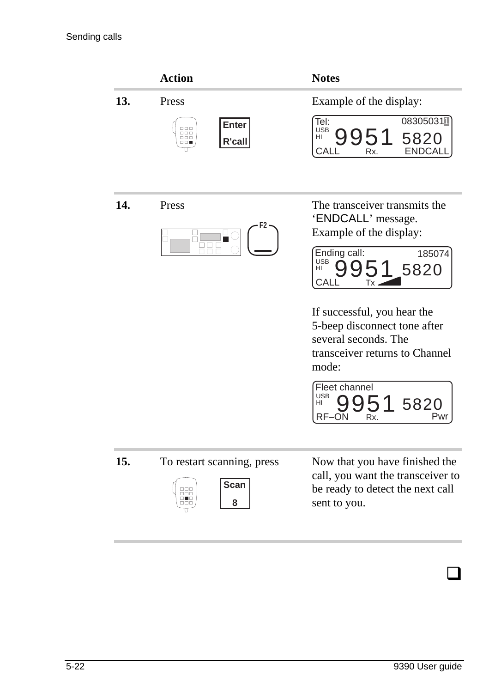

**14.** Press



The transceiver transmits the 'ENDCALL' message. Example of the display:



If successful, you hear the 5-beep disconnect tone after several seconds. The transceiver returns to Channel mode:



#### **15.** To restart scanning, press



Now that you have finished the call, you want the transceiver to be ready to detect the next call sent to you.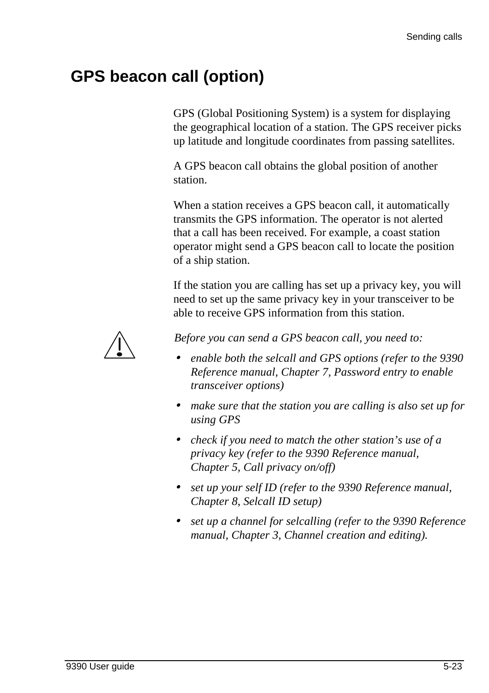### **GPS beacon call (option)**

GPS (Global Positioning System) is a system for displaying the geographical location of a station. The GPS receiver picks up latitude and longitude coordinates from passing satellites.

A GPS beacon call obtains the global position of another station.

When a station receives a GPS beacon call, it automatically transmits the GPS information. The operator is not alerted that a call has been received. For example, a coast station operator might send a GPS beacon call to locate the position of a ship station.

If the station you are calling has set up a privacy key, you will need to set up the same privacy key in your transceiver to be able to receive GPS information from this station.



*Before you can send a GPS beacon call, you need to:*

- *enable both the selcall and GPS options (refer to the 9390 Reference manual, Chapter 7, Password entry to enable transceiver options)*
- *make sure that the station you are calling is also set up for using GPS*
- *check if you need to match the other station's use of a privacy key (refer to the 9390 Reference manual, Chapter 5, Call privacy on/off)*
- *set up your self ID (refer to the 9390 Reference manual, Chapter 8, Selcall ID setup)*
- *set up a channel for selcalling (refer to the 9390 Reference manual, Chapter 3, Channel creation and editing).*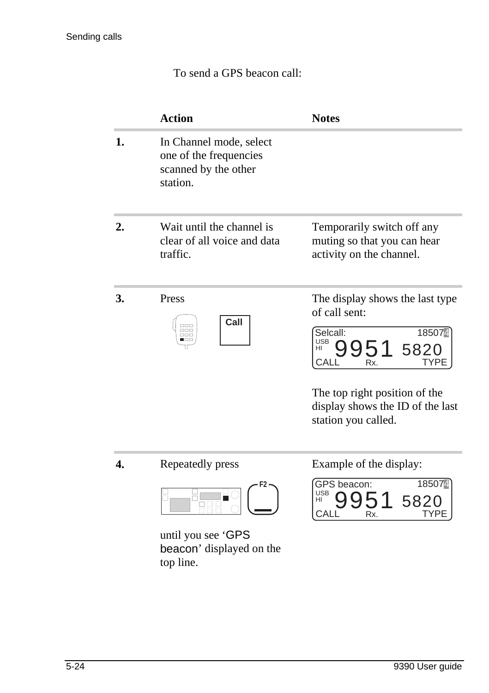#### To send a GPS beacon call:

|    | <b>Action</b>                                                                         | <b>Notes</b>                                                                                                                                                                                                             |
|----|---------------------------------------------------------------------------------------|--------------------------------------------------------------------------------------------------------------------------------------------------------------------------------------------------------------------------|
| 1. | In Channel mode, select<br>one of the frequencies<br>scanned by the other<br>station. |                                                                                                                                                                                                                          |
| 2. | Wait until the channel is<br>clear of all voice and data<br>traffic.                  | Temporarily switch off any<br>muting so that you can hear<br>activity on the channel.                                                                                                                                    |
| 3. | Press<br>Call<br>888<br>ooc                                                           | The display shows the last type<br>of call sent:<br>185074<br>Selcall:<br><b>USB</b><br>951 5820<br>HI<br><b>TYPE</b><br>∷AL<br>The top right position of the<br>display shows the ID of the last<br>station you called. |
|    | Repeatedly press                                                                      | Example of the display:                                                                                                                                                                                                  |



until you see 'GPS beacon' displayed on the top line.

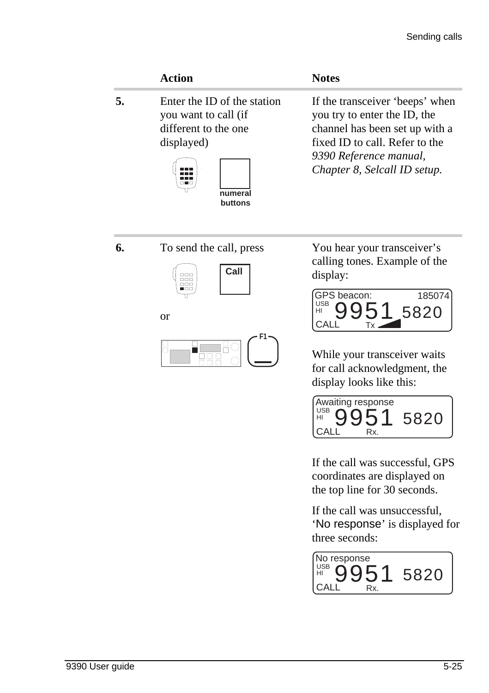| Action                                                                                                         | <b>Notes</b>                                                                                                                                                                                  |
|----------------------------------------------------------------------------------------------------------------|-----------------------------------------------------------------------------------------------------------------------------------------------------------------------------------------------|
| Enter the ID of the station<br>you want to call (if<br>different to the one<br>displayed)<br>numera<br>buttons | If the transceiver 'beeps' when<br>you try to enter the ID, the<br>channel has been set up with a<br>fixed ID to call. Refer to the<br>9390 Reference manual,<br>Chapter 8, Selcall ID setup. |

**6.** To send the call, press



or



You hear your transceiver's calling tones. Example of the display:



While your transceiver waits for call acknowledgment, the display looks like this:



If the call was successful, GPS coordinates are displayed on the top line for 30 seconds.

If the call was unsuccessful, 'No response' is displayed for three seconds:

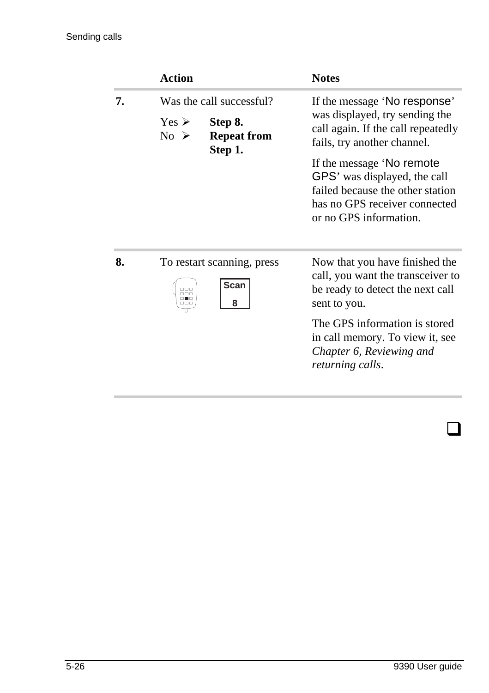|    | <b>Action</b>                                                                             | <b>Notes</b>                                                                                                                                                                                                                                                                                    |
|----|-------------------------------------------------------------------------------------------|-------------------------------------------------------------------------------------------------------------------------------------------------------------------------------------------------------------------------------------------------------------------------------------------------|
| 7. | Was the call successful?<br>Yes ><br>Step 8.<br>$No \ge$<br><b>Repeat from</b><br>Step 1. | If the message 'No response'<br>was displayed, try sending the<br>call again. If the call repeatedly<br>fails, try another channel.<br>If the message 'No remote<br>GPS' was displayed, the call<br>failed because the other station<br>has no GPS receiver connected<br>or no GPS information. |
| 8. | To restart scanning, press<br>Scan<br>888<br>8                                            | Now that you have finished the<br>call, you want the transceiver to<br>be ready to detect the next call<br>sent to you.<br>The GPS information is stored<br>in call memory. To view it, see<br>Chapter 6, Reviewing and<br>returning calls.                                                     |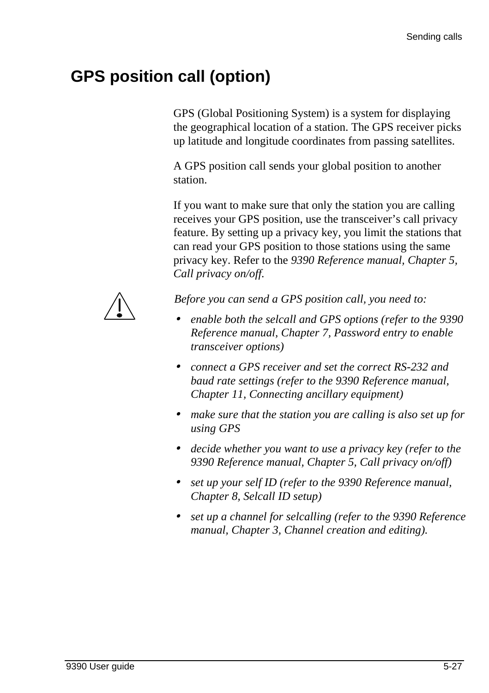## **GPS position call (option)**

GPS (Global Positioning System) is a system for displaying the geographical location of a station. The GPS receiver picks up latitude and longitude coordinates from passing satellites.

A GPS position call sends your global position to another station.

If you want to make sure that only the station you are calling receives your GPS position, use the transceiver's call privacy feature. By setting up a privacy key, you limit the stations that can read your GPS position to those stations using the same privacy key. Refer to the *9390 Reference manual, Chapter 5, Call privacy on/off*.



*Before you can send a GPS position call, you need to:*

- *enable both the selcall and GPS options (refer to the 9390 Reference manual, Chapter 7, Password entry to enable transceiver options)*
- *connect a GPS receiver and set the correct RS-232 and baud rate settings (refer to the 9390 Reference manual, Chapter 11, Connecting ancillary equipment)*
- *make sure that the station you are calling is also set up for using GPS*
- *decide whether you want to use a privacy key (refer to the 9390 Reference manual, Chapter 5, Call privacy on/off)*
- *set up your self ID (refer to the 9390 Reference manual, Chapter 8, Selcall ID setup)*
- *set up a channel for selcalling (refer to the 9390 Reference manual, Chapter 3, Channel creation and editing).*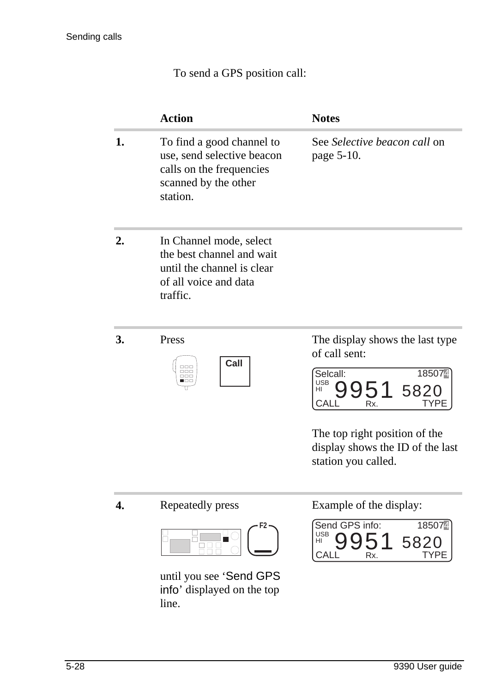#### To send a GPS position call:

|    | <b>Action</b>                                                                                                           | <b>Notes</b>                                                                                                                                                                                                                 |
|----|-------------------------------------------------------------------------------------------------------------------------|------------------------------------------------------------------------------------------------------------------------------------------------------------------------------------------------------------------------------|
| 1. | To find a good channel to<br>use, send selective beacon<br>calls on the frequencies<br>scanned by the other<br>station. | See Selective beacon call on<br>page 5-10.                                                                                                                                                                                   |
| 2. | In Channel mode, select<br>the best channel and wait<br>until the channel is clear<br>of all voice and data<br>traffic. |                                                                                                                                                                                                                              |
| 3. | Press<br>Call<br>미디디<br>70 C                                                                                            | The display shows the last type<br>of call sent:<br>185074<br>Selcall:<br><b>USB</b><br>5820<br>HI<br><b>TYPE</b><br>CALL<br>Rx.<br>The top right position of the<br>display shows the ID of the last<br>station you called. |
| 4. | Repeatedly press<br>until you see 'Send GPS<br>info' displayed on the top                                               | Example of the display:<br>Send GPS info:<br>185074<br><b>USB</b><br>5820<br>HI<br><b>TYPE</b><br>CAL<br>Rx.                                                                                                                 |

line.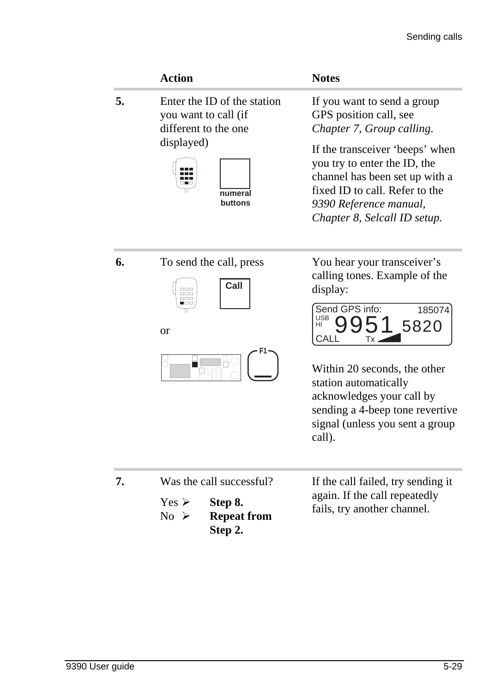|    | <b>Action</b>                                                               | <b>Notes</b>                                                                                                                                                                                                                                                                                                   |
|----|-----------------------------------------------------------------------------|----------------------------------------------------------------------------------------------------------------------------------------------------------------------------------------------------------------------------------------------------------------------------------------------------------------|
| 5. | Enter the ID of the station<br>you want to call (if<br>different to the one | If you want to send a group<br>GPS position call, see<br>Chapter 7, Group calling.                                                                                                                                                                                                                             |
|    | displayed)<br>numeral<br>buttons                                            | If the transceiver 'beeps' when<br>you try to enter the ID, the<br>channel has been set up with a<br>fixed ID to call. Refer to the<br>9390 Reference manual,<br>Chapter 8, Selcall ID setup.                                                                                                                  |
| 6. | To send the call, press<br>Call<br>300<br>or                                | You hear your transceiver's<br>calling tones. Example of the<br>display:<br>Send GPS info:<br>185074<br><b>USB</b><br>5820<br>HI<br>CALL<br>Within 20 seconds, the other<br>station automatically<br>acknowledges your call by<br>sending a 4-beep tone revertive<br>signal (unless you sent a group<br>call). |
| 7. | Was the call successful?<br>Yes ><br>Step 8.                                | If the call failed, try sending it<br>again. If the call repeatedly<br>faile two anothous channel                                                                                                                                                                                                              |

No **Repeat from**

### **Step 2.**

fails, try another channel.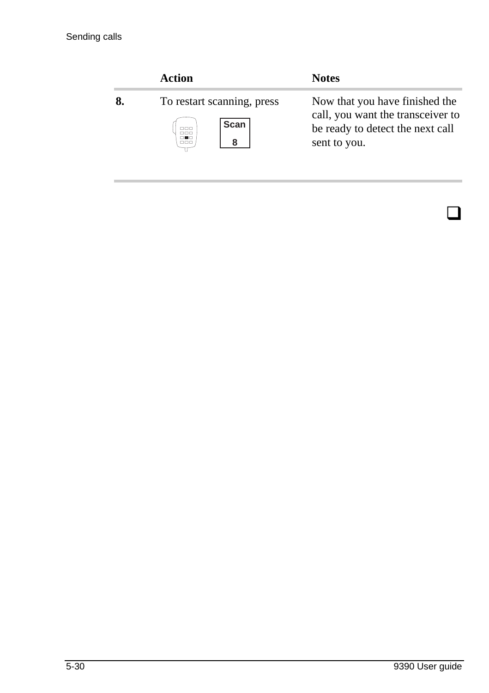| Action                                              | <b>Notes</b>                                                                                                            |
|-----------------------------------------------------|-------------------------------------------------------------------------------------------------------------------------|
| To restart scanning, press<br>Scan<br>₩<br>Զ<br>000 | Now that you have finished the<br>call, you want the transceiver to<br>be ready to detect the next call<br>sent to you. |
|                                                     |                                                                                                                         |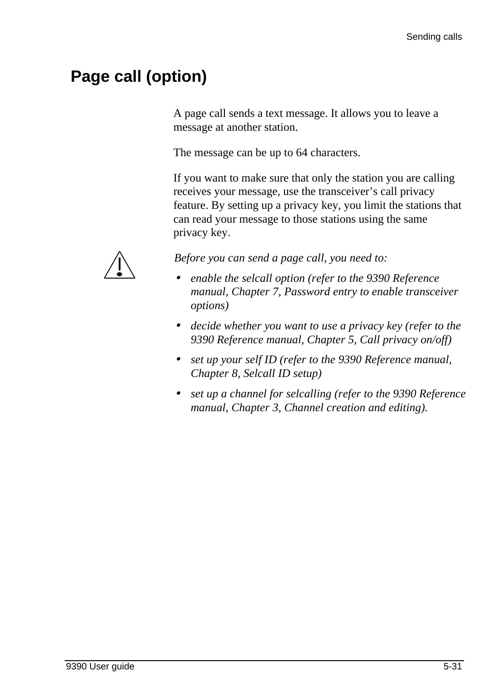# **Page call (option)**

A page call sends a text message. It allows you to leave a message at another station.

The message can be up to 64 characters.

If you want to make sure that only the station you are calling receives your message, use the transceiver's call privacy feature. By setting up a privacy key, you limit the stations that can read your message to those stations using the same privacy key.



*Before you can send a page call, you need to:*

- *enable the selcall option (refer to the 9390 Reference manual, Chapter 7, Password entry to enable transceiver options)*
- *decide whether you want to use a privacy key (refer to the 9390 Reference manual, Chapter 5, Call privacy on/off)*
- *set up your self ID (refer to the 9390 Reference manual, Chapter 8, Selcall ID setup)*
- *set up a channel for selcalling (refer to the 9390 Reference manual, Chapter 3, Channel creation and editing).*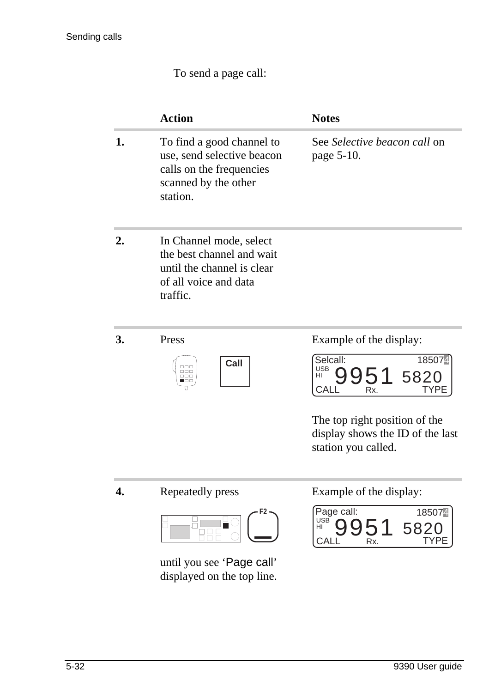## To send a page call:

displayed on the top line.

|    | <b>Action</b>                                                                                                           | <b>Notes</b>                                                                                                                                                                                 |
|----|-------------------------------------------------------------------------------------------------------------------------|----------------------------------------------------------------------------------------------------------------------------------------------------------------------------------------------|
| 1. | To find a good channel to<br>use, send selective beacon<br>calls on the frequencies<br>scanned by the other<br>station. | See Selective beacon call on<br>page 5-10.                                                                                                                                                   |
| 2. | In Channel mode, select<br>the best channel and wait<br>until the channel is clear<br>of all voice and data<br>traffic. |                                                                                                                                                                                              |
| 3. | Press<br>Call<br>30 C                                                                                                   | Example of the display:<br>185074<br>Selcall:<br><b>USB</b><br>5820<br>HI<br><b>TYPE</b><br>CALL<br>The top right position of the<br>display shows the ID of the last<br>station you called. |
| 4. | Repeatedly press<br>until you see 'Page call'                                                                           | Example of the display:<br>Page call:<br>185074<br><b>USB</b><br>582<br>TYPF<br><b>Rx</b><br>CAI                                                                                             |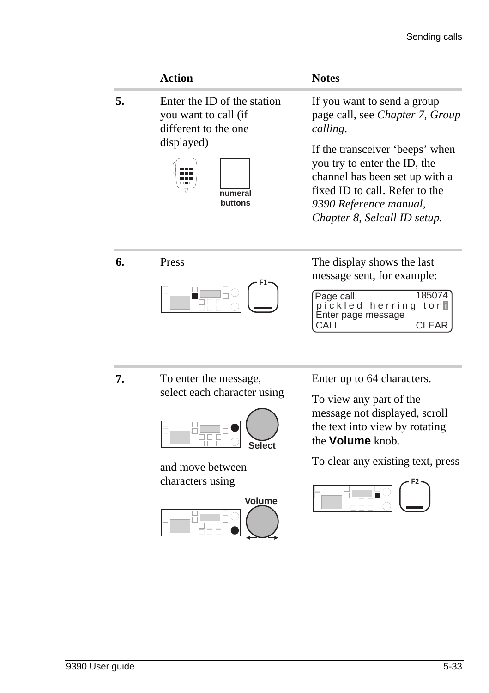|    | <b>Action</b>                                                                                                           | <b>Notes</b>                                                                                                                                                                                  |
|----|-------------------------------------------------------------------------------------------------------------------------|-----------------------------------------------------------------------------------------------------------------------------------------------------------------------------------------------|
| 5. | Enter the ID of the station<br>you want to call (if<br>different to the one                                             | If you want to send a group<br>page call, see Chapter 7, Group<br>calling.                                                                                                                    |
|    | displayed)<br>numeral<br>buttons                                                                                        | If the transceiver 'beeps' when<br>you try to enter the ID, the<br>channel has been set up with a<br>fixed ID to call. Refer to the<br>9390 Reference manual,<br>Chapter 8, Selcall ID setup. |
| 6. | Press                                                                                                                   | The display shows the last<br>message sent, for example:<br>185074<br>Page call:<br>pickled herring ton<br>Enter page message<br>CALL<br><b>CLEAR</b>                                         |
| 7. | To enter the message,<br>select each character using<br>Select<br>and move between<br>characters using<br><b>Volume</b> | Enter up to 64 characters.<br>To view any part of the<br>message not displayed, scroll<br>the text into view by rotating<br>the <b>Volume</b> knob.<br>To clear any existing text, press      |
|    |                                                                                                                         |                                                                                                                                                                                               |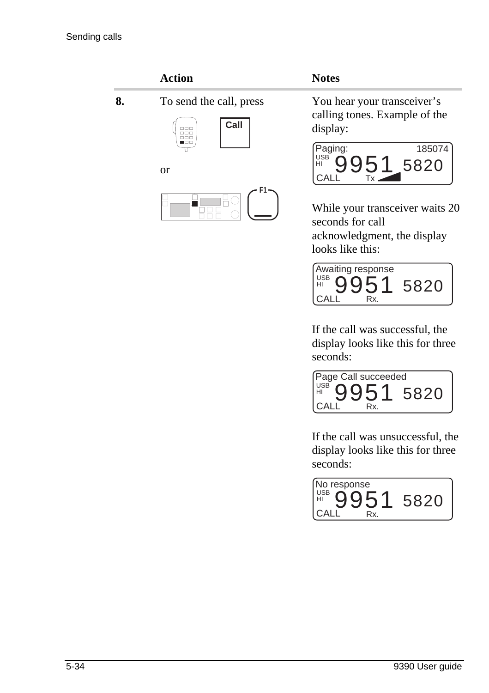|    | <b>Action</b>                   | <b>Notes</b>               |
|----|---------------------------------|----------------------------|
| 8. | To send the call, press<br>Call | You h<br>calling<br>displa |
|    | <b>or</b>                       | Pagin<br>USB<br>HI         |
|    | F1                              | While                      |

ou hear your transceiver's alling tones. Example of the splay:



While your transceiver waits 20 seconds for call acknowledgment, the display looks like this:



If the call was successful, the display looks like this for three seconds:



If the call was unsuccessful, the display looks like this for three seconds:

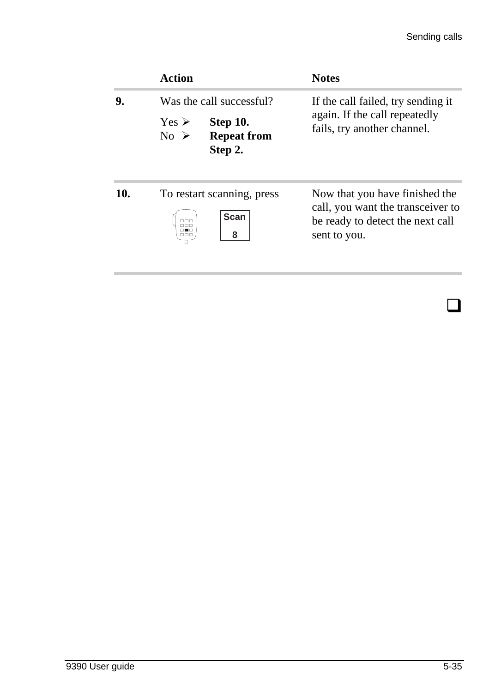|     | Action                                                                                                        | <b>Notes</b>                                                                                                            |
|-----|---------------------------------------------------------------------------------------------------------------|-------------------------------------------------------------------------------------------------------------------------|
| 9.  | Was the call successful?<br>Yes ><br><b>Step 10.</b><br><b>Repeat from</b><br>$\mathrm{No}$ $\geq$<br>Step 2. | If the call failed, try sending it<br>again. If the call repeatedly<br>fails, try another channel.                      |
| 10. | To restart scanning, press<br><b>Scan</b><br>8                                                                | Now that you have finished the<br>call, you want the transceiver to<br>be ready to detect the next call<br>sent to you. |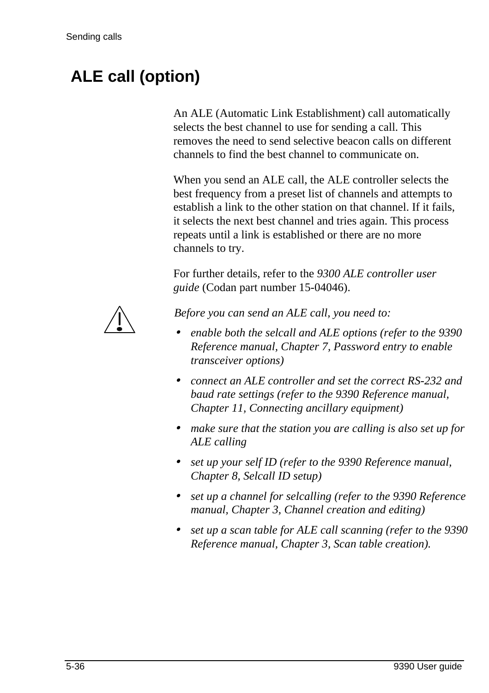# **ALE call (option)**

An ALE (Automatic Link Establishment) call automatically selects the best channel to use for sending a call. This removes the need to send selective beacon calls on different channels to find the best channel to communicate on.

When you send an ALE call, the ALE controller selects the best frequency from a preset list of channels and attempts to establish a link to the other station on that channel. If it fails, it selects the next best channel and tries again. This process repeats until a link is established or there are no more channels to try.

For further details, refer to the *9300 ALE controller user guide* (Codan part number 15-04046).



*Before you can send an ALE call, you need to:*

- *enable both the selcall and ALE options (refer to the 9390 Reference manual, Chapter 7, Password entry to enable transceiver options)*
- *connect an ALE controller and set the correct RS-232 and baud rate settings (refer to the 9390 Reference manual, Chapter 11, Connecting ancillary equipment)*
- *make sure that the station you are calling is also set up for ALE calling*
- *set up your self ID (refer to the 9390 Reference manual, Chapter 8, Selcall ID setup)*
- *set up a channel for selcalling (refer to the 9390 Reference manual, Chapter 3, Channel creation and editing)*
- *set up a scan table for ALE call scanning (refer to the 9390 Reference manual, Chapter 3, Scan table creation).*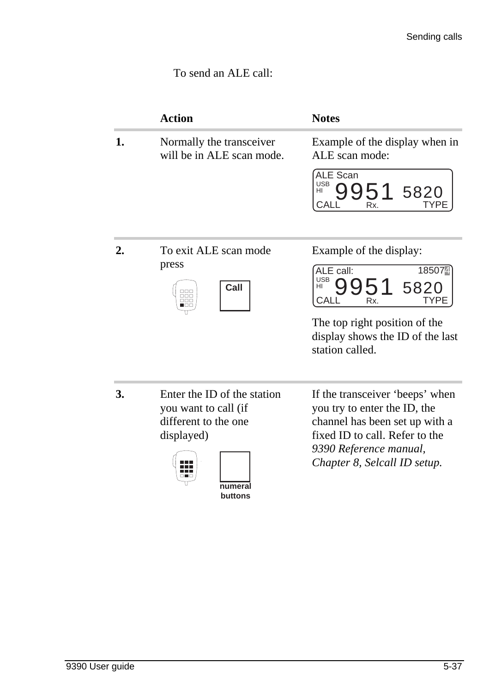#### To send an ALE call:

|                  | <b>Action</b>                                                                                                   | <b>Notes</b>                                                                                                                                                                                  |
|------------------|-----------------------------------------------------------------------------------------------------------------|-----------------------------------------------------------------------------------------------------------------------------------------------------------------------------------------------|
| 1.               | Normally the transceiver<br>will be in ALE scan mode.                                                           | Example of the display when in<br>ALE scan mode:                                                                                                                                              |
|                  |                                                                                                                 | ALE Scan<br><b>USB</b><br>582<br>HI                                                                                                                                                           |
| $\overline{2}$ . | To exit ALE scan mode<br>press<br>Call<br>88 B B<br>88 88<br>300                                                | Example of the display:<br>ALE call:<br>185074<br><b>USB</b><br>5820<br>HI<br><b>TYPE</b><br>CAL I<br>The top right position of the<br>display shows the ID of the last<br>station called.    |
| 3.               | Enter the ID of the station<br>you want to call (if<br>different to the one<br>displayed)<br>numeral<br>buttons | If the transceiver 'beeps' when<br>you try to enter the ID, the<br>channel has been set up with a<br>fixed ID to call. Refer to the<br>9390 Reference manual,<br>Chapter 8, Selcall ID setup. |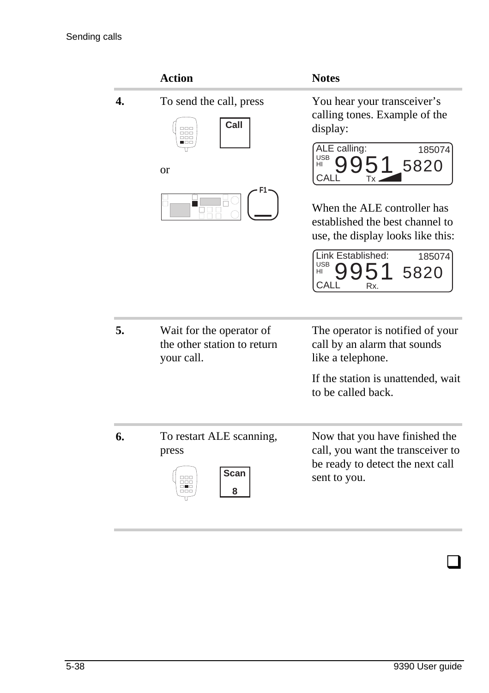|    | <b>Action</b>                                                         | <b>Notes</b>                                                                                                                                                                                                                                                                                             |
|----|-----------------------------------------------------------------------|----------------------------------------------------------------------------------------------------------------------------------------------------------------------------------------------------------------------------------------------------------------------------------------------------------|
| 4. | To send the call, press<br>Call<br>nnr<br>88 B B<br>o o c<br>or       | You hear your transceiver's<br>calling tones. Example of the<br>display:<br>ALE calling:<br>185074<br>USB<br>5820<br>HI<br>CALI<br>When the ALE controller has<br>established the best channel to<br>use, the display looks like this:<br>Link Established:<br>185074<br><b>USB</b><br>5820<br>HI<br>CAL |
| 5. | Wait for the operator of<br>the other station to return<br>your call. | The operator is notified of your<br>call by an alarm that sounds<br>like a telephone.<br>If the station is unattended, wait<br>to be called back.                                                                                                                                                        |
| 6. | To restart ALE scanning,<br>press<br>Scan<br>חרוו<br>8                | Now that you have finished the<br>call, you want the transceiver to<br>be ready to detect the next call<br>sent to you.                                                                                                                                                                                  |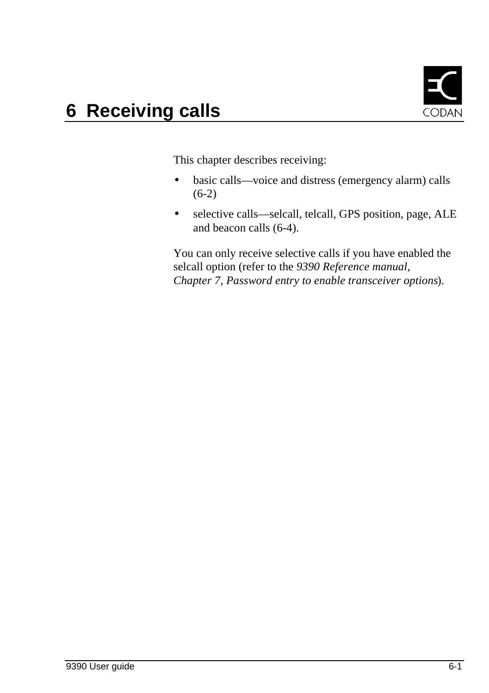

# **6 Receiving calls**

This chapter describes receiving:

- basic calls—voice and distress (emergency alarm) calls  $(6-2)$
- selective calls—selcall, telcall, GPS position, page, ALE and beacon calls (6-4).

You can only receive selective calls if you have enabled the selcall option (refer to the *9390 Reference manual, Chapter 7, Password entry to enable transceiver options*).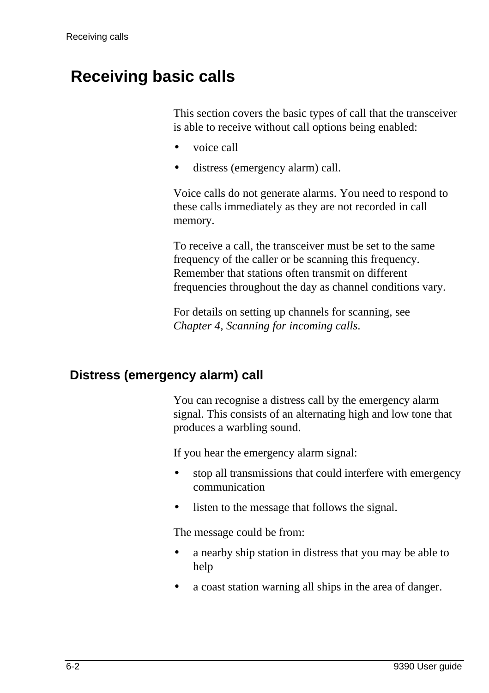# **Receiving basic calls**

This section covers the basic types of call that the transceiver is able to receive without call options being enabled:

- voice call
- distress (emergency alarm) call.

Voice calls do not generate alarms. You need to respond to these calls immediately as they are not recorded in call memory.

To receive a call, the transceiver must be set to the same frequency of the caller or be scanning this frequency. Remember that stations often transmit on different frequencies throughout the day as channel conditions vary.

For details on setting up channels for scanning, see *Chapter 4, Scanning for incoming calls*.

### **Distress (emergency alarm) call**

You can recognise a distress call by the emergency alarm signal. This consists of an alternating high and low tone that produces a warbling sound.

If you hear the emergency alarm signal:

- stop all transmissions that could interfere with emergency communication
- listen to the message that follows the signal.

The message could be from:

- a nearby ship station in distress that you may be able to help
- a coast station warning all ships in the area of danger.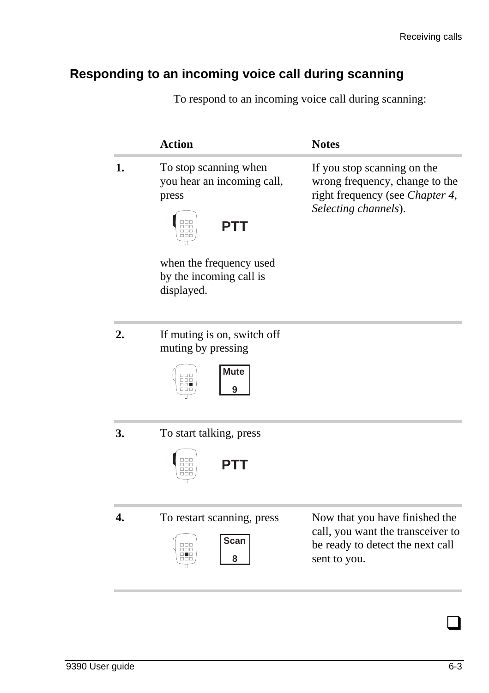## **Responding to an incoming voice call during scanning**

To respond to an incoming voice call during scanning:

|                  | <b>Action</b>                                                                                                                                                    | <b>Notes</b>                                                                                                             |
|------------------|------------------------------------------------------------------------------------------------------------------------------------------------------------------|--------------------------------------------------------------------------------------------------------------------------|
| 1.               | To stop scanning when<br>you hear an incoming call,<br>press<br>10 E<br>PTT<br>300<br>88 B B<br>when the frequency used<br>by the incoming call is<br>displayed. | If you stop scanning on the<br>wrong frequency, change to the<br>right frequency (see Chapter 4,<br>Selecting channels). |
| 2.               | If muting is on, switch off<br>muting by pressing<br>Mute                                                                                                        |                                                                                                                          |
| 3.               | To start talking, press<br><b>PTT</b><br>88 B B                                                                                                                  |                                                                                                                          |
| $\overline{4}$ . | To restart scanning, press<br>Scan                                                                                                                               | Now that you have finished the<br>call, you want the transceiver to<br>be ready to detect the next call<br>sent to you.  |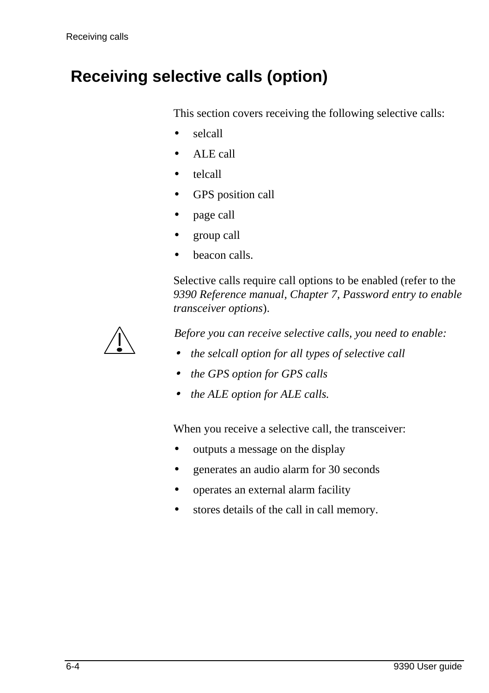# **Receiving selective calls (option)**

This section covers receiving the following selective calls:

- selcall
- ALE call
- telcall
- GPS position call
- page call
- group call
- beacon calls.

Selective calls require call options to be enabled (refer to the *9390 Reference manual, Chapter 7, Password entry to enable transceiver options*).



*Before you can receive selective calls, you need to enable:*

- *the selcall option for all types of selective call*
- *the GPS option for GPS calls*
- *the ALE option for ALE calls.*

When you receive a selective call, the transceiver:

- outputs a message on the display
- generates an audio alarm for 30 seconds
- operates an external alarm facility
- stores details of the call in call memory.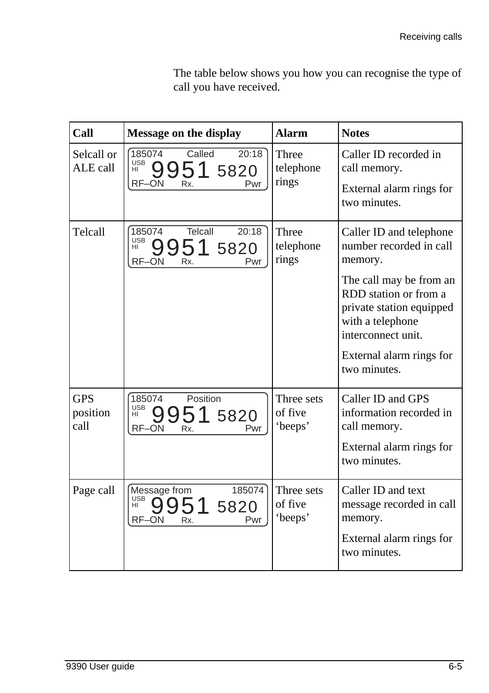| Call                    | <b>Message on the display</b>                                                     | <b>Alarm</b>                     | <b>Notes</b>                                                                                                                                                                                                                        |
|-------------------------|-----------------------------------------------------------------------------------|----------------------------------|-------------------------------------------------------------------------------------------------------------------------------------------------------------------------------------------------------------------------------------|
| Selcall or<br>ALE call  | 185074<br>Called<br>20:18<br><b>USB</b><br>9951 5820<br>HI<br>RF-ON<br>Pwr<br>Rx. | Three<br>telephone<br>rings      | Caller ID recorded in<br>call memory.<br>External alarm rings for<br>two minutes.                                                                                                                                                   |
| Telcall                 | Telcall<br>185074<br>20:18<br>USB<br>9951 5820<br>HI<br>RF-ON<br>Pwr<br>Rx.       | Three<br>telephone<br>rings      | Caller ID and telephone<br>number recorded in call<br>memory.<br>The call may be from an<br>RDD station or from a<br>private station equipped<br>with a telephone<br>interconnect unit.<br>External alarm rings for<br>two minutes. |
| GPS<br>position<br>call | Position<br>185074<br>USB<br>9951 5820<br>HI<br>RF-ON<br>Pwr<br>Rx.               | Three sets<br>of five<br>'beeps' | Caller ID and GPS<br>information recorded in<br>call memory.<br>External alarm rings for<br>two minutes.                                                                                                                            |
| Page call               | Message from<br>185074<br><b>USB</b><br>5820<br>HI<br>Pwr<br><b>RF-ON</b><br>Rx.  | Three sets<br>of five<br>'beeps' | Caller ID and text<br>message recorded in call<br>memory.<br>External alarm rings for<br>two minutes.                                                                                                                               |

The table below shows you how you can recognise the type of call you have received.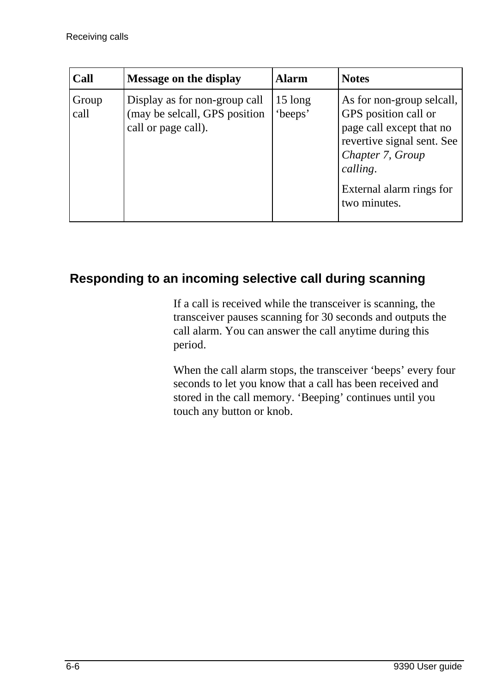| Call          | Message on the display                                                                | <b>Alarm</b>                 | <b>Notes</b>                                                                                                                                                                            |
|---------------|---------------------------------------------------------------------------------------|------------------------------|-----------------------------------------------------------------------------------------------------------------------------------------------------------------------------------------|
| Group<br>call | Display as for non-group call<br>(may be selcall, GPS position<br>call or page call). | $15 \text{ long}$<br>'beeps' | As for non-group selcall,<br>GPS position call or<br>page call except that no<br>revertive signal sent. See<br>Chapter 7, Group<br>calling.<br>External alarm rings for<br>two minutes. |

## **Responding to an incoming selective call during scanning**

If a call is received while the transceiver is scanning, the transceiver pauses scanning for 30 seconds and outputs the call alarm. You can answer the call anytime during this period.

When the call alarm stops, the transceiver 'beeps' every four seconds to let you know that a call has been received and stored in the call memory. 'Beeping' continues until you touch any button or knob.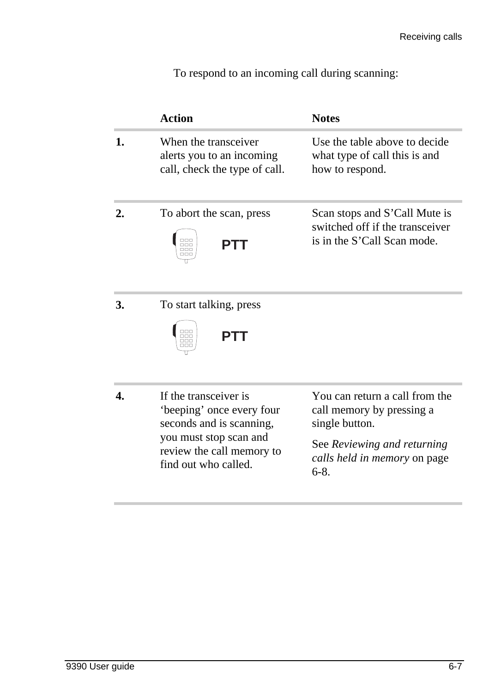To respond to an incoming call during scanning:

|    | Action                                                                                                                                                        | <b>Notes</b>                                                                                                                                           |
|----|---------------------------------------------------------------------------------------------------------------------------------------------------------------|--------------------------------------------------------------------------------------------------------------------------------------------------------|
| 1. | When the transceiver<br>alerts you to an incoming<br>call, check the type of call.                                                                            | Use the table above to decide<br>what type of call this is and<br>how to respond.                                                                      |
| 2. | To abort the scan, press<br>888<br>888<br>PTT                                                                                                                 | Scan stops and S'Call Mute is<br>switched off if the transceiver<br>is in the S'Call Scan mode.                                                        |
| 3. | To start talking, press<br>888<br>PTT<br>$\Box$                                                                                                               |                                                                                                                                                        |
| 4. | If the transceiver is<br>'beeping' once every four<br>seconds and is scanning,<br>you must stop scan and<br>review the call memory to<br>find out who called. | You can return a call from the<br>call memory by pressing a<br>single button.<br>See Reviewing and returning<br>calls held in memory on page<br>$6-8.$ |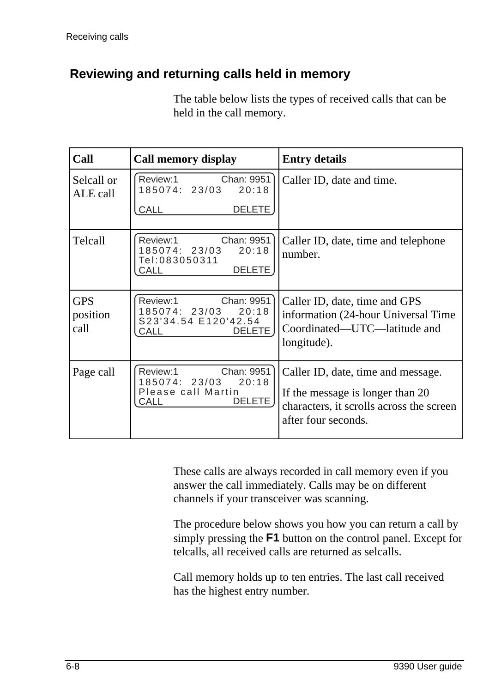## **Reviewing and returning calls held in memory**

The table below lists the types of received calls that can be held in the call memory.

| Call                           | Call memory display                                                                            | <b>Entry details</b>                                                                                                                      |
|--------------------------------|------------------------------------------------------------------------------------------------|-------------------------------------------------------------------------------------------------------------------------------------------|
| Selcall or<br>ALE call         | Chan: 9951<br>Review:1<br>185074: 23/03<br>20:18                                               | Caller ID, date and time.                                                                                                                 |
|                                | <b>DELETE</b><br>CALL                                                                          |                                                                                                                                           |
| Telcall                        | Chan: 9951<br>Review:1<br>185074: 23/03<br>20:18<br>Tel:083050311<br><b>DELETE</b><br>CALL     | Caller ID, date, time and telephone<br>number.                                                                                            |
| <b>GPS</b><br>position<br>call | Chan: 9951<br>Review:1<br>185074: 23/03 20:18<br>S23'34.54 E120'42.54<br><b>DELETE</b><br>CALL | Caller ID, date, time and GPS<br>information (24-hour Universal Time)<br>Coordinated—UTC—latitude and<br>longitude).                      |
| Page call                      | Chan: 9951<br>Review:1<br>185074: 23/03 20:18<br>Please call Martin<br>DELETE<br>CALL          | Caller ID, date, time and message.<br>If the message is longer than 20<br>characters, it scrolls across the screen<br>after four seconds. |

These calls are always recorded in call memory even if you answer the call immediately. Calls may be on different channels if your transceiver was scanning.

The procedure below shows you how you can return a call by simply pressing the **F1** button on the control panel. Except for telcalls, all received calls are returned as selcalls.

Call memory holds up to ten entries. The last call received has the highest entry number.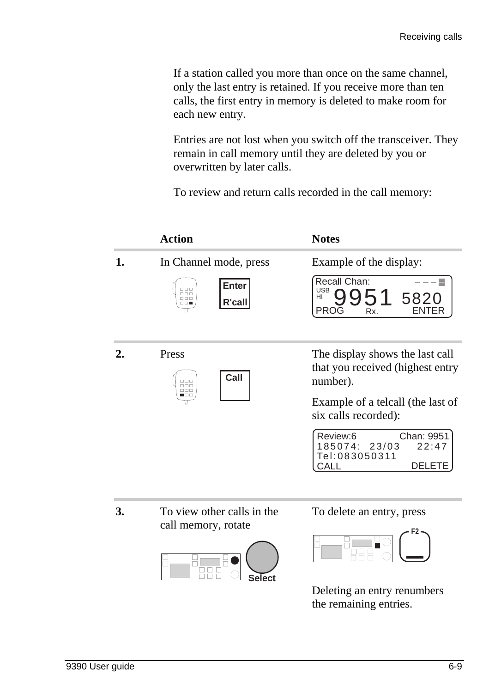If a station called you more than once on the same channel, only the last entry is retained. If you receive more than ten calls, the first entry in memory is deleted to make room for each new entry.

Entries are not lost when you switch off the transceiver. They remain in call memory until they are deleted by you or overwritten by later calls.

To review and return calls recorded in the call memory:

|                  | <b>Action</b>                                     | <b>Notes</b>                                                                               |
|------------------|---------------------------------------------------|--------------------------------------------------------------------------------------------|
| 1.               | In Channel mode, press                            | Example of the display:                                                                    |
|                  | Enter<br>器<br>R'call<br><b>DDI</b>                | Recall Chan:<br><b>USB</b><br>5820<br>HI<br><b>ENTER</b><br><b>PROG</b><br>Rx.             |
| $\overline{2}$ . | Press<br>Call<br>$\Box$<br>000<br>000             | The display shows the last call<br>that you received (highest entry<br>number).            |
|                  | юĒ                                                | Example of a telcall (the last of<br>six calls recorded):                                  |
|                  |                                                   | Chan: 9951<br>Review:6<br>185074: 23/03<br>22:47<br>Tel:083050311<br><b>DELETE</b><br>CALL |
| 3.               | To view other calls in the<br>call memory, rotate | To delete an entry, press                                                                  |
|                  | <b>Select</b>                                     |                                                                                            |
|                  |                                                   | Deleting an entry renumbers<br>the remaining entries.                                      |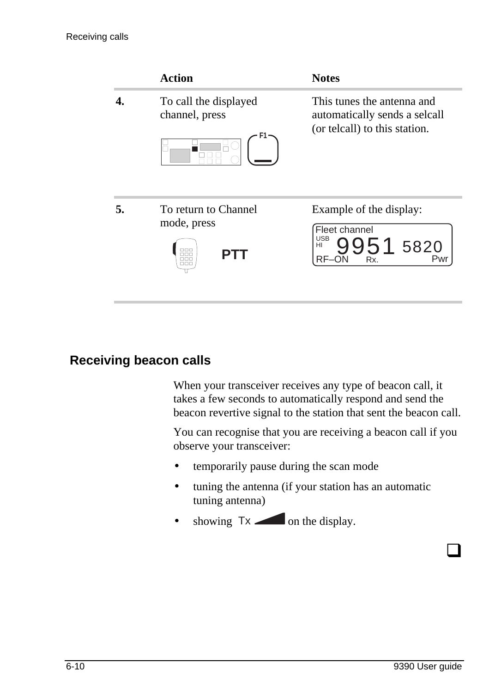|    | <b>Action</b>                                            | <b>Notes</b>                                                                                 |
|----|----------------------------------------------------------|----------------------------------------------------------------------------------------------|
|    | To call the displayed<br>channel, press                  | This tunes the antenna and<br>automatically sends a selcall<br>(or telcall) to this station. |
|    |                                                          |                                                                                              |
| 5. | To return to Channel<br>mode, press<br>885<br>ooc<br>00C | Example of the display:                                                                      |
|    |                                                          | Fleet channel<br><b>USB</b><br>951 5820<br>HI<br>$RF-0$                                      |
|    |                                                          |                                                                                              |

### **Receiving beacon calls**

When your transceiver receives any type of beacon call, it takes a few seconds to automatically respond and send the beacon revertive signal to the station that sent the beacon call.

You can recognise that you are receiving a beacon call if you observe your transceiver:

- temporarily pause during the scan mode
- tuning the antenna (if your station has an automatic tuning antenna)
- showing  $Tx \sim \infty$  on the display.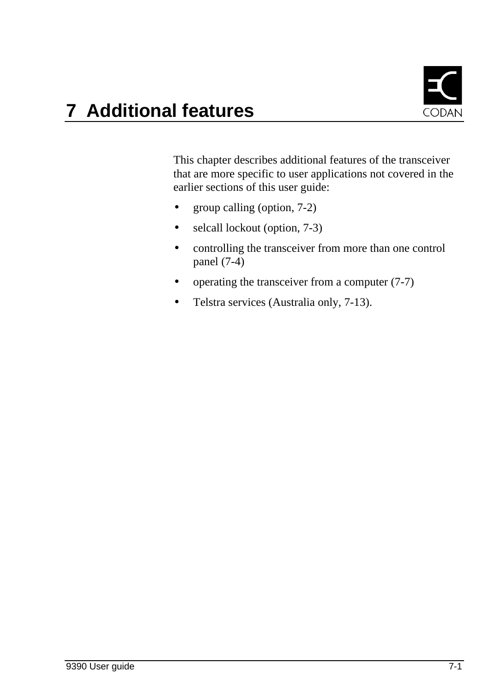

# **7 Additional features**

This chapter describes additional features of the transceiver that are more specific to user applications not covered in the earlier sections of this user guide:

- group calling (option, 7-2)
- selcall lockout (option, 7-3)
- controlling the transceiver from more than one control panel (7-4)
- operating the transceiver from a computer  $(7-7)$
- Telstra services (Australia only, 7-13).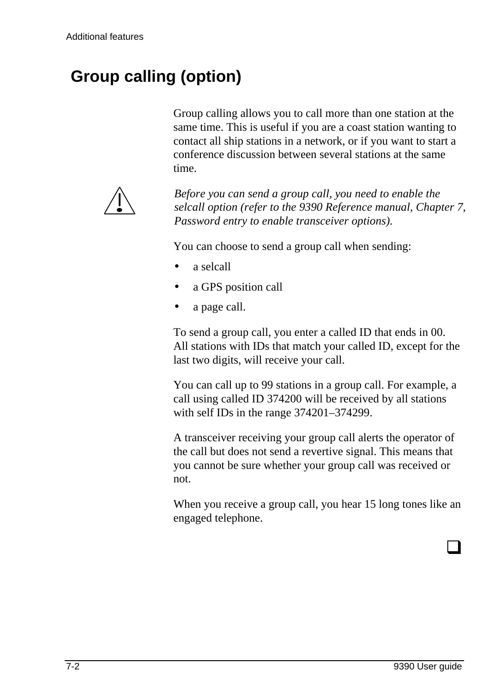# **Group calling (option)**

Group calling allows you to call more than one station at the same time. This is useful if you are a coast station wanting to contact all ship stations in a network, or if you want to start a conference discussion between several stations at the same time.



*Before you can send a group call, you need to enable the selcall option (refer to the 9390 Reference manual, Chapter 7, Password entry to enable transceiver options).*

You can choose to send a group call when sending:

- a selcall
- a GPS position call
- a page call.

To send a group call, you enter a called ID that ends in 00. All stations with IDs that match your called ID, except for the last two digits, will receive your call.

You can call up to 99 stations in a group call. For example, a call using called ID 374200 will be received by all stations with self IDs in the range 374201–374299.

A transceiver receiving your group call alerts the operator of the call but does not send a revertive signal. This means that you cannot be sure whether your group call was received or not.

When you receive a group call, you hear 15 long tones like an engaged telephone.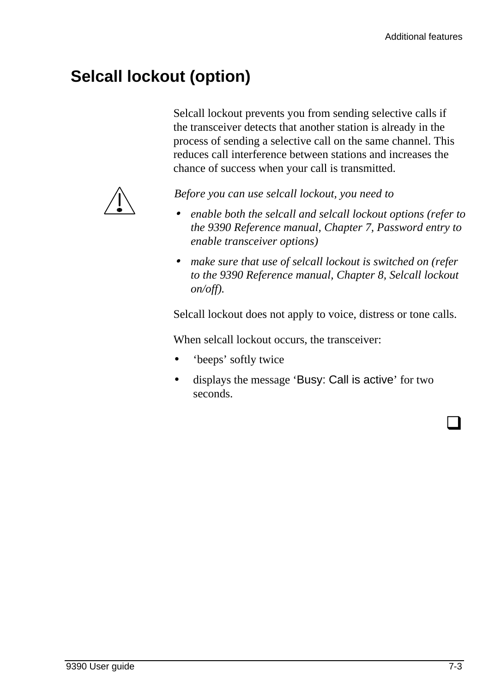# **Selcall lockout (option)**

Selcall lockout prevents you from sending selective calls if the transceiver detects that another station is already in the process of sending a selective call on the same channel. This reduces call interference between stations and increases the chance of success when your call is transmitted.



*Before you can use selcall lockout, you need to*

- *enable both the selcall and selcall lockout options (refer to the 9390 Reference manual, Chapter 7, Password entry to enable transceiver options)*
- *make sure that use of selcall lockout is switched on (refer to the 9390 Reference manual, Chapter 8, Selcall lockout on/off).*

Selcall lockout does not apply to voice, distress or tone calls.

When selcall lockout occurs, the transceiver:

- 'beeps' softly twice
- displays the message 'Busy: Call is active' for two seconds.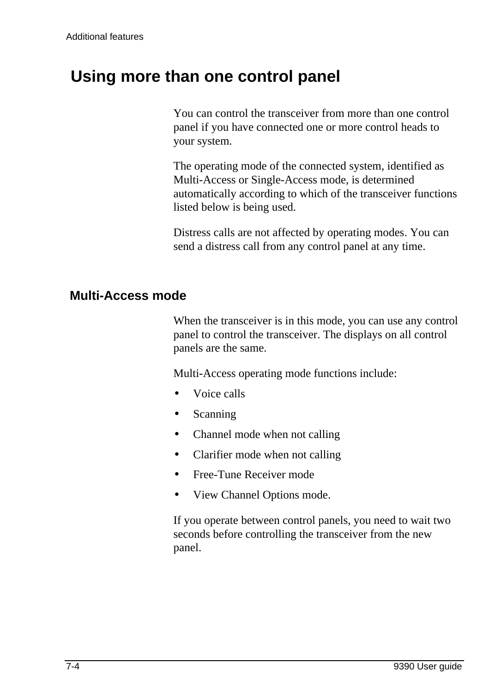# **Using more than one control panel**

You can control the transceiver from more than one control panel if you have connected one or more control heads to your system.

The operating mode of the connected system, identified as Multi-Access or Single-Access mode, is determined automatically according to which of the transceiver functions listed below is being used.

Distress calls are not affected by operating modes. You can send a distress call from any control panel at any time.

### **Multi-Access mode**

When the transceiver is in this mode, you can use any control panel to control the transceiver. The displays on all control panels are the same.

Multi-Access operating mode functions include:

- Voice calls
- **Scanning**
- Channel mode when not calling
- Clarifier mode when not calling
- Free-Tune Receiver mode
- View Channel Options mode.

If you operate between control panels, you need to wait two seconds before controlling the transceiver from the new panel.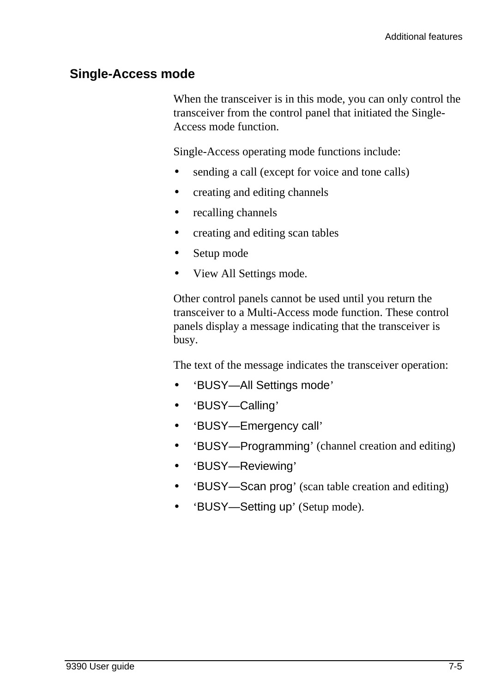### **Single-Access mode**

When the transceiver is in this mode, you can only control the transceiver from the control panel that initiated the Single-Access mode function.

Single-Access operating mode functions include:

- sending a call (except for voice and tone calls)
- creating and editing channels
- recalling channels
- creating and editing scan tables
- Setup mode
- View All Settings mode.

Other control panels cannot be used until you return the transceiver to a Multi-Access mode function. These control panels display a message indicating that the transceiver is busy.

The text of the message indicates the transceiver operation:

- 'BUSY—All Settings mode'
- 'BUSY—Calling'
- 'BUSY—Emergency call'
- 'BUSY—Programming' (channel creation and editing)
- 'BUSY—Reviewing'
- 'BUSY—Scan prog' (scan table creation and editing)
- 'BUSY—Setting up' (Setup mode).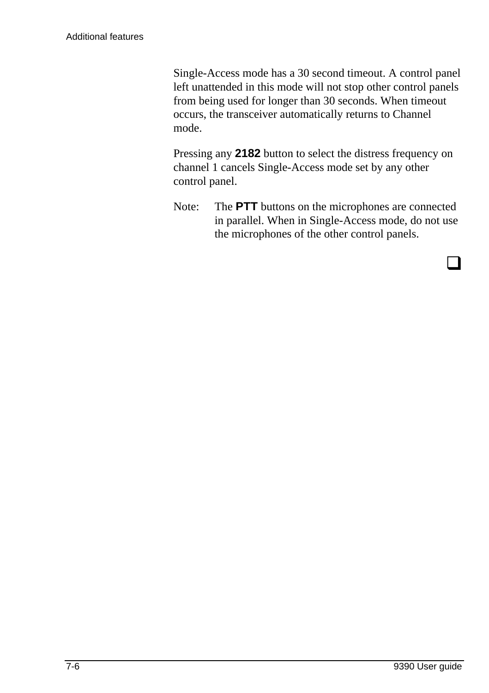Single-Access mode has a 30 second timeout. A control panel left unattended in this mode will not stop other control panels from being used for longer than 30 seconds. When timeout occurs, the transceiver automatically returns to Channel mode.

Pressing any **2182** button to select the distress frequency on channel 1 cancels Single-Access mode set by any other control panel.

Note: The **PTT** buttons on the microphones are connected in parallel. When in Single-Access mode, do not use the microphones of the other control panels.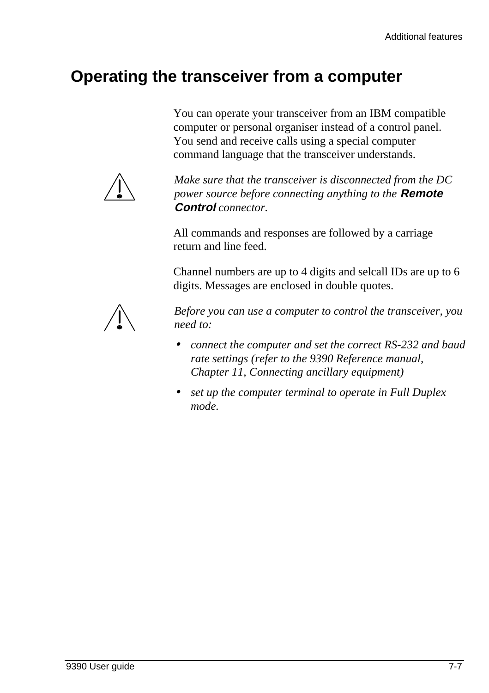# **Operating the transceiver from a computer**

You can operate your transceiver from an IBM compatible computer or personal organiser instead of a control panel. You send and receive calls using a special computer command language that the transceiver understands.



*Make sure that the transceiver is disconnected from the DC power source before connecting anything to the* **Remote Control** *connector.*

All commands and responses are followed by a carriage return and line feed.

Channel numbers are up to 4 digits and selcall IDs are up to 6 digits. Messages are enclosed in double quotes.



*Before you can use a computer to control the transceiver, you need to:*

- *connect the computer and set the correct RS-232 and baud rate settings (refer to the 9390 Reference manual, Chapter 11, Connecting ancillary equipment)*
- *set up the computer terminal to operate in Full Duplex mode.*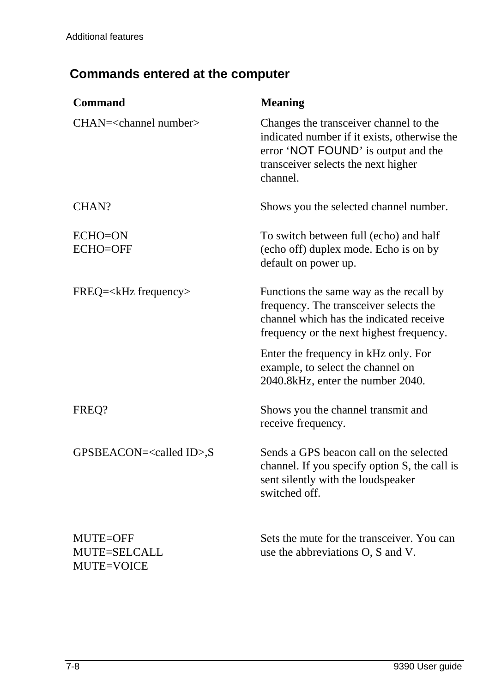## **Commands entered at the computer**

| <b>Command</b>                                       | <b>Meaning</b>                                                                                                                                                                   |
|------------------------------------------------------|----------------------------------------------------------------------------------------------------------------------------------------------------------------------------------|
| CHAN= <channel number=""></channel>                  | Changes the transceiver channel to the<br>indicated number if it exists, otherwise the<br>error 'NOT FOUND' is output and the<br>transceiver selects the next higher<br>channel. |
| CHAN?                                                | Shows you the selected channel number.                                                                                                                                           |
| ECHO=ON<br><b>ECHO=OFF</b>                           | To switch between full (echo) and half<br>(echo off) duplex mode. Echo is on by<br>default on power up.                                                                          |
| FREQ= <khz frequency=""></khz>                       | Functions the same way as the recall by<br>frequency. The transceiver selects the<br>channel which has the indicated receive<br>frequency or the next highest frequency.         |
|                                                      | Enter the frequency in kHz only. For<br>example, to select the channel on<br>2040.8kHz, enter the number 2040.                                                                   |
| FREQ?                                                | Shows you the channel transmit and<br>receive frequency.                                                                                                                         |
| GPSBEACON= <called id="">,S</called>                 | Sends a GPS beacon call on the selected<br>channel. If you specify option S, the call is<br>sent silently with the loudspeaker<br>switched off.                                  |
| MUTE=OFF<br><b>MUTE=SELCALL</b><br><b>MUTE=VOICE</b> | Sets the mute for the transceiver. You can<br>use the abbreviations O, S and V.                                                                                                  |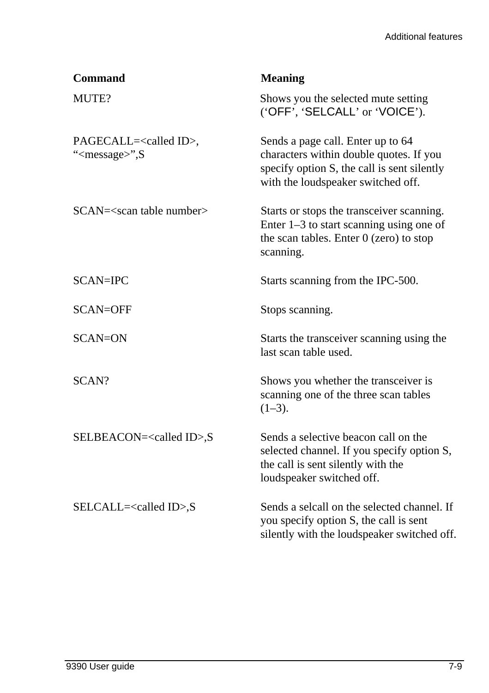| Command                                                        | <b>Meaning</b>                                                                                                                                                    |
|----------------------------------------------------------------|-------------------------------------------------------------------------------------------------------------------------------------------------------------------|
| MUTE?                                                          | Shows you the selected mute setting<br>('OFF', 'SELCALL' or 'VOICE').                                                                                             |
| PAGECALL= <called id="">,<br/>"<message>",S</message></called> | Sends a page call. Enter up to 64<br>characters within double quotes. If you<br>specify option S, the call is sent silently<br>with the loudspeaker switched off. |
| $SCAN = <$ scan table number $>$                               | Starts or stops the transceiver scanning.<br>Enter $1-3$ to start scanning using one of<br>the scan tables. Enter 0 (zero) to stop<br>scanning.                   |
| $SCAN=IPC$                                                     | Starts scanning from the IPC-500.                                                                                                                                 |
| $SCAN = OFF$                                                   | Stops scanning.                                                                                                                                                   |
| $SCAN = ON$                                                    | Starts the transceiver scanning using the<br>last scan table used.                                                                                                |
| SCAN?                                                          | Shows you whether the transceiver is<br>scanning one of the three scan tables<br>$(1-3)$ .                                                                        |
| SELBEACON= <called id="">,S</called>                           | Sends a selective beacon call on the<br>selected channel. If you specify option S,<br>the call is sent silently with the<br>loudspeaker switched off.             |
| SELCALL= <called id="">,S</called>                             | Sends a selcall on the selected channel. If<br>you specify option S, the call is sent<br>silently with the loudspeaker switched off.                              |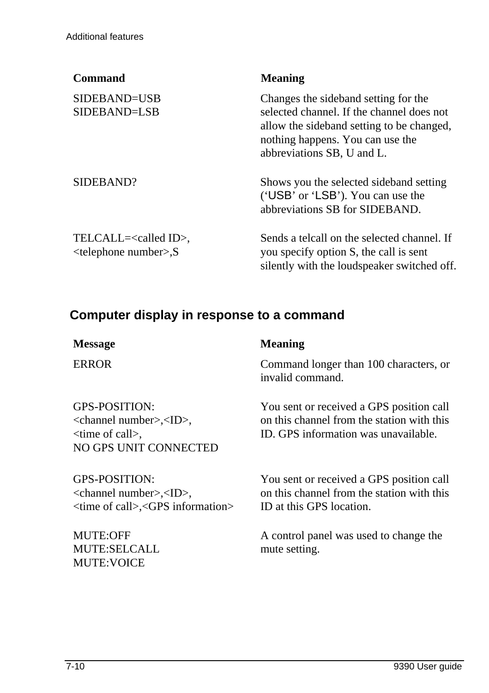| Command                                                  | <b>Meaning</b>                                                                                                                                                                                   |
|----------------------------------------------------------|--------------------------------------------------------------------------------------------------------------------------------------------------------------------------------------------------|
| SIDEBAND=USB<br>SIDEBAND=LSB                             | Changes the sideband setting for the<br>selected channel. If the channel does not<br>allow the sideband setting to be changed,<br>nothing happens. You can use the<br>abbreviations SB, U and L. |
| SIDEBAND?                                                | Shows you the selected sideband setting<br>('USB' or 'LSB'). You can use the<br>abbreviations SB for SIDEBAND.                                                                                   |
| $TELCALL = \text{called ID},\leqtelephone number\geq. S$ | Sends a telcall on the selected channel. If<br>you specify option S, the call is sent<br>silently with the loudspeaker switched off.                                                             |

## **Computer display in response to a command**

GPS-POSITION: <channel number>,<ID>, <time of call>, NO GPS UNIT CONNECTED

GPS-POSITION: <channel number>,<ID>, <time of call>,<GPS information>

MUTE:OFF MUTE:SELCALL MUTE:VOICE

#### **Message Meaning**

ERROR Command longer than 100 characters, or invalid command.

> You sent or received a GPS position call on this channel from the station with this ID. GPS information was unavailable.

> You sent or received a GPS position call on this channel from the station with this ID at this GPS location.

A control panel was used to change the mute setting.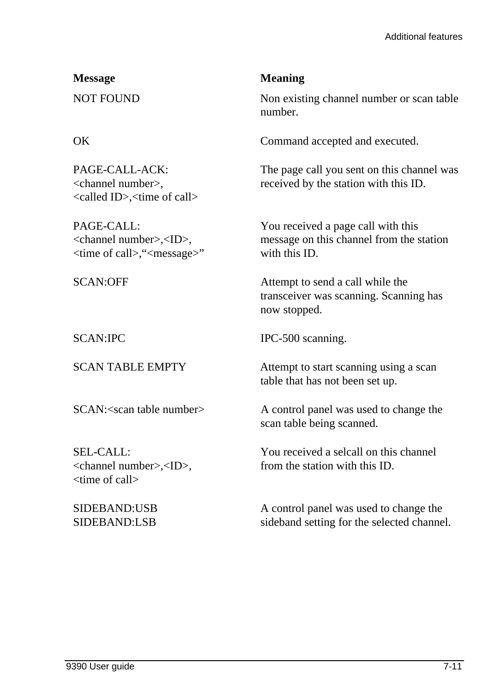PAGE-CALL-ACK: <channel number>, <called ID>,<time of call>

PAGE-CALL: <channel number>,<ID>, <time of call>,"<message>"

SEL-CALL: <channel number>,<ID>, <time of call>

SIDEBAND:USB SIDEBAND:LSB

#### Message **Meaning**

NOT FOUND Non existing channel number or scan table number.

OK Command accepted and executed.

The page call you sent on this channel was received by the station with this ID.

You received a page call with this message on this channel from the station with this ID.

SCAN:OFF Attempt to send a call while the transceiver was scanning. Scanning has now stopped.

SCAN:IPC IPC-500 scanning.

SCAN TABLE EMPTY Attempt to start scanning using a scan table that has not been set up.

SCAN: < scan table number > A control panel was used to change the scan table being scanned.

> You received a selcall on this channel from the station with this ID.

A control panel was used to change the sideband setting for the selected channel.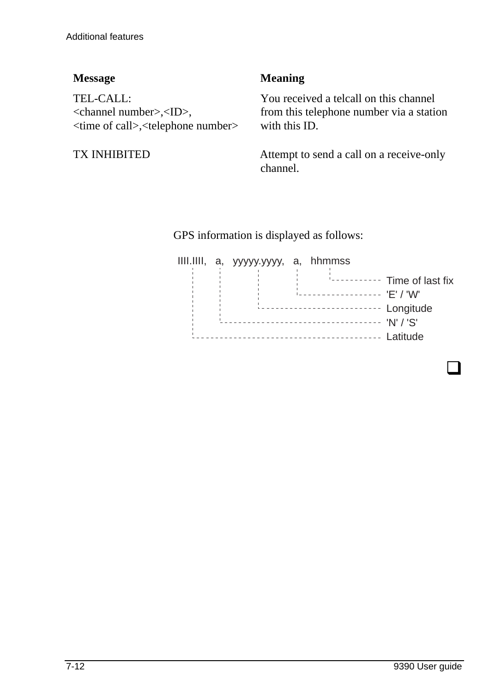TEL-CALL: <channel number>,<ID>, <time of call>,<telephone number>

## **Message Meaning**

You received a telcall on this channel from this telephone number via a station with this ID.

TX INHIBITED Attempt to send a call on a receive-only channel.

GPS information is displayed as follows:

| IIII.IIII, a, yyyyy.yyyy, a, hhmmss |                                    |                           |
|-------------------------------------|------------------------------------|---------------------------|
|                                     |                                    | $\cdots$ Time of last fix |
|                                     | ------------------ 'F' / 'W'       |                           |
|                                     | ------------------------ Longitude |                           |
|                                     |                                    | 'N' / 'S'                 |
|                                     |                                    | Latitude                  |

П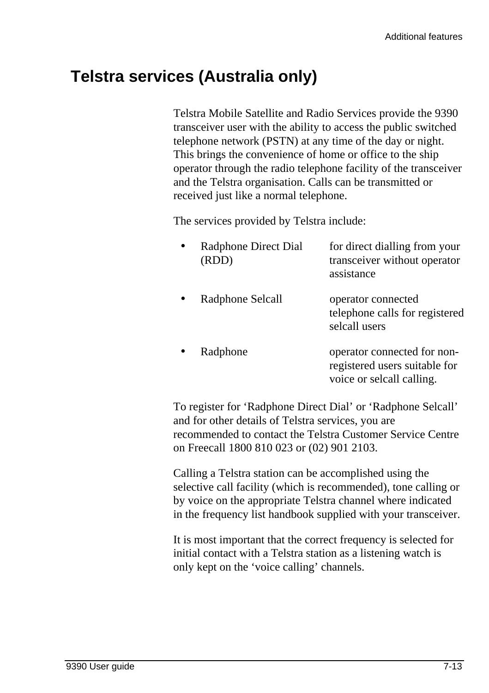# **Telstra services (Australia only)**

Telstra Mobile Satellite and Radio Services provide the 9390 transceiver user with the ability to access the public switched telephone network (PSTN) at any time of the day or night. This brings the convenience of home or office to the ship operator through the radio telephone facility of the transceiver and the Telstra organisation. Calls can be transmitted or received just like a normal telephone.

The services provided by Telstra include:

| Radphone Direct Dial<br>(RDD) | for direct dialling from your<br>transceiver without operator<br>assistance               |
|-------------------------------|-------------------------------------------------------------------------------------------|
| Radphone Selcall              | operator connected<br>telephone calls for registered<br>selcall users                     |
| Radphone                      | operator connected for non-<br>registered users suitable for<br>voice or selcall calling. |

To register for 'Radphone Direct Dial' or 'Radphone Selcall' and for other details of Telstra services, you are recommended to contact the Telstra Customer Service Centre on Freecall 1800 810 023 or (02) 901 2103.

Calling a Telstra station can be accomplished using the selective call facility (which is recommended), tone calling or by voice on the appropriate Telstra channel where indicated in the frequency list handbook supplied with your transceiver.

It is most important that the correct frequency is selected for initial contact with a Telstra station as a listening watch is only kept on the 'voice calling' channels.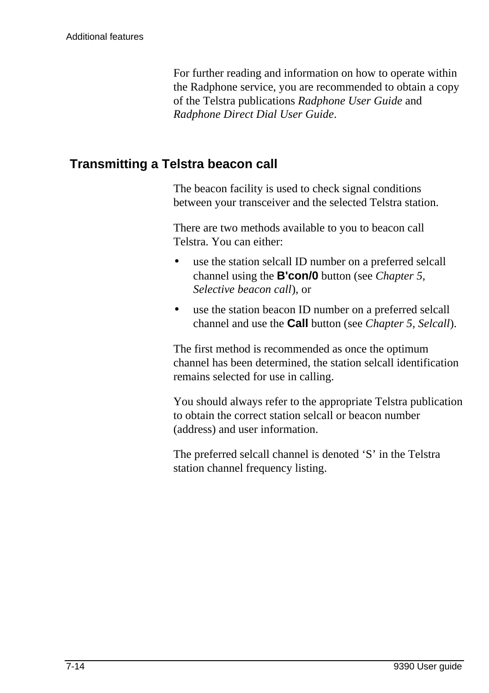For further reading and information on how to operate within the Radphone service, you are recommended to obtain a copy of the Telstra publications *Radphone User Guide* and *Radphone Direct Dial User Guide*.

## **Transmitting a Telstra beacon call**

The beacon facility is used to check signal conditions between your transceiver and the selected Telstra station.

There are two methods available to you to beacon call Telstra. You can either:

- use the station selcall ID number on a preferred selcall channel using the **B'con/0** button (see *Chapter 5, Selective beacon call*), or
- use the station beacon ID number on a preferred selcall channel and use the **Call** button (see *Chapter 5, Selcall*).

The first method is recommended as once the optimum channel has been determined, the station selcall identification remains selected for use in calling.

You should always refer to the appropriate Telstra publication to obtain the correct station selcall or beacon number (address) and user information.

The preferred selcall channel is denoted 'S' in the Telstra station channel frequency listing.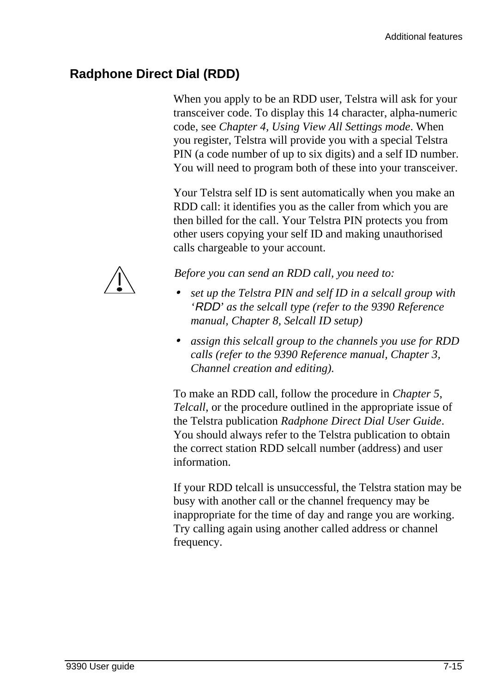## **Radphone Direct Dial (RDD)**

When you apply to be an RDD user, Telstra will ask for your transceiver code. To display this 14 character, alpha-numeric code, see *Chapter 4, Using View All Settings mode*. When you register, Telstra will provide you with a special Telstra PIN (a code number of up to six digits) and a self ID number. You will need to program both of these into your transceiver.

Your Telstra self ID is sent automatically when you make an RDD call: it identifies you as the caller from which you are then billed for the call. Your Telstra PIN protects you from other users copying your self ID and making unauthorised calls chargeable to your account.



*Before you can send an RDD call, you need to:*

- *set up the Telstra PIN and self ID in a selcall group with '*RDD*' as the selcall type (refer to the 9390 Reference manual, Chapter 8, Selcall ID setup)*
- *assign this selcall group to the channels you use for RDD calls (refer to the 9390 Reference manual, Chapter 3, Channel creation and editing).*

To make an RDD call, follow the procedure in *Chapter 5*, *Telcall*, or the procedure outlined in the appropriate issue of the Telstra publication *Radphone Direct Dial User Guide*. You should always refer to the Telstra publication to obtain the correct station RDD selcall number (address) and user information.

If your RDD telcall is unsuccessful, the Telstra station may be busy with another call or the channel frequency may be inappropriate for the time of day and range you are working. Try calling again using another called address or channel frequency.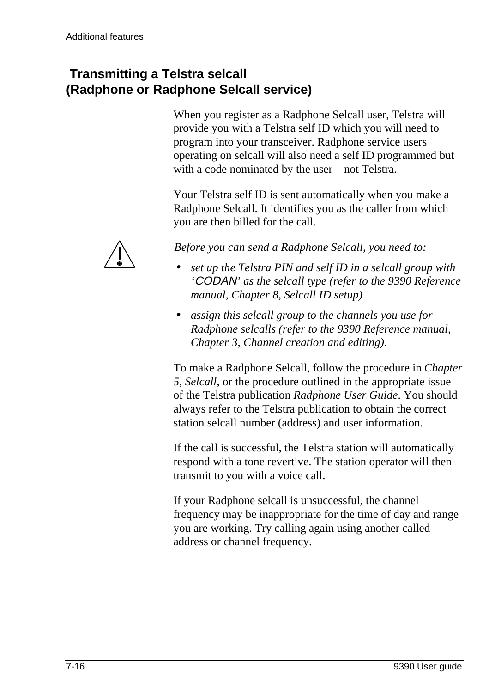## **Transmitting a Telstra selcall (Radphone or Radphone Selcall service)**

When you register as a Radphone Selcall user, Telstra will provide you with a Telstra self ID which you will need to program into your transceiver. Radphone service users operating on selcall will also need a self ID programmed but with a code nominated by the user—not Telstra.

Your Telstra self ID is sent automatically when you make a Radphone Selcall. It identifies you as the caller from which you are then billed for the call.



*Before you can send a Radphone Selcall, you need to:*

- *set up the Telstra PIN and self ID in a selcall group with '*CODAN*' as the selcall type (refer to the 9390 Reference manual, Chapter 8, Selcall ID setup)*
- *assign this selcall group to the channels you use for Radphone selcalls (refer to the 9390 Reference manual, Chapter 3, Channel creation and editing).*

To make a Radphone Selcall, follow the procedure in *Chapter 5, Selcall*, or the procedure outlined in the appropriate issue of the Telstra publication *Radphone User Guide*. You should always refer to the Telstra publication to obtain the correct station selcall number (address) and user information.

If the call is successful, the Telstra station will automatically respond with a tone revertive. The station operator will then transmit to you with a voice call.

If your Radphone selcall is unsuccessful, the channel frequency may be inappropriate for the time of day and range you are working. Try calling again using another called address or channel frequency.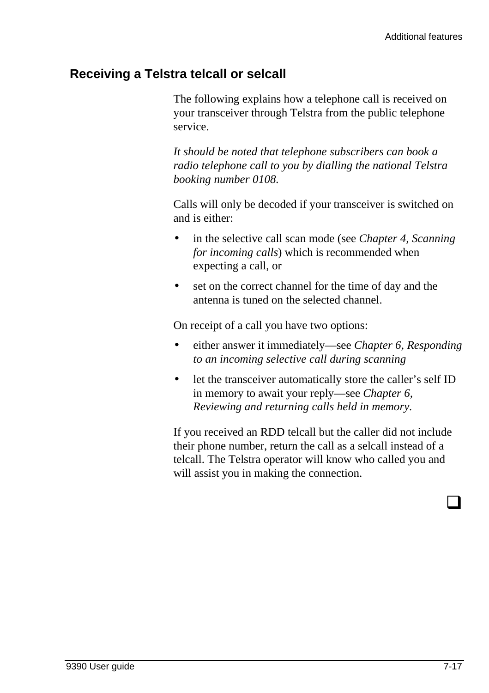## **Receiving a Telstra telcall or selcall**

The following explains how a telephone call is received on your transceiver through Telstra from the public telephone service.

*It should be noted that telephone subscribers can book a radio telephone call to you by dialling the national Telstra booking number 0108.*

Calls will only be decoded if your transceiver is switched on and is either:

- in the selective call scan mode (see *Chapter 4, Scanning for incoming calls*) which is recommended when expecting a call, or
- set on the correct channel for the time of day and the antenna is tuned on the selected channel.

On receipt of a call you have two options:

- either answer it immediately—see *Chapter 6, Responding to an incoming selective call during scanning*
- let the transceiver automatically store the caller's self ID in memory to await your reply—see *Chapter 6, Reviewing and returning calls held in memory.*

If you received an RDD telcall but the caller did not include their phone number, return the call as a selcall instead of a telcall. The Telstra operator will know who called you and will assist you in making the connection.

 $\Box$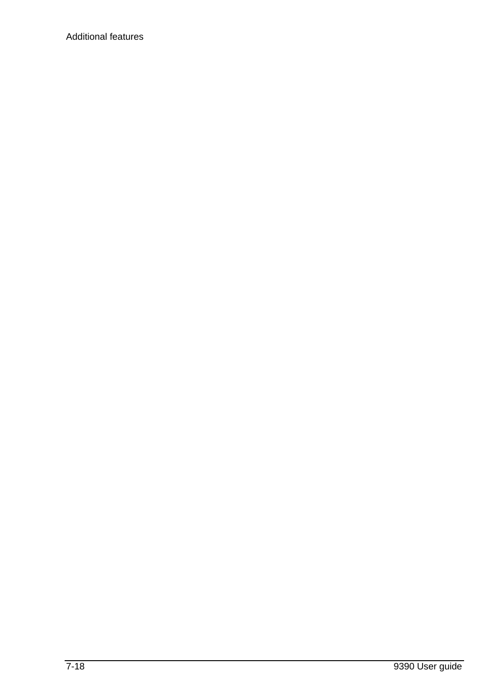Additional features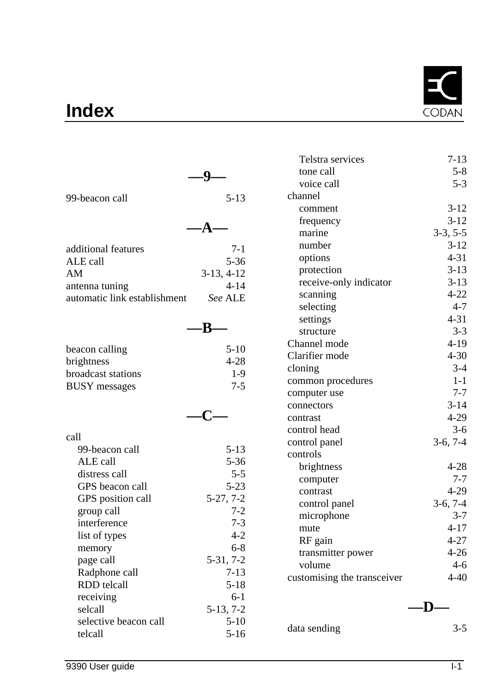## **Index**



| 99-beacon call                                                                          | $5 - 13$                                                   |
|-----------------------------------------------------------------------------------------|------------------------------------------------------------|
|                                                                                         |                                                            |
| additional features<br>ALE call<br>AM<br>antenna tuning<br>automatic link establishment | $7 - 1$<br>$5 - 36$<br>$3-13, 4-12$<br>$4 - 14$<br>See ALE |
|                                                                                         | -B-                                                        |
| beacon calling<br>brightness<br>broadcast stations<br><b>BUSY</b> messages              | $5 - 10$<br>$4 - 28$<br>$1-9$<br>$7 - 5$                   |
|                                                                                         |                                                            |
| call                                                                                    |                                                            |
| 99-beacon call<br>ALE call                                                              | $5 - 13$<br>$5 - 36$                                       |
| distress call<br>GPS beacon call                                                        | $5 - 5$<br>$5 - 23$                                        |
| GPS position call<br>group call                                                         | 5-27, 7-2<br>$7 - 2$                                       |
| interference                                                                            | $7 - 3$                                                    |
| list of types<br>memory                                                                 | $4 - 2$<br>$6 - 8$                                         |
| page call<br>Radphone call                                                              | 5-31, 7-2<br>$7 - 13$                                      |
| RDD telcall                                                                             | $5 - 18$                                                   |
| receiving<br>selcall                                                                    | $6-1$<br>$5-13, 7-2$                                       |
| selective beacon call<br>telcall                                                        | $5-10$<br>$5 - 16$                                         |
|                                                                                         |                                                            |

| Telstra services            | $7 - 13$   |
|-----------------------------|------------|
| tone call                   | $5 - 8$    |
| voice call                  | $5 - 3$    |
| channel                     |            |
| comment                     | $3-12$     |
| frequency                   | $3 - 12$   |
| marine                      | $3-3, 5-5$ |
| number                      | $3 - 12$   |
| options                     | $4 - 31$   |
| protection                  | $3-13$     |
| receive-only indicator      | $3 - 13$   |
| scanning                    | $4 - 22$   |
| selecting                   | $4 - 7$    |
| settings                    | $4 - 31$   |
| structure                   | $3 - 3$    |
| Channel mode                | $4 - 19$   |
| Clarifier mode              | $4 - 30$   |
| cloning                     | $3 - 4$    |
| common procedures           | $1 - 1$    |
| computer use                | $7 - 7$    |
| connectors                  | $3 - 14$   |
| contrast                    | $4 - 29$   |
| control head                | $3 - 6$    |
| control panel               | $3-6, 7-4$ |
| controls                    |            |
| brightness                  | $4 - 28$   |
| computer                    | $7 - 7$    |
| contrast                    | $4 - 29$   |
| control panel               | $3-6, 7-4$ |
| microphone                  | $3 - 7$    |
| mute                        | $4 - 17$   |
| RF gain                     | $4 - 27$   |
| transmitter power           | $4 - 26$   |
| volume                      | $4 - 6$    |
| customising the transceiver | $4 - 40$   |
|                             |            |

**—D—**

data sending 3-5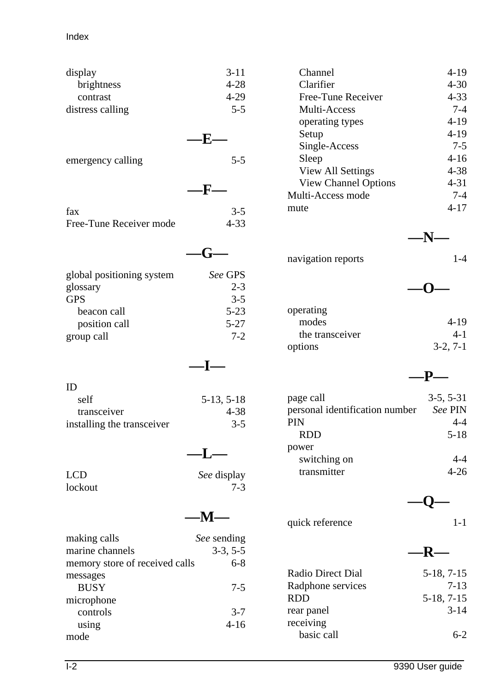| display                        | $3 - 11$     | Channel                        | $4 - 19$               |
|--------------------------------|--------------|--------------------------------|------------------------|
| brightness                     | $4 - 28$     | Clarifier                      | $4 - 30$               |
| contrast                       | $4 - 29$     | Free-Tune Receiver             | $4 - 33$               |
| distress calling               | $5 - 5$      | Multi-Access                   | $7 - 4$                |
|                                |              | operating types                | $4 - 19$               |
|                                |              | Setup                          | 4-19                   |
|                                | -E—          | Single-Access                  | $7 - 5$                |
| emergency calling              | $5 - 5$      | Sleep                          | $4 - 16$               |
|                                |              | <b>View All Settings</b>       | $4 - 38$               |
|                                |              | View Channel Options           | $4 - 31$               |
|                                | -F-          | Multi-Access mode              | $7 - 4$                |
| fax                            | $3 - 5$      | mute                           | $4 - 17$               |
| Free-Tune Receiver mode        | $4 - 33$     |                                |                        |
|                                |              |                                |                        |
|                                |              |                                | -N-                    |
|                                | $-G-$        | navigation reports             | $1-4$                  |
|                                |              |                                |                        |
| global positioning system      | See GPS      |                                |                        |
| glossary                       | $2 - 3$      |                                | 0                      |
| <b>GPS</b>                     | $3 - 5$      |                                |                        |
| beacon call                    | $5 - 23$     | operating                      |                        |
| position call                  | $5 - 27$     | modes                          | $4-19$                 |
| group call                     | $7-2$        | the transceiver                | $4-1$                  |
|                                |              | options                        | $3-2, 7-1$             |
|                                | -I—          |                                |                        |
|                                |              |                                | $-P$ —                 |
| ID                             |              |                                |                        |
| self                           | $5-13, 5-18$ | page call                      | $3-5, 5-31$<br>See PIN |
| transceiver                    | $4 - 38$     | personal identification number | $4 - 4$                |
| installing the transceiver     | $3 - 5$      | PIN                            |                        |
|                                |              | <b>RDD</b>                     | $5 - 18$               |
|                                | $-I$ —       | power                          |                        |
|                                |              | switching on                   | 4-4                    |
| <b>LCD</b>                     | See display  | transmitter                    | $4 - 26$               |
| lockout                        | $7-3$        |                                |                        |
|                                |              |                                | O                      |
|                                | -M—          |                                |                        |
|                                |              | quick reference                | $1 - 1$                |
| making calls                   | See sending  |                                |                        |
| marine channels                | $3-3, 5-5$   |                                | -R—                    |
| memory store of received calls | $6 - 8$      |                                |                        |
| messages                       |              | Radio Direct Dial              | $5-18, 7-15$           |
| <b>BUSY</b>                    | $7 - 5$      | Radphone services              | $7 - 13$               |
| microphone                     |              | <b>RDD</b>                     | $5-18, 7-15$           |
| controls                       | $3 - 7$      | rear panel                     | $3-14$                 |
| using                          | $4-16$       | receiving                      |                        |
| mode                           |              | basic call                     | $6 - 2$                |
|                                |              |                                |                        |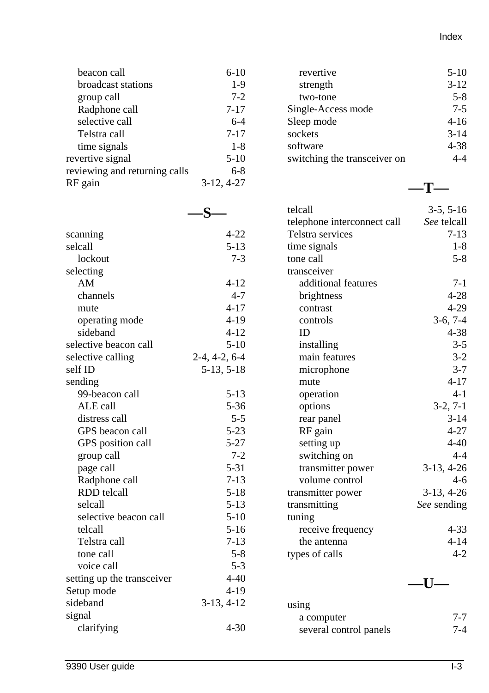| beacon call                   | $6-10$       |
|-------------------------------|--------------|
| broadcast stations            | $1-9$        |
| group call                    | $7-2$        |
| Radphone call                 | $7 - 17$     |
| selective call                | $6 - 4$      |
| Telstra call                  | $7 - 17$     |
| time signals                  | $1 - 8$      |
| revertive signal              | $5 - 10$     |
| reviewing and returning calls | $6-8$        |
| RF gain                       | $3-12, 4-27$ |
|                               |              |

| scanning                   | $4 - 22$        |
|----------------------------|-----------------|
| selcall                    | $5 - 13$        |
| lockout                    | $7 - 3$         |
| selecting                  |                 |
| AM                         | $4 - 12$        |
| channels                   | $4 - 7$         |
| mute                       | $4 - 17$        |
| operating mode             | $4 - 19$        |
| sideband                   | $4 - 12$        |
| selective beacon call      | $5-10$          |
| selective calling          | $2-4, 4-2, 6-4$ |
| self ID                    | $5-13, 5-18$    |
| sending                    |                 |
| 99-beacon call             | 5-13            |
| ALE call                   | $5 - 36$        |
| distress call              | $5 - 5$         |
| GPS beacon call            | $5 - 23$        |
| GPS position call          | $5 - 27$        |
| group call                 | $7 - 2$         |
| page call                  | $5 - 31$        |
| Radphone call              | $7 - 13$        |
| <b>RDD</b> telcall         | $5 - 18$        |
| selcall                    | 5-13            |
| selective beacon call      | $5 - 10$        |
| telcall                    | $5 - 16$        |
| Telstra call               | $7 - 13$        |
| tone call                  | $5 - 8$         |
| voice call                 | $5 - 3$         |
| setting up the transceiver | $4 - 40$        |
| Setup mode                 | $4-19$          |
| sideband                   | $3-13, 4-12$    |
| signal                     |                 |
| clarifying                 | $4 - 30$        |

| revertive                    | $5-10$   |
|------------------------------|----------|
| strength                     | $3 - 12$ |
| two-tone                     | $5-8$    |
| Single-Access mode           | $7 - 5$  |
| Sleep mode                   | $4 - 16$ |
| sockets                      | $3 - 14$ |
| software                     | $4 - 38$ |
| switching the transceiver on |          |

|                             | —T—          |
|-----------------------------|--------------|
| telcall                     | $3-5, 5-16$  |
| telephone interconnect call | See telcall  |
| Telstra services            | $7 - 13$     |
| time signals                | $1 - 8$      |
| tone call                   | $5 - 8$      |
| transceiver                 |              |
| additional features         | $7 - 1$      |
| brightness                  | $4 - 28$     |
| contrast                    | $4 - 29$     |
| controls                    | $3-6, 7-4$   |
| ID                          | $4 - 38$     |
| installing                  | $3 - 5$      |
| main features               | $3-2$        |
| microphone                  | $3 - 7$      |
| mute                        | $4 - 17$     |
| operation                   | $4 - 1$      |
| options                     | $3-2, 7-1$   |
| rear panel                  | $3 - 14$     |
| RF gain                     | $4 - 27$     |
| setting up                  | $4 - 40$     |
| switching on                | $4 - 4$      |
| transmitter power           | $3-13, 4-26$ |
| volume control              | $4 - 6$      |
| transmitter power           | 3-13, 4-26   |
| transmitting                | See sending  |
| tuning                      |              |
| receive frequency           | $4 - 33$     |
| the antenna                 | $4 - 14$     |
| types of calls              | $4 - 2$      |
|                             |              |
|                             | l I.         |

| using                  |         |
|------------------------|---------|
| a computer             | $7 - 7$ |
| several control panels | $7 - 4$ |